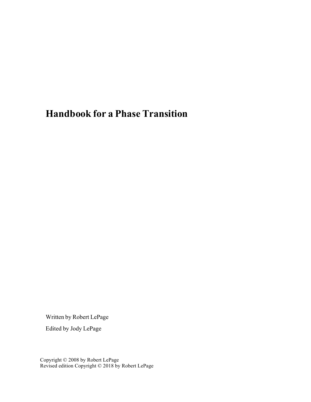# **Handbook for a Phase Transition**

Written by Robert LePage

Edited by Jody LePage

Copyright © 2008 by Robert LePage Revised edition Copyright © 2018 by Robert LePage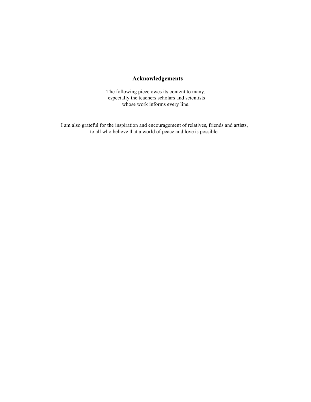### **Acknowledgements**

The following piece owes its content to many, especially the teachers scholars and scientists whose work informs every line.

I am also grateful for the inspiration and encouragement of relatives, friends and artists, to all who believe that a world of peace and love is possible.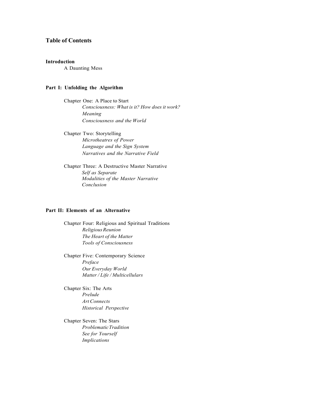### **Table of Contents**

#### **[Introduction](#page-4-0)**

A Daunting Mess

#### **Part I: Unfolding the [Algorithm](#page-6-0)**

Chapter [One: A Place](#page-7-0) to Start *Consciousness: What is it? How does it work? Meaning Consciousness and the World*

Chapter Two: [Storytelling](#page-14-0) *Microtheatres of Power Language and the Sign System Narratives and the Narrative Field*

Chapter [Three: A Destructive](#page-20-0) Master Narrative *Self as Separate Modalities of the Master Narrative Conclusion*

#### **Part II: Elements of an [Alternative](#page-30-0)**

Chapter Four: Religious and Spiritual [Traditions](#page-32-0) *ReligiousReunion The Heart of the Matter Tools of Consciousness*

Chapter Five: [Contemporary](#page-39-0) Science *Preface Our Everyday World Matter / Life / Multicellulars*

[Chapter](#page-51-0) Six: The Arts *Prelude Art Connects Historical Perspective*

[Chapter](#page-71-0) Seven: The Stars *ProblematicTradition See for Yourself Implications*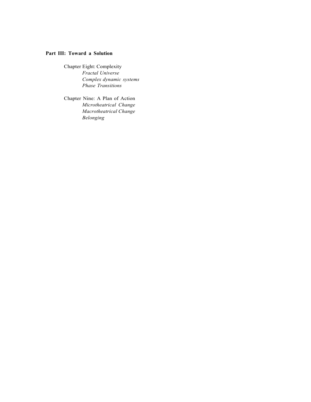### **Part III: [Toward a Solution](#page-78-0)**

Chapter Eight: [Complexity](#page-79-0) *Fractal Universe Complex dynamic systems Phase Transitions*

Chapter [Nine: A Plan](#page-87-0) of Action *Microtheatrical Change Macrotheatrical Change Belonging*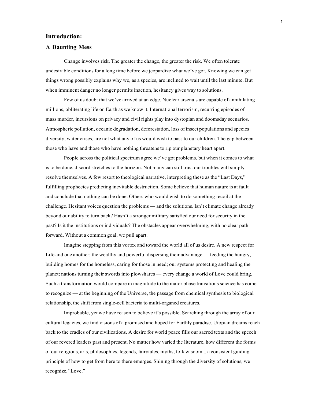#### <span id="page-4-0"></span>**Introduction:**

#### **A Daunting Mess**

Change involves risk. The greater the change, the greater the risk. We often tolerate undesirable conditions for a long time before we jeopardize what we've got. Knowing we can get things wrong possibly explains why we, as a species, are inclined to wait until the last minute. But when imminent danger no longer permits inaction, hesitancy gives way to solutions.

Few of us doubt that we've arrived at an edge. Nuclear arsenals are capable of annihilating millions, obliterating life on Earth as we know it. International terrorism, recurring episodes of mass murder, incursions on privacy and civil rights play into dystopian and doomsday scenarios. Atmospheric pollution, oceanic degradation, deforestation, loss of insect populations and species diversity, water crises, are not what any of us would wish to pass to our children. The gap between those who have and those who have nothing threatens to rip our planetary heart apart.

People across the political spectrum agree we've got problems, but when it comes to what is to be done, discord stretches to the horizon. Not many can still trust our troubles will simply resolve themselves. A few resort to theological narrative, interpreting these as the "Last Days," fulfilling prophecies predicting inevitable destruction. Some believe that human nature is at fault and conclude that nothing can be done. Others who would wish to do something recoil at the challenge. Hesitant voices question the problems — and the solutions. Isn't climate change already beyond our ability to turn back? Hasn't a stronger military satisfied our need for security in the past? Is it the institutions or individuals? The obstacles appear overwhelming, with no clear path forward. Without a common goal, we pull apart.

Imagine stepping from this vortex and toward the world all of us desire. A new respect for Life and one another; the wealthy and powerful dispersing their advantage — feeding the hungry, building homes for the homeless, caring for those in need; our systems protecting and healing the planet; nations turning their swords into plowshares — every change a world of Love could bring. Such a transformation would compare in magnitude to the major phase transitions science has come to recognize — at the beginning of the Universe, the passage from chemical synthesis to biological relationship, the shift from single-cell bacteria to multi-organed creatures.

Improbable, yet we have reason to believe it's possible. Searching through the array of our cultural legacies, we find visions of a promised and hoped for Earthly paradise. Utopian dreams reach back to the cradles of our civilizations. A desire for world peace fills our sacred texts and the speech of our revered leaders past and present. No matter how varied the literature, how different the forms of our religions, arts, philosophies, legends, fairytales, myths, folk wisdom... a consistent guiding principle of how to get from here to there emerges. Shining through the diversity of solutions, we recognize, "Love."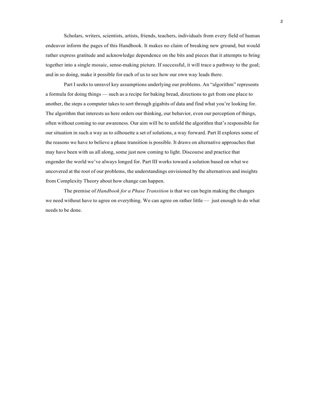Scholars, writers, scientists, artists, friends, teachers, individuals from every field of human endeavor inform the pages of this Handbook. It makes no claim of breaking new ground, but would rather express gratitude and acknowledge dependence on the bits and pieces that it attempts to bring together into a single mosaic, sense-making picture. If successful, it will trace a pathway to the goal; and in so doing, make it possible for each of us to see how our own way leads there.

Part I seeks to unravel key assumptions underlying our problems. An "algorithm" represents a formula for doing things — such as a recipe for baking bread, directions to get from one place to another, the steps a computer takes to sort through gigabits of data and find what you're looking for. The algorithm that interests us here orders our thinking, our behavior, even our perception of things, often without coming to our awareness. Our aim will be to unfold the algorithm that's responsible for our situation in such a way as to silhouette a set of solutions, a way forward. Part II explores some of the reasons we have to believe a phase transition is possible. It draws on alternative approaches that may have been with us all along, some just now coming to light. Discourse and practice that engender the world we've always longed for. Part III works toward a solution based on what we uncovered at the root of our problems, the understandings envisioned by the alternatives and insights from Complexity Theory about how change can happen.

The premise of *Handbook for a Phase Transition* is that we can begin making the changes we need without have to agree on everything. We can agree on rather little — just enough to do what needs to be done.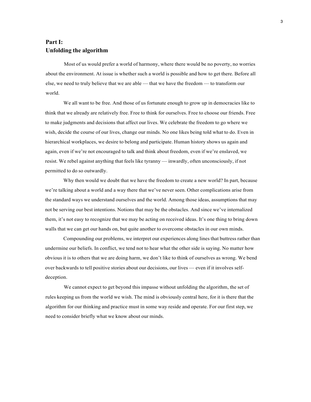### <span id="page-6-0"></span>**Part I: Unfolding the algorithm**

Most of us would prefer a world of harmony, where there would be no poverty, no worries about the environment. At issue is whether such a world is possible and how to get there. Before all else, we need to truly believe that we are able — that we have the freedom — to transform our world.

We all want to be free. And those of us fortunate enough to grow up in democracies like to think that we already are relatively free. Free to think for ourselves. Free to choose our friends. Free to make judgments and decisions that affect our lives. We celebrate the freedom to go where we wish, decide the course of our lives, change our minds. No one likes being told what to do. Even in hierarchical workplaces, we desire to belong and participate. Human history shows us again and again, even if we're not encouraged to talk and think about freedom, even if we're enslaved, we resist. We rebel against anything that feels like tyranny — inwardly, often unconsciously, if not permitted to do so outwardly.

Why then would we doubt that we have the freedom to create a new world? In part, because we're talking about a world and a way there that we've never seen. Other complications arise from the standard ways we understand ourselves and the world. Among those ideas, assumptions that may not be serving our best intentions. Notions that may be the obstacles. And since we've internalized them, it's not easy to recognize that we may be acting on received ideas. It's one thing to bring down walls that we can get our hands on, but quite another to overcome obstacles in our own minds.

Compounding our problems, we interpret our experiences along lines that buttress rather than undermine our beliefs. In conflict, we tend not to hear what the other side is saying. No matter how obvious it is to others that we are doing harm, we don't like to think of ourselves as wrong. We bend over backwards to tell positive stories about our decisions, our lives — even if it involves selfdeception.

We cannot expect to get beyond this impasse without unfolding the algorithm, the set of rules keeping us from the world we wish. The mind is obviously central here, for it is there that the algorithm for our thinking and practice must in some way reside and operate. For our first step, we need to consider briefly what we know about our minds.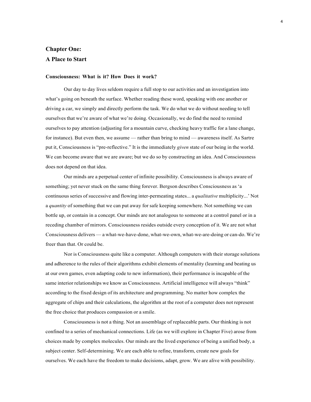# <span id="page-7-0"></span>**Chapter One: A Place to Start**

#### **Consciousness: What is it? How Does it work?**

Our day to day lives seldom require a full stop to our activities and an investigation into what's going on beneath the surface. Whether reading these word, speaking with one another or driving a car, we simply and directly perform the task. We do what we do without needing to tell ourselves that we're aware of what we're doing. Occasionally, we do find the need to remind ourselves to pay attention (adjusting for a mountain curve, checking heavy traffic for a lane change, for instance). But even then, we assume — rather than bring to mind — awareness itself. As Sartre put it, Consciousness is "pre-reflective." It is the immediately *given* state of our being in the world. We can become aware that we are aware; but we do so by constructing an idea. And Consciousness does not depend on that idea.

Our minds are a perpetual center of infinite possibility. Consciousness is always aware of something; yet never stuck on the same thing forever. Bergson describes Consciousness as 'a continuous series of successive and flowing inter-permeating states... a *qualitative* multiplicity...' Not a *quantity* of something that we can put away for safe keeping somewhere. Not something we can bottle up, or contain in a concept. Our minds are not analogous to someone at a control panel or in a receding chamber of mirrors. Consciousness resides outside every conception of it. We are not what Consciousness delivers — a what-we-have-done, what-we-own, what-we-are-doing or can-do. We're freer than that. Or could be.

Nor is Consciousness quite like a computer. Although computers with their storage solutions and adherence to the rules of their algorithms exhibit elements of mentality (learning and beating us at our own games, even adapting code to new information), their performance is incapable of the same interior relationships we know as Consciousness. Artificial intelligence will always "think" according to the fixed design of its architecture and programming. No matter how complex the aggregate of chips and their calculations, the algorithm at the root of a computer does not represent the free choice that produces compassion or a smile.

Consciousness is not a thing. Not an assemblage of replaceable parts. Our thinking is not confined to a series of mechanical connections. Life (as we will explore in Chapter Five) arose from choices made by complex molecules. Our minds are the lived experience of being a unified body, a subject center. Self-determining. We are each able to refine, transform, create new goals for ourselves. We each have the freedom to make decisions, adapt, grow. We are alive with possibility.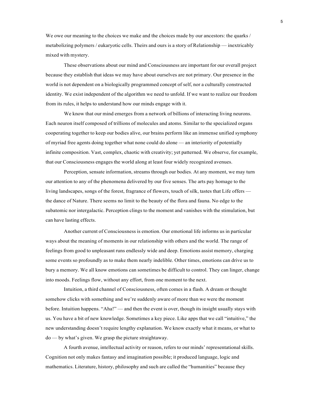We owe our meaning to the choices we make and the choices made by our ancestors: the quarks / metabolizing polymers / eukaryotic cells. Theirs and ours is a story of Relationship — inextricably mixed with mystery.

These observations about our mind and Consciousness are important for our overall project because they establish that ideas we may have about ourselves are not primary. Our presence in the world is not dependent on a biologically programmed concept of self, nor a culturally constructed identity. We exist independent of the algorithm we need to unfold. If we want to realize our freedom from its rules, it helps to understand how our minds engage with it.

We know that our mind emerges from a network of billions of interacting living neurons. Each neuron itself composed of trillions of molecules and atoms. Similar to the specialized organs cooperating together to keep our bodies alive, our brains perform like an immense unified symphony of myriad free agents doing together what none could do alone — an interiority of potentially infinite composition. Vast, complex, chaotic with creativity; yet patterned. We observe, for example, that our Consciousness engages the world along at least four widely recognized avenues.

Perception, sensate information, streams through our bodies. At any moment, we may turn our attention to any of the phenomena delivered by our five senses. The arts pay homage to the living landscapes, songs of the forest, fragrance of flowers, touch of silk, tastes that Life offers the dance of Nature. There seems no limit to the beauty of the flora and fauna. No edge to the subatomic nor intergalactic. Perception clings to the moment and vanishes with the stimulation, but can have lasting effects.

Another current of Consciousness is emotion. Our emotional life informs us in particular ways about the meaning of moments in our relationship with others and the world. The range of feelings from good to unpleasant runs endlessly wide and deep. Emotions assist memory, charging some events so profoundly as to make them nearly indelible. Other times, emotions can drive us to bury a memory. We all know emotions can sometimes be difficult to control. They can linger, change into moods. Feelings flow, without any effort, from one moment to the next.

Intuition, a third channel of Consciousness, often comes in a flash. A dream or thought somehow clicks with something and we're suddenly aware of more than we were the moment before. Intuition happens. "Aha!" — and then the event is over, though its insight usually stays with us. You have a bit of new knowledge. Sometimes a key piece. Like apps that we call "intuitive," the new understanding doesn't require lengthy explanation. We know exactly what it means, or what to do — by what's given. We grasp the picture straightaway.

A fourth avenue, intellectual activity or reason, refers to our minds' representational skills. Cognition not only makes fantasy and imagination possible; it produced language, logic and mathematics. Literature, history, philosophy and such are called the "humanities" because they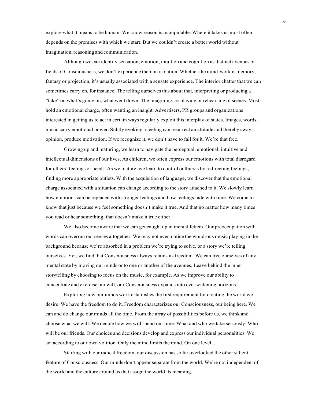explore what it means to be human. We know reason is manipulable. Where it takes us most often depends on the premises with which we start. But we couldn't create a better world without imagination, reasoning and communication.

Although we can identify sensation, emotion, intuition and cognition as distinct avenues or fields of Consciousness, we don't experience them in isolation. Whether the mind-work is memory, fantasy or projection, it's usually associated with a sensate experience. The interior chatter that we can sometimes carry on, for instance. The telling ourselves this about that, interpreting or producing a "take" on what's going on, what went down. The imagining, re-playing or rehearsing of scenes. Most hold an emotional charge, often wanting an insight. Advertisers, PR groups and organizations interested in getting us to act in certain ways regularly exploit this interplay of states. Images, words, music carry emotional power. Subtly evoking a feeling can resurrect an attitude and thereby sway opinion, produce motivation. If we recognize it, we don't have to fall for it. We're that free.

Growing up and maturing, we learn to navigate the perceptual, emotional, intuitive and intellectual dimensions of our lives. As children, we often express our emotions with total disregard for others' feelings or needs. As we mature, we learn to control outbursts by redirecting feelings, finding more appropriate outlets. With the acquisition of language, we discover that the emotional charge associated with a situation can change according to the story attached to it. We slowly learn how emotions can be replaced with stronger feelings and how feelings fade with time. We come to know that just because we feel something doesn't make it true. And that no matter how many times you read or hear something, that doesn't make it true either.

We also become aware that we can get caught up in mental fetters. Our preoccupation with words can overrun our senses altogether. We may not even notice the wondrous music playing in the background because we're absorbed in a problem we're trying to solve, or a story we're telling ourselves. Yet, we find that Consciousness always retains its freedom. We can free ourselves of any mental state by moving our minds onto one or another of the avenues. Leave behind the inner storytelling by choosing to focus on the music, for example. As we improve our ability to concentrate and exercise our will, our Consciousness expands into ever widening horizons.

Exploring how our minds work establishes the first requirement for creating the world we desire. We have the freedom to do it. Freedom characterizes our Consciousness, our being here. We can and do change our minds all the time. From the array of possibilities before us, we think and choose what we will. We decide how we will spend our time. What and who we take seriously. Who will be our friends. Our choices and decisions develop and express our individual personalities. We act according to our own volition. Only the mind limits the mind. On one level...

Starting with our radical freedom, our discussion has so far overlooked the other salient feature of Consciousness. Our minds don't appear separate from the world. We're not independent of the world and the culture around us that assign the world its meaning.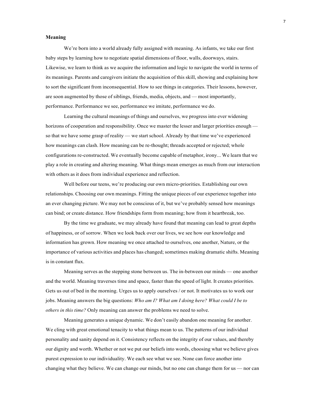#### **Meaning**

We're born into a world already fully assigned with meaning. As infants, we take our first baby steps by learning how to negotiate spatial dimensions of floor, walls, doorways, stairs. Likewise, we learn to think as we acquire the information and logic to navigate the world in terms of its meanings. Parents and caregivers initiate the acquisition of this skill, showing and explaining how to sort the significant from inconsequential. How to see things in categories. Their lessons, however, are soon augmented by those of siblings, friends, media, objects, and — most importantly, performance. Performance we see, performance we imitate, performance we do.

Learning the cultural meanings of things and ourselves, we progress into ever widening horizons of cooperation and responsibility. Once we master the lesser and larger priorities enough so that we have some grasp of reality — we start school. Already by that time we've experienced how meanings can clash. How meaning can be re-thought; threads accepted or rejected; whole configurations re-constructed. We eventually become capable of metaphor, irony... We learn that we play a role in creating and altering meaning. What things mean emerges as much from our interaction with others as it does from individual experience and reflection.

Well before our teens, we're producing our own micro-priorities. Establishing our own relationships. Choosing our own meanings. Fitting the unique pieces of our experience together into an ever changing picture. We may not be conscious of it, but we've probably sensed how meanings can bind; or create distance. How friendships form from meaning; how from it heartbreak, too.

By the time we graduate, we may already have found that meaning can lead to great depths of happiness, or of sorrow. When we look back over our lives, we see how our knowledge and information has grown. How meaning we once attached to ourselves, one another, Nature, or the importance of various activities and places has changed; sometimes making dramatic shifts. Meaning is in constant flux.

Meaning serves as the stepping stone between us. The in-between our minds — one another and the world. Meaning traverses time and space, faster than the speed of light. It creates priorities. Gets us out of bed in the morning. Urges us to apply ourselves / or not. It motivates us to work our jobs. Meaning answers the big questions: *Who am I? What am I doing here? What could I be to others in this time?* Only meaning can answer the problems we need to solve.

Meaning generates a unique dynamic. We don't easily abandon one meaning for another. We cling with great emotional tenacity to what things mean to us. The patterns of our individual personality and sanity depend on it. Consistency reflects on the integrity of our values, and thereby our dignity and worth. Whether or not we put our beliefs into words, choosing what we believe gives purest expression to our individuality. We each see what we see. None can force another into changing what they believe. We can change our minds, but no one can change them for us — nor can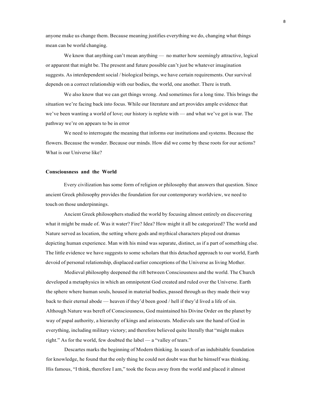anyone make us change them. Because meaning justifies everything we do, changing what things mean can be world changing.

We know that anything can't mean anything — no matter how seemingly attractive, logical or apparent that might be. The present and future possible can't just be whatever imagination suggests. As interdependent social / biological beings, we have certain requirements. Our survival depends on a correct relationship with our bodies, the world, one another. There is truth.

We also know that we can get things wrong. And sometimes for a long time. This brings the situation we're facing back into focus. While our literature and art provides ample evidence that we've been wanting a world of love; our history is replete with — and what we've got is war. The pathway we're on appears to be in error

We need to interrogate the meaning that informs our institutions and systems. Because the flowers. Because the wonder. Because our minds. How did we come by these roots for our actions? What is our Universe like?

#### **Consciousness and the World**

Every civilization has some form of religion or philosophy that answers that question. Since ancient Greek philosophy provides the foundation for our contemporary worldview, we need to touch on those underpinnings.

Ancient Greek philosophers studied the world by focusing almost entirely on discovering what it might be made of. Was it water? Fire? Idea? How might it all be categorized? The world and Nature served as location, the setting where gods and mythical characters played out dramas depicting human experience. Man with his mind was separate, distinct, as if a part of something else. The little evidence we have suggests to some scholars that this detached approach to our world, Earth devoid of personal relationship, displaced earlier conceptions of the Universe as living Mother.

Medieval philosophy deepened the rift between Consciousness and the world. The Church developed a metaphysics in which an omnipotent God created and ruled over the Universe. Earth the sphere where human souls, housed in material bodies, passed through as they made their way back to their eternal abode — heaven if they'd been good / hell if they'd lived a life of sin. Although Nature was bereft of Consciousness, God maintained his Divine Order on the planet by way of papal authority, a hierarchy of kings and aristocrats. Medievals saw the hand of God in everything, including military victory; and therefore believed quite literally that "might makes right." As for the world, few doubted the label — a "valley of tears."

Descartes marks the beginning of Modern thinking. In search of an indubitable foundation for knowledge, he found that the only thing he could not doubt was that he himself was thinking. His famous, "I think, therefore I am," took the focus away from the world and placed it almost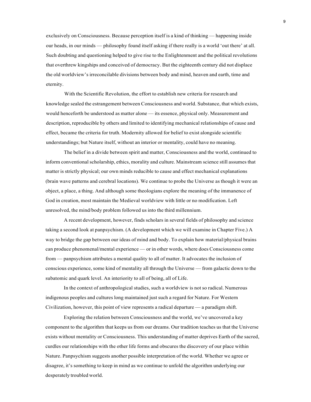exclusively on Consciousness. Because perception itself is a kind of thinking — happening inside our heads, in our minds — philosophy found itself asking if there really is a world 'out there' at all. Such doubting and questioning helped to give rise to the Enlightenment and the political revolutions that overthrew kingships and conceived of democracy. But the eighteenth century did not displace the old worldview's irreconcilable divisions between body and mind, heaven and earth, time and eternity.

With the Scientific Revolution, the effort to establish new criteria for research and knowledge sealed the estrangement between Consciousness and world. Substance, that which exists, would henceforth be understood as matter alone — its essence, physical only. Measurement and description, reproducible by others and limited to identifying mechanical relationships of cause and effect, became the criteria for truth. Modernity allowed for belief to exist alongside scientific understandings; but Nature itself, without an interior or mentality, could have no meaning.

The belief in a divide between spirit and matter, Consciousness and the world, continued to inform conventional scholarship, ethics, morality and culture. Mainstream science still assumes that matter is strictly physical; our own minds reducible to cause and effect mechanical explanations (brain wave patterns and cerebral locations). We continue to probe the Universe as though it were an object, a place, a thing. And although some theologians explore the meaning of the immanence of God in creation, most maintain the Medieval worldview with little or no modification. Left unresolved, the mind/body problem followed us into the third millennium.

A recent development, however, finds scholars in several fields of philosophy and science taking a second look at panpsychism. (A development which we will examine in Chapter Five.) A way to bridge the gap between our ideas of mind and body. To explain how material/physical brains can produce phenomenal/mental experience — or in other words, where does Consciousness come from — panpsychism attributes a mental quality to all of matter. It advocates the inclusion of conscious experience, some kind of mentality all through the Universe — from galactic down to the subatomic and quark level. An interiority to all of being, all of Life.

In the context of anthropological studies, such a worldview is not so radical. Numerous indigenous peoples and cultures long maintained just such a regard for Nature. For Western Civilization, however, this point of view represents a radical departure — a paradigm shift.

Exploring the relation between Consciousness and the world, we've uncovered a key component to the algorithm that keeps us from our dreams. Our tradition teaches us that the Universe exists without mentality or Consciousness. This understanding of matter deprives Earth of the sacred, curdles our relationships with the other life forms and obscures the discovery of our place within Nature. Panpsychism suggests another possible interpretation of the world. Whether we agree or disagree, it's something to keep in mind as we continue to unfold the algorithm underlying our desperately troubled world.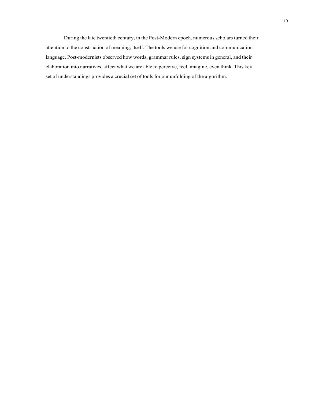During the late twentieth century, in the Post-Modern epoch, numerous scholars turned their attention to the construction of meaning, itself. The tools we use for cognition and communication language. Post-modernists observed how words, grammar rules, sign systems in general, and their elaboration into narratives, affect what we are able to perceive, feel, imagine, even think. This key set of understandings provides a crucial set of tools for our unfolding of the algorithm.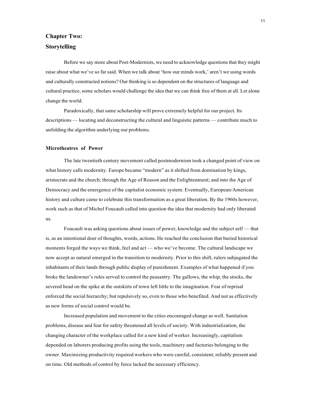# <span id="page-14-0"></span>**Chapter Two: Storytelling**

Before we say more about Post-Modernists, we need to acknowledge questions that they might raise about what we've so far said. When we talk about 'how our minds work,' aren't we using words and culturally constructed notions? Our thinking isso dependent on the structures of language and cultural practice, some scholars would challenge the idea that we can think free of them at all. Let alone change the world.

Paradoxically, that same scholarship will prove extremely helpful for our project. Its descriptions — locating and deconstructing the cultural and linguistic patterns — contribute much to unfolding the algorithm underlying our problems.

#### **Microtheatres of Power**

The late twentieth century movement called postmodernism took a changed point of view on what history calls modernity. Europe became "modern" as it shifted from domination by kings, aristocrats and the church; through the Age of Reason and the Enlightenment; and into the Age of Democracy and the emergence of the capitalist economic system. Eventually, European/American history and culture came to celebrate this transformation as a great liberation. By the 1960s however, work such as that of Michel Foucault called into question the idea that modernity had only liberated us.

Foucault was asking questions about issues of power, knowledge and the subject self — that is, as an intentional doer of thoughts, words, actions. He reached the conclusion that buried historical moments forged the ways we think, feel and act — who we've become. The cultural landscape we now accept as natural emerged in the transition to modernity. Prior to this shift, rulers subjugated the inhabitants of their lands through public display of punishment. Examples of what happened if you broke the landowner's rules served to control the peasantry. The gallows, the whip, the stocks, the severed head on the spike at the outskirts of town left little to the imagination. Fear of reprisal enforced the social hierarchy; but repulsively so, even to those who benefited. And not as effectively as new forms of social control would be.

Increased population and movement to the cities encouraged change as well. Sanitation problems, disease and fear for safety threatened all levels of society. With industrialization, the changing character of the workplace called for a new kind of worker. Increasingly, capitalism depended on laborers producing profits using the tools, machinery and factories belonging to the owner. Maximizing productivity required workers who were careful, consistent, reliably present and on time. Old methods of control by force lacked the necessary efficiency.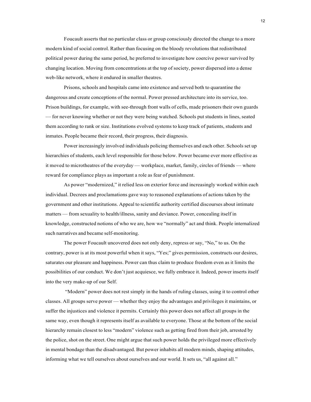Foucault asserts that no particular class or group consciously directed the change to a more modern kind of social control. Rather than focusing on the bloody revolutions that redistributed political power during the same period, he preferred to investigate how coercive power survived by changing location. Moving from concentrations at the top of society, power dispersed into a dense web-like network, where it endured in smaller theatres.

Prisons, schools and hospitals came into existence and served both to quarantine the dangerous and create conceptions of the normal. Power pressed architecture into its service, too. Prison buildings, for example, with see-through front walls of cells, made prisoners their own guards — for never knowing whether or not they were being watched. Schools put students in lines, seated them according to rank or size. Institutions evolved systems to keep track of patients, students and inmates. People became their record, their progress, their diagnosis.

Power increasingly involved individuals policing themselves and each other. Schools set up hierarchies of students, each level responsible for those below. Power became ever more effective as it moved to microtheatres of the everyday — workplace, market, family, circles of friends — where reward for compliance plays as important a role as fear of punishment.

As power "modernized," it relied less on exterior force and increasingly worked within each individual. Decrees and proclamations gave way to reasoned explanations of actions taken by the government and other institutions. Appeal to scientific authority certified discourses about intimate matters — from sexuality to health/illness, sanity and deviance. Power, concealing itself in knowledge, constructed notions of who we are, how we "normally" act and think. People internalized such narratives and became self-monitoring.

The power Foucault uncovered does not only deny, repress or say, "No," to us. On the contrary, power is at its most powerful when it says, "Yes;" gives permission, constructs our desires, saturates our pleasure and happiness. Power can thus claim to produce freedom even as it limits the possibilities of our conduct. We don't just acquiesce, we fully embrace it. Indeed, power inserts itself into the very make-up of our Self.

"Modern" power does not rest simply in the hands of ruling classes, using it to control other classes. All groups serve power — whether they enjoy the advantages and privileges it maintains, or suffer the injustices and violence it permits. Certainly this power does not affect all groups in the same way, even though it represents itself as available to everyone. Those at the bottom of the social hierarchy remain closest to less "modern" violence such as getting fired from their job, arrested by the police, shot on the street. One might argue that such power holds the privileged more effectively in mental bondage than the disadvantaged. But power inhabits all modern minds, shaping attitudes, informing what we tell ourselves about ourselves and our world. It sets us, "all against all."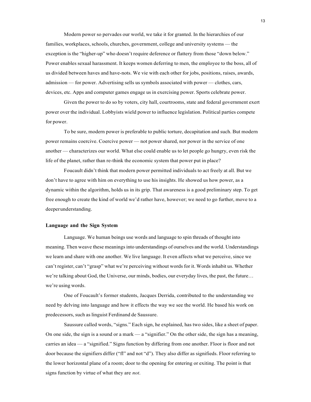Modern power so pervades our world, we take it for granted. In the hierarchies of our families, workplaces, schools, churches, government, college and university systems — the exception is the "higher-up" who doesn't require deference or flattery from those "down below." Power enables sexual harassment. It keeps women deferring to men, the employee to the boss, all of us divided between haves and have-nots. We vie with each other for jobs, positions, raises, awards, admission — for power. Advertising sells us symbols associated with power — clothes, cars, devices, etc. Apps and computer games engage us in exercising power. Sports celebrate power.

Given the power to do so by voters, city hall, courtrooms, state and federal government exert power over the individual. Lobbyists wield power to influence legislation. Political parties compete for power.

To be sure, modern power is preferable to public torture, decapitation and such. But modern power remains coercive. Coercive power — not power shared, nor power in the service of one another — characterizes our world. What else could enable us to let people go hungry, even risk the life of the planet, rather than re-think the economic system that power put in place?

Foucault didn't think that modern power permitted individuals to act freely at all. But we don't have to agree with him on everything to use his insights. He showed us how power, as a dynamic within the algorithm, holds us in its grip. That awareness is a good preliminary step. To get free enough to create the kind of world we'd rather have, however; we need to go further, move to a deeperunderstanding.

#### **Language and the Sign System**

Language. We human beings use words and language to spin threads of thought into meaning. Then weave these meaningsinto understandings of ourselves and the world. Understandings we learn and share with one another. We live language. It even affects what we perceive, since we can't register, can't "grasp" what we're perceiving without words for it. Words inhabit us. Whether we're talking about God, the Universe, our minds, bodies, our everyday lives, the past, the future… we're using words.

One of Foucault's former students, Jacques Derrida, contributed to the understanding we need by delving into language and how it effects the way we see the world. He based his work on predecessors, such as linguist Ferdinand de Saussure.

Saussure called words, "signs." Each sign, he explained, has two sides, like a sheet of paper. On one side, the sign is a sound or a mark — a "signifier." On the other side, the sign has a meaning, carries an idea — a "signified." Signs function by differing from one another. Floor is floor and not door because the signifiers differ ("fl" and not "d"). They also differ as signifieds. Floor referring to the lower horizontal plane of a room; door to the opening for entering or exiting. The point is that signs function by virtue of what they are *not*.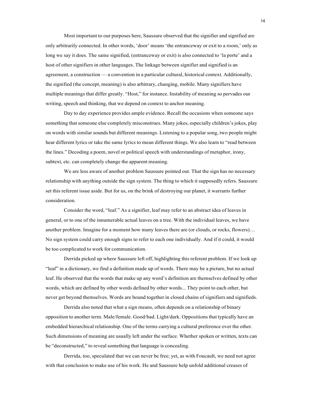Most important to our purposes here, Saussure observed that the signifier and signified are only arbitrarily connected. In other words, 'door' means 'the entranceway or exit to a room,' only as long we say it does. The same signified, (entranceway or exit) is also connected to 'la porte' and a host of other signifiers in other languages. The linkage between signifier and signified is an agreement, a construction — a convention in a particular cultural, historical context. Additionally, the signified (the concept, meaning) is also arbitrary, changing, mobile. Many signifiers have multiple meanings that differ greatly. "Host," for instance. Instability of meaning so pervades our writing, speech and thinking, that we depend on context to anchor meaning.

Day to day experience provides ample evidence. Recall the occasions when someone says something that someone else completely misconstrues. Many jokes, especially children's jokes, play on words with similar sounds but different meanings. Listening to a popular song, two people might hear different lyrics or take the same lyrics to mean different things. We also learn to "read between the lines." Decoding a poem, novel or political speech with understandings of metaphor, irony, subtext, etc. can completely change the apparent meaning.

We are less aware of another problem Saussure pointed out. That the sign has no necessary relationship with anything outside the sign system. The thing to which it supposedly refers. Saussure set this referent issue aside. But for us, on the brink of destroying our planet, it warrants further consideration.

Consider the word, "leaf." As a signifier, leaf may refer to an abstract idea of leaves in general, or to one of the innumerable actual leaves on a tree. With the individual leaves, we have another problem. Imagine for a moment how many leaves there are (or clouds, or rocks, flowers)… No sign system could carry enough signs to refer to each one individually. And if it could, it would be too complicated to work for communication.

Derrida picked up where Saussure left off, highlighting this referent problem. If we look up "leaf" in a dictionary, we find a definition made up of words. There may be a picture, but no actual leaf. He observed that the words that make up any word's definition are themselves defined by other words, which are defined by other words defined by other words... They point to each other, but never get beyond themselves. Words are bound together in closed chains of signifiers and signifieds.

Derrida also noted that what a sign means, often depends on a relationship of binary opposition to another term. Male/female. Good/bad. Light/dark. Oppositions that typically have an embedded hierarchical relationship. One of the terms carrying a cultural preference over the other. Such dimensions of meaning are usually left under the surface. Whether spoken or written, texts can be "deconstructed," to reveal something that language is concealing.

Derrida, too, speculated that we can never be free; yet, as with Foucault, we need not agree with that conclusion to make use of his work. He and Saussure help unfold additional creases of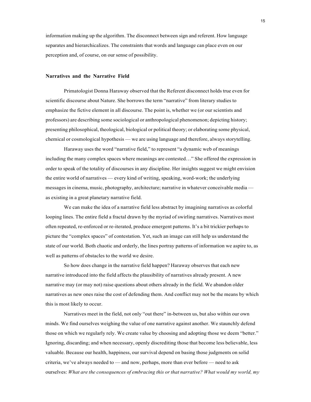information making up the algorithm. The disconnect between sign and referent. How language separates and hierarchicalizes. The constraints that words and language can place even on our perception and, of course, on our sense of possibility.

#### **Narratives and the Narrative Field**

Primatologist Donna Haraway observed that the Referent disconnect holds true even for scientific discourse about Nature. She borrows the term "narrative" from literary studies to emphasize the fictive element in all discourse. The point is, whether we (or our scientists and professors) are describing some sociological or anthropological phenomenon; depicting history; presenting philosophical, theological, biological or political theory; or elaborating some physical, chemical or cosmological hypothesis — we are using language and therefore, always storytelling.

Haraway uses the word "narrative field," to represent "a dynamic web of meanings including the many complex spaces where meanings are contested…" She offered the expression in order to speak of the totality of discourses in any discipline. Her insights suggest we might envision the entire world of narratives — every kind of writing, speaking, word-work; the underlying messages in cinema, music, photography, architecture; narrative in whatever conceivable media as existing in a great planetary narrative field.

We can make the idea of a narrative field less abstract by imagining narratives as colorful looping lines. The entire field a fractal drawn by the myriad of swirling narratives. Narratives most often repeated, re-enforced or re-iterated, produce emergent patterns. It's a bit trickier perhaps to picture the "complex spaces" of contestation. Yet, such an image can still help us understand the state of our world. Both chaotic and orderly, the lines portray patterns of information we aspire to, as well as patterns of obstacles to the world we desire.

So how does change in the narrative field happen? Haraway observes that each new narrative introduced into the field affects the plausibility of narratives already present. A new narrative may (or may not) raise questions about others already in the field. We abandon older narratives as new ones raise the cost of defending them. And conflict may not be the means by which this is most likely to occur.

Narratives meet in the field, not only "out there" in-between us, but also within our own minds. We find ourselves weighing the value of one narrative against another. We staunchly defend those on which we regularly rely. We create value by choosing and adopting those we deem "better." Ignoring, discarding; and when necessary, openly discrediting those that become less believable, less valuable. Because our health, happiness, our survival depend on basing those judgments on solid criteria, we've always needed to — and now, perhaps, more than ever before — need to ask ourselves: *What are the consequences of embracing this or that narrative? What would my world, my*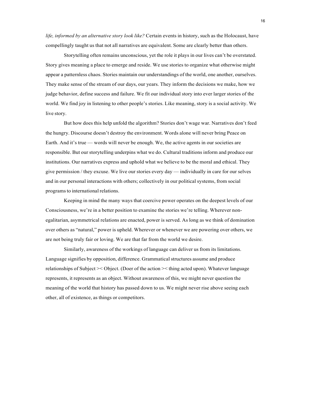*life, informed by an alternative story look like?* Certain events in history, such as the Holocaust, have compellingly taught us that not all narratives are equivalent. Some are clearly better than others.

Storytelling often remains unconscious, yet the role it plays in our lives can't be overstated. Story gives meaning a place to emerge and reside. We use stories to organize what otherwise might appear a patternless chaos. Stories maintain our understandings of the world, one another, ourselves. They make sense of the stream of our days, our years. They inform the decisions we make, how we judge behavior, define success and failure. We fit our individual story into ever larger stories of the world. We find joy in listening to other people's stories. Like meaning, story is a social activity. We live story.

But how does this help unfold the algorithm? Stories don't wage war. Narratives don't feed the hungry. Discourse doesn't destroy the environment. Words alone will never bring Peace on Earth. And it's true — words will never be enough. We, the active agents in our societies are responsible. But our storytelling underpins what we do. Cultural traditions inform and produce our institutions. Our narratives express and uphold what we believe to be the moral and ethical. They give permission / they excuse. We live our stories every day — individually in care for our selves and in our personal interactions with others; collectively in our political systems, from social programsto international relations.

Keeping in mind the many ways that coercive power operates on the deepest levels of our Consciousness, we're in a better position to examine the stories we're telling. Wherever nonegalitarian, asymmetrical relations are enacted, power is served. As long as we think of domination over others as "natural," power is upheld. Wherever or whenever we are powering over others, we are not being truly fair or loving. We are that far from the world we desire.

Similarly, awareness of the workings of language can deliver us from its limitations. Language signifies by opposition, difference. Grammatical structures assume and produce relationships of Subject >< Object. (Doer of the action >< thing acted upon). Whatever language represents, it represents as an object. Without awareness of this, we might never question the meaning of the world that history has passed down to us. We might never rise above seeing each other, all of existence, as things or competitors.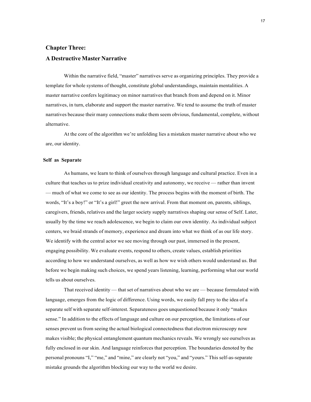# <span id="page-20-0"></span>**Chapter Three: A Destructive Master Narrative**

Within the narrative field, "master" narratives serve as organizing principles. They provide a template for whole systems of thought, constitute global understandings, maintain mentalities. A master narrative confers legitimacy on minor narratives that branch from and depend on it. Minor narratives, in turn, elaborate and support the master narrative. We tend to assume the truth of master narratives because their many connections make them seem obvious, fundamental, complete, without alternative.

At the core of the algorithm we're unfolding lies a mistaken master narrative about who we are, our identity.

#### **Self as Separate**

As humans, we learn to think of ourselves through language and cultural practice. Even in a culture that teaches us to prize individual creativity and autonomy, we receive — rather than invent — much of what we come to see as our identity. The process begins with the moment of birth. The words, "It's a boy!" or "It's a girl!" greet the new arrival. From that moment on, parents, siblings, caregivers, friends, relatives and the larger society supply narratives shaping our sense of Self. Later, usually by the time we reach adolescence, we begin to claim our own identity. As individual subject centers, we braid strands of memory, experience and dream into what we think of as our life story. We identify with the central actor we see moving through our past, immersed in the present, engaging possibility. We evaluate events, respond to others, create values, establish priorities according to how we understand ourselves, as well as how we wish others would understand us. But before we begin making such choices, we spend years listening, learning, performing what our world tells us about ourselves.

That received identity — that set of narratives about who we are — because formulated with language, emerges from the logic of difference. Using words, we easily fall prey to the idea of a separate self with separate self-interest. Separateness goes unquestioned because it only "makes sense." In addition to the effects of language and culture on our perception, the limitations of our senses prevent us from seeing the actual biological connectedness that electron microscopy now makes visible; the physical entanglement quantum mechanics reveals. We wrongly see ourselves as fully enclosed in our skin. And language reinforces that perception. The boundaries denoted by the personal pronouns "I," "me," and "mine," are clearly not "you," and "yours." This self-as-separate mistake grounds the algorithm blocking our way to the world we desire.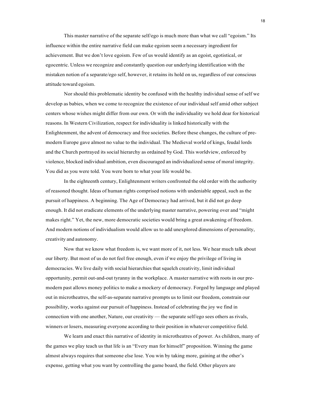This master narrative of the separate self/ego is much more than what we call "egoism." Its influence within the entire narrative field can make egoism seem a necessary ingredient for achievement. But we don't love egoism. Few of us would identify as an egoist, egotistical, or egocentric. Unless we recognize and constantly question our underlying identification with the mistaken notion of a separate/ego self, however, it retains its hold on us, regardless of our conscious attitude toward egoism.

Nor should this problematic identity be confused with the healthy individual sense of self we develop as babies, when we come to recognize the existence of our individual self amid other subject centers whose wishes might differ from our own. Or with the individuality we hold dear for historical reasons. In Western Civilization, respect for individuality is linked historically with the Enlightenment, the advent of democracy and free societies. Before these changes, the culture of premodern Europe gave almost no value to the individual. The Medieval world of kings, feudal lords and the Church portrayed its social hierarchy as ordained by God. This worldview, enforced by violence, blocked individual ambition, even discouraged an individualized sense of moral integrity. You did as you were told. You were born to what your life would be.

In the eighteenth century, Enlightenment writers confronted the old order with the authority of reasoned thought. Ideas of human rights comprised notions with undeniable appeal, such as the pursuit of happiness. A beginning. The Age of Democracy had arrived, but it did not go deep enough. It did not eradicate elements of the underlying master narrative, powering over and "might makes right." Yet, the new, more democratic societies would bring a great awakening of freedom. And modern notions of individualism would allow us to add unexplored dimensions of personality, creativity and autonomy.

Now that we know what freedom is, we want more of it, not less. We hear much talk about our liberty. But most of us do not feel free enough, even if we enjoy the privilege of living in democracies. We live daily with social hierarchies that squelch creativity, limit individual opportunity, permit out-and-out tyranny in the workplace. A master narrative with roots in our premodern past allows money politics to make a mockery of democracy. Forged by language and played out in microtheatres, the self-as-separate narrative prompts us to limit our freedom, constrain our possibility, works against our pursuit of happiness. Instead of celebrating the joy we find in connection with one another, Nature, our creativity — the separate self/ego sees others as rivals, winners or losers, measuring everyone according to their position in whatever competitive field.

We learn and enact this narrative of identity in microtheatres of power. As children, many of the games we play teach us that life is an "Every man for himself" proposition. Winning the game almost always requires that someone else lose. You win by taking more, gaining at the other's expense, getting what you want by controlling the game board, the field. Other players are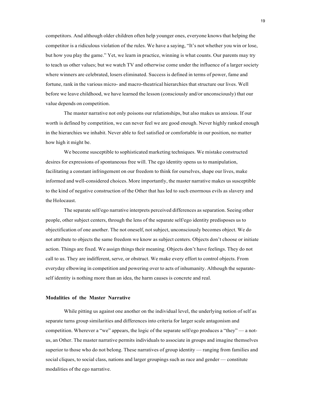competitors. And although older children often help younger ones, everyone knows that helping the competitor is a ridiculous violation of the rules. We have a saying, "It's not whether you win or lose, but how you play the game." Yet, we learn in practice, winning is what counts. Our parents may try to teach us other values; but we watch TV and otherwise come under the influence of a larger society where winners are celebrated, losers eliminated. Success is defined in terms of power, fame and fortune, rank in the various micro- and macro-theatrical hierarchies that structure our lives. Well before we leave childhood, we have learned the lesson (consciously and/or unconsciously) that our value depends on competition.

The master narrative not only poisons our relationships, but also makes us anxious. If our worth is defined by competition, we can never feel we are good enough. Never highly ranked enough in the hierarchies we inhabit. Never able to feel satisfied or comfortable in our position, no matter how high it might be.

We become susceptible to sophisticated marketing techniques. We mistake constructed desires for expressions of spontaneous free will. The ego identity opens us to manipulation, facilitating a constant infringement on our freedom to think for ourselves, shape our lives, make informed and well-considered choices. More importantly, the master narrative makes us susceptible to the kind of negative construction of the Other that has led to such enormous evils as slavery and the Holocaust.

The separate self/ego narrative interprets perceived differences as separation. Seeing other people, other subject centers, through the lens of the separate self/ego identity predisposes us to objectification of one another. The not oneself, not subject, unconsciously becomes object. We do not attribute to objects the same freedom we know as subject centers. Objects don't choose or initiate action. Things are fixed. We assign things their meaning. Objects don't have feelings. They do not call to us. They are indifferent, serve, or obstruct. We make every effort to control objects. From everyday elbowing in competition and powering over to acts of inhumanity. Although the separateself identity is nothing more than an idea, the harm causes is concrete and real.

#### **Modalities of the Master Narrative**

While pitting us against one another on the individual level, the underlying notion of self as separate turns group similarities and differences into criteria for larger scale antagonism and competition. Wherever a "we" appears, the logic of the separate self/ego produces a "they" — a notus, an Other. The master narrative permits individuals to associate in groups and imagine themselves superior to those who do not belong. These narratives of group identity — ranging from families and social cliques, to social class, nations and larger groupings such as race and gender — constitute modalities of the ego narrative.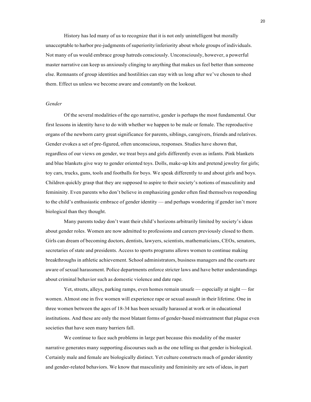History has led many of us to recognize that it is not only unintelligent but morally unacceptable to harbor pre-judgments of superiority/inferiority about whole groups of individuals. Not many of us would embrace group hatreds consciously. Unconsciously, however, a powerful master narrative can keep us anxiously clinging to anything that makes us feel better than someone else. Remnants of group identities and hostilities can stay with us long after we've chosen to shed them. Effect us unless we become aware and constantly on the lookout.

#### *Gender*

Of the several modalities of the ego narrative, gender is perhaps the most fundamental. Our first lessons in identity have to do with whether we happen to be male or female. The reproductive organs of the newborn carry great significance for parents, siblings, caregivers, friends and relatives. Gender evokes a set of pre-figured, often unconscious, responses. Studies have shown that, regardless of our views on gender, we treat boys and girls differently even as infants. Pink blankets and blue blankets give way to gender oriented toys. Dolls, make-up kits and pretend jewelry for girls; toy cars, trucks, guns, tools and footballs for boys. We speak differently to and about girls and boys. Children quickly grasp that they are supposed to aspire to their society's notions of masculinity and femininity. Even parents who don't believe in emphasizing gender often find themselves responding to the child's enthusiastic embrace of gender identity — and perhaps wondering if gender isn't more biological than they thought.

Many parents today don't want their child's horizons arbitrarily limited by society's ideas about gender roles. Women are now admitted to professions and careers previously closed to them. Girls can dream of becoming doctors, dentists, lawyers, scientists, mathematicians, CEOs, senators, secretaries of state and presidents. Access to sports programs allows women to continue making breakthroughs in athletic achievement. School administrators, business managers and the courts are aware of sexual harassment. Police departments enforce stricter laws and have better understandings about criminal behavior such as domestic violence and date rape.

Yet, streets, alleys, parking ramps, even homes remain unsafe — especially at night — for women. Almost one in five women will experience rape or sexual assault in their lifetime. One in three women between the ages of 18-34 has been sexually harassed at work or in educational institutions. And these are only the most blatant forms of gender-based mistreatment that plague even societies that have seen many barriers fall.

We continue to face such problems in large part because this modality of the master narrative generates many supporting discourses such as the one telling us that gender is biological. Certainly male and female are biologically distinct. Yet culture constructs much of gender identity and gender-related behaviors. We know that masculinity and femininity are sets of ideas, in part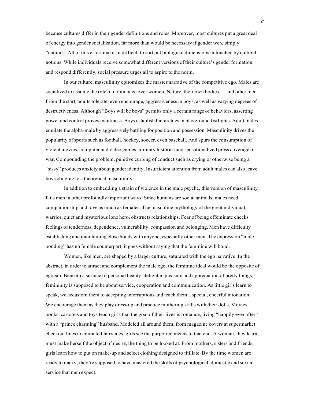because cultures differ in their gender definitions and roles. Moreover, most cultures put a great deal of energy into gender socialization, far more than would be necessary if gender were simply "natural." All of this effort makes it difficult to sort out biological dimensions untouched by cultural notions. While individuals receive somewhat different versions of their culture's gender formation, and respond differently, social pressure urges all to aspire to the norm.

In our culture, masculinity epitomizes the master narrative of the competitive ego. Males are socialized to assume the role of dominance over women, Nature, their own bodies — and other men. From the start, adults tolerate, even encourage, aggressiveness in boys; as well as varying degrees of destructiveness. Although "Boys will be boys" permits only a certain range of behaviors, asserting power and control proves manliness. Boys establish hierarchies in playground fistfights. Adult males emulate the alpha-male by aggressively battling for position and possession. Masculinity drives the popularity of sports such as football, hockey, soccer, even baseball. And spurs the consumption of violent movies, computer and video games, military histories and sensationalized press coverage of war. Compounding the problem, punitive curbing of conduct such as crying or otherwise being a "sissy" produces anxiety about gender identity. Insufficient attention from adult males can also leave boys clinging to a theoretical masculinity.

In addition to embedding a strain of violence in the male psyche, this version of masculinity fails men in other profoundly important ways. Since humans are social animals, males need companionship and love as much as females. The masculine mythology of the great individual, warrior, quiet and mysterious lone hero, obstructs relationships. Fear of being effeminate checks feelings of tenderness, dependence, vulnerability, compassion and belonging. Men have difficulty establishing and maintaining close bonds with anyone, especially other men. The expression "male bonding" has no female counterpart; it goes without saying that the feminine will bond.

Women, like men, are shaped by a larger culture, saturated with the ego narrative. In the abstract, in order to attract and complement the male ego, the feminine ideal would be the opposite of egoism. Beneath a surface of personal beauty, delight in pleasure and appreciation of pretty things, femininity is supposed to be about service, cooperation and communication. As little girls learn to speak, we accustom them to accepting interruptions and teach them a special, cheerful intonation. We encourage them as they play dress-up and practice mothering skills with their dolls. Movies, books, cartoons and toys teach girls that the goal of their lives is romance, living "happily ever after" with a "prince charming" husband. Modeled all around them, from magazine covers at supermarket checkout lines to animated fairytales, girls see the purported means to that end. A woman, they learn, must make herself the object of desire, the thing to be looked at. From mothers, sisters and friends, girls learn how to put on make-up and select clothing designed to titillate. By the time women are ready to marry, they're supposed to have mastered the skills of psychological, domestic and sexual service that men expect.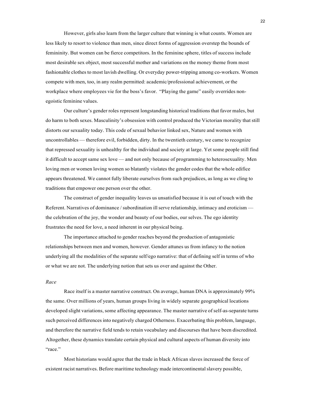However, girls also learn from the larger culture that winning is what counts. Women are less likely to resort to violence than men, since direct forms of aggression overstep the bounds of femininity. But women can be fierce competitors. In the feminine sphere, titles of success include most desirable sex object, most successful mother and variations on the money theme from most fashionable clothes to most lavish dwelling. Or everyday power-tripping among co-workers. Women compete with men, too, in any realm permitted: academic/professional achievement, or the workplace where employees vie for the boss's favor. "Playing the game" easily overrides nonegoistic feminine values.

Our culture's gender roles represent longstanding historical traditions that favor males, but do harm to both sexes. Masculinity's obsession with control produced the Victorian morality that still distorts our sexuality today. This code of sexual behavior linked sex, Nature and women with uncontrollables — therefore evil, forbidden, dirty. In the twentieth century, we came to recognize that repressed sexuality is unhealthy for the individual and society at large. Yet some people still find it difficult to accept same sex love — and not only because of programming to heterosexuality. Men loving men or women loving women so blatantly violates the gender codes that the whole edifice appears threatened. We cannot fully liberate ourselves from such prejudices, as long as we cling to traditions that empower one person over the other.

The construct of gender inequality leaves us unsatisfied because it is out of touch with the Referent. Narratives of dominance / subordination ill serve relationship, intimacy and eroticism the celebration of the joy, the wonder and beauty of our bodies, our selves. The ego identity frustrates the need for love, a need inherent in our physical being.

The importance attached to gender reaches beyond the production of antagonistic relationships between men and women, however. Gender attunes us from infancy to the notion underlying all the modalities of the separate self/ego narrative: that of defining self in terms of who or what we are not. The underlying notion that sets us over and against the Other.

#### *Race*

Race itself is a master narrative construct. On average, human DNA is approximately 99% the same. Over millions of years, human groups living in widely separate geographical locations developed slight variations, some affecting appearance. The master narrative of self-as-separate turns such perceived differencesinto negatively charged Otherness. Exacerbating this problem, language, and therefore the narrative field tends to retain vocabulary and discourses that have been discredited. Altogether, these dynamics translate certain physical and cultural aspects of human diversity into "race."

Most historians would agree that the trade in black African slaves increased the force of existent racist narratives. Before maritime technology made intercontinental slavery possible,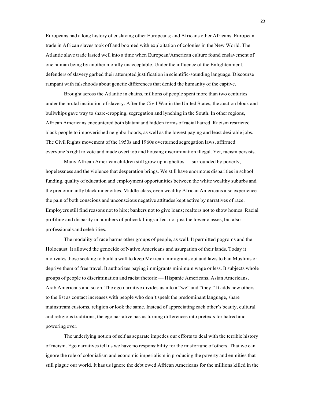Europeans had a long history of enslaving other Europeans; and Africans other Africans. European trade in African slaves took off and boomed with exploitation of colonies in the New World. The Atlantic slave trade lasted well into a time when European/American culture found enslavement of one human being by another morally unacceptable. Under the influence of the Enlightenment, defenders of slavery garbed their attempted justification in scientific-sounding language. Discourse rampant with falsehoods about genetic differences that denied the humanity of the captive.

Brought across the Atlantic in chains, millions of people spent more than two centuries under the brutal institution of slavery. After the Civil War in the United States, the auction block and bullwhips gave way to share-cropping, segregation and lynching in the South. In other regions, African Americans encountered both blatant and hidden forms of racial hatred. Racism restricted black people to impoverished neighborhoods, as well as the lowest paying and least desirable jobs. The Civil Rights movement of the 1950s and 1960s overturned segregation laws, affirmed everyone's right to vote and made overt job and housing discrimination illegal. Yet, racism persists.

Many African American children still grow up in ghettos — surrounded by poverty, hopelessness and the violence that desperation brings. We still have enormous disparities in school funding, quality of education and employment opportunities between the white wealthy suburbs and the predominantly black inner cities. Middle-class, even wealthy African Americans also experience the pain of both conscious and unconscious negative attitudes kept active by narratives of race. Employers still find reasons not to hire; bankers not to give loans; realtors not to show homes. Racial profiling and disparity in numbers of police killings affect not just the lower classes, but also professionals and celebrities.

The modality of race harms other groups of people, as well. It permitted pogroms and the Holocaust. It allowed the genocide of Native Americans and usurpation of their lands. Today it motivates those seeking to build a wall to keep Mexican immigrants out and laws to ban Muslims or deprive them of free travel. It authorizes paying immigrants minimum wage or less. It subjects whole groups of people to discrimination and racist rhetoric — Hispanic Americans, Asian Americans, Arab Americans and so on. The ego narrative divides us into a "we" and "they." It adds new others to the list as contact increases with people who don't speak the predominant language, share mainstream customs, religion or look the same. Instead of appreciating each other's beauty, cultural and religious traditions, the ego narrative has us turning differences into pretexts for hatred and powering over.

The underlying notion of self as separate impedes our efforts to deal with the terrible history of racism. Ego narratives tell us we have no responsibility for the misfortune of others. That we can ignore the role of colonialism and economic imperialism in producing the poverty and enmities that still plague our world. It has us ignore the debt owed African Americans for the millions killed in the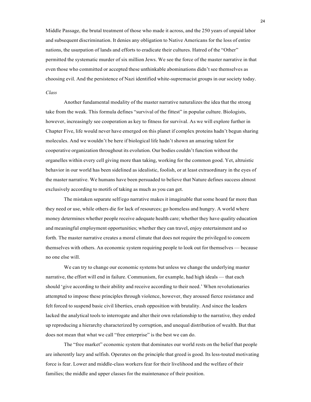Middle Passage, the brutal treatment of those who made it across, and the 250 years of unpaid labor and subsequent discrimination. It denies any obligation to Native Americans for the loss of entire nations, the usurpation of lands and efforts to eradicate their cultures. Hatred of the "Other" permitted the systematic murder of six million Jews. We see the force of the master narrative in that even those who committed or accepted these unthinkable abominations didn't see themselves as choosing evil. And the persistence of Nazi identified white-supremacist groups in our society today.

#### *Class*

Another fundamental modality of the master narrative naturalizes the idea that the strong take from the weak. This formula defines "survival of the fittest" in popular culture. Biologists, however, increasingly see cooperation as key to fitness for survival. As we will explore further in Chapter Five, life would never have emerged on this planet if complex proteins hadn't begun sharing molecules. And we wouldn't be here if biological life hadn't shown an amazing talent for cooperative organization throughout its evolution. Our bodies couldn't function without the organelles within every cell giving more than taking, working for the common good. Yet, altruistic behavior in our world has been sidelined as idealistic, foolish, or at least extraordinary in the eyes of the master narrative. We humans have been persuaded to believe that Nature defines success almost exclusively according to motifs of taking as much as you can get.

The mistaken separate self/ego narrative makes it imaginable that some hoard far more than they need or use, while others die for lack of resources; go homeless and hungry. A world where money determines whether people receive adequate health care; whether they have quality education and meaningful employment opportunities; whether they can travel, enjoy entertainment and so forth. The master narrative creates a moral climate that does not require the privileged to concern themselves with others. An economic system requiring people to look out for themselves — because no one else will.

We can try to change our economic systems but unless we change the underlying master narrative, the effort will end in failure. Communism, for example, had high ideals — that each should 'give according to their ability and receive according to their need.' When revolutionaries attempted to impose these principles through violence, however, they aroused fierce resistance and felt forced to suspend basic civil liberties, crush opposition with brutality. And since the leaders lacked the analytical tools to interrogate and alter their own relationship to the narrative, they ended up reproducing a hierarchy characterized by corruption, and unequal distribution of wealth. But that does not mean that what we call "free enterprise" is the best we can do.

The "free market" economic system that dominates our world rests on the belief that people are inherently lazy and selfish. Operates on the principle that greed is good. Its less-touted motivating force is fear. Lower and middle-class workers fear for their livelihood and the welfare of their families; the middle and upper classes for the maintenance of their position.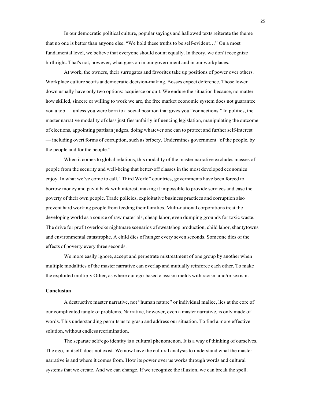In our democratic political culture, popular sayings and hallowed texts reiterate the theme that no one is better than anyone else. "We hold these truths to be self-evident…" On a most fundamental level, we believe that everyone should count equally. In theory, we don't recognize birthright. That's not, however, what goes on in our government and in our workplaces.

At work, the owners, their surrogates and favorites take up positions of power over others. Workplace culture scoffs at democratic decision-making. Bosses expect deference. Those lower down usually have only two options: acquiesce or quit. We endure the situation because, no matter how skilled, sincere or willing to work we are, the free market economic system does not guarantee you a job — unless you were born to a social position that gives you "connections." In politics, the master narrative modality of class justifies unfairly influencing legislation, manipulating the outcome of elections, appointing partisan judges, doing whatever one can to protect and further self-interest — including overt forms of corruption, such as bribery. Undermines government "of the people, by the people and for the people."

When it comes to global relations, this modality of the master narrative excludes masses of people from the security and well-being that better-off classes in the most developed economies enjoy. In what we've come to call, "Third World" countries, governments have been forced to borrow money and pay it back with interest, making it impossible to provide services and ease the poverty of their own people. Trade policies, exploitative business practices and corruption also prevent hard working people from feeding their families. Multi-national corporations treat the developing world as a source of raw materials, cheap labor, even dumping grounds for toxic waste. The drive for profit overlooks nightmare scenarios of sweatshop production, child labor, shantytowns and environmental catastrophe. A child dies of hunger every seven seconds. Someone dies of the effects of poverty every three seconds.

We more easily ignore, accept and perpetrate mistreatment of one group by another when multiple modalities of the master narrative can overlap and mutually reinforce each other. To make the exploited multiply Other, as where our ego-based classism melds with racism and/or sexism.

#### **Conclusion**

A destructive master narrative, not "human nature" or individual malice, lies at the core of our complicated tangle of problems. Narrative, however, even a master narrative, is only made of words. This understanding permits us to grasp and address our situation. To find a more effective solution, without endless recrimination.

The separate self/ego identity is a cultural phenomenon. It is a way of thinking of ourselves. The ego, in itself, does not exist. We now have the cultural analysis to understand what the master narrative is and where it comes from. How its power over us works through words and cultural systems that we create. And we can change. If we recognize the illusion, we can break the spell.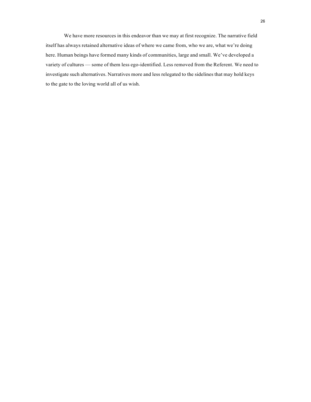We have more resources in this endeavor than we may at first recognize. The narrative field itself has always retained alternative ideas of where we came from, who we are, what we're doing here. Human beings have formed many kinds of communities, large and small. We've developed a variety of cultures — some of them less ego-identified. Less removed from the Referent. We need to investigate such alternatives. Narratives more and less relegated to the sidelines that may hold keys to the gate to the loving world all of us wish.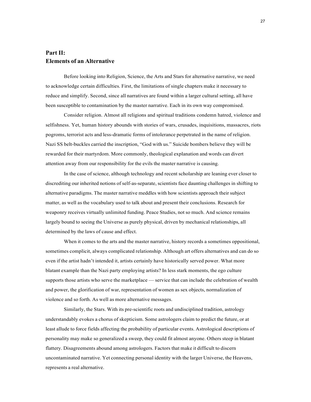## <span id="page-30-0"></span>**Part II: Elements of an Alternative**

Before looking into Religion, Science, the Arts and Stars for alternative narrative, we need to acknowledge certain difficulties. First, the limitations of single chapters make it necessary to reduce and simplify. Second, since all narratives are found within a larger cultural setting, all have been susceptible to contamination by the master narrative. Each in its own way compromised.

Consider religion. Almost all religions and spiritual traditions condemn hatred, violence and selfishness. Yet, human history abounds with stories of wars, crusades, inquisitions, massacres, riots pogroms, terrorist acts and less-dramatic forms of intolerance perpetrated in the name of religion. Nazi SS belt-buckles carried the inscription, "God with us." Suicide bombers believe they will be rewarded for their martyrdom. More commonly, theological explanation and words can divert attention away from our responsibility for the evils the master narrative is causing.

In the case of science, although technology and recent scholarship are leaning ever closer to discrediting our inherited notions of self-as-separate, scientists face daunting challenges in shifting to alternative paradigms. The master narrative meddles with how scientists approach their subject matter, as well as the vocabulary used to talk about and present their conclusions. Research for weaponry receives virtually unlimited funding. Peace Studies, not so much. And science remains largely bound to seeing the Universe as purely physical, driven by mechanical relationships, all determined by the laws of cause and effect.

When it comes to the arts and the master narrative, history records a sometimes oppositional, sometimes complicit, always complicated relationship. Although art offers alternatives and can do so even if the artist hadn't intended it, artists certainly have historically served power. What more blatant example than the Nazi party employing artists? In less stark moments, the ego culture supports those artists who serve the marketplace — service that can include the celebration of wealth and power, the glorification of war, representation of women as sex objects, normalization of violence and so forth. As well as more alternative messages.

Similarly, the Stars. With its pre-scientific roots and undisciplined tradition, astrology understandably evokes a chorus of skepticism. Some astrologers claim to predict the future, or at least allude to force fields affecting the probability of particular events. Astrological descriptions of personality may make so generalized a sweep, they could fit almost anyone. Others steep in blatant flattery. Disagreements abound among astrologers. Factors that make it difficult to discern uncontaminated narrative. Yet connecting personal identity with the larger Universe, the Heavens, represents a real alternative.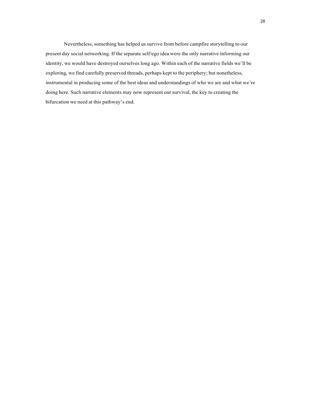Nevertheless, something has helped us survive from before campfire storytelling to our present day social networking. If the separate self/ego idea were the only narrative informing our identity, we would have destroyed ourselves long ago. Within each of the narrative fields we'll be exploring, we find carefully preserved threads, perhaps kept to the periphery; but nonetheless, instrumental in producing some of the best ideas and understandings of who we are and what we're doing here. Such narrative elements may now represent our survival, the key to creating the bifurcation we need at this pathway's end.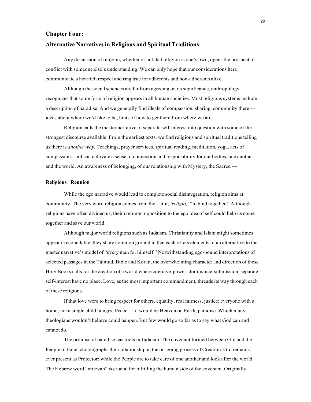#### <span id="page-32-0"></span>**Chapter Four:**

#### **Alternative Narratives in Religious and Spiritual Traditions**

Any discussion of religion, whether or not that religion is one's own, opens the prospect of conflict with someone else's understanding. We can only hope that our considerations here communicate a heartfelt respect and ring true for adherents and non-adherents alike.

Although the social sciences are far from agreeing on its significance, anthropology recognizes that some form of religion appears in all human societies. Most religious systems include a description of paradise. And we generally find ideals of compassion, sharing, community there ideas about where we'd like to be, hints of how to get there from where we are.

Religion calls the master narrative of separate self-interest into question with some of the strongest discourse available. From the earliest texts, we find religious and spiritual traditions telling us there is *another way.* Teachings, prayer services, spiritual reading, meditation, yoga, acts of compassion... all can cultivate a sense of connection and responsibility for our bodies, one another, and the world. An awareness of belonging, of our relationship with Mystery, the Sacred —

#### **Religious Reunion**

While the ego narrative would lead to complete social disintegration, religion aims at community. The very word religion comes from the Latin, *'religio,'* "to bind together." Although religions have often divided us, their common opposition to the ego idea of self could help us come together and save our world.

Although major world religions such as Judaism, Christianity and Islam might sometimes appear irreconcilable, they share common ground in that each offers elements of an alternative to the master narrative's model of "every man for himself." Notwithstanding ego-bound interpretations of selected passages in the Talmud, Bible and Koran, the overwhelming character and direction of these Holy Books calls for the creation of a world where coercive-power, dominance-submission, separate self-interest have no place. Love, as the most important commandment, threads its way through each of these religions.

If that love were to bring respect for others, equality, real fairness, justice; everyone with a home; not a single child hungry, Peace — it would be Heaven on Earth, paradise. Which many theologians wouldn't believe could happen. But few would go so far as to say what God can and cannot do.

The promise of paradise has roots in Judaism. The covenant formed between G-d and the People of Israel choreographs their relationship in the on-going process of Creation. G-d remains ever present as Protector; while the People are to take care of one another and look after the world. The Hebrew word "mitzvah" is crucial for fulfilling the human side of the covenant. Originally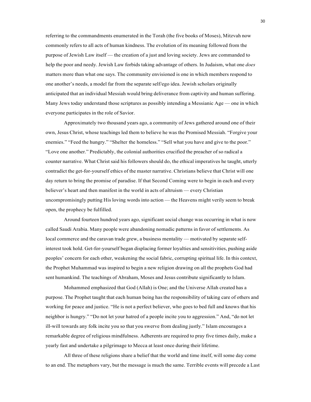referring to the commandments enumerated in the Torah (the five books of Moses), Mitzvah now commonly refers to all acts of human kindness. The evolution of its meaning followed from the purpose of Jewish Law itself — the creation of a just and loving society. Jews are commanded to help the poor and needy. Jewish Law forbids taking advantage of others. In Judaism, what one *does* matters more than what one says. The community envisioned is one in which members respond to one another's needs, a model far from the separate self/ego idea. Jewish scholars originally anticipated that an individual Messiah would bring deliverance from captivity and human suffering. Many Jews today understand those scriptures as possibly intending a Messianic Age — one in which everyone participates in the role of Savior.

Approximately two thousand years ago, a community of Jews gathered around one of their own, Jesus Christ, whose teachings led them to believe he was the Promised Messiah. "Forgive your enemies." "Feed the hungry." "Shelter the homeless." "Sell what you have and give to the poor." "Love one another." Predictably, the colonial authorities crucified the preacher of so radical a counter narrative. What Christ said his followers should do, the ethical imperatives he taught, utterly contradict the get-for-yourself ethics of the master narrative. Christians believe that Christ will one day return to bring the promise of paradise. If that Second Coming were to begin in each and every believer's heart and then manifest in the world in acts of altruism — every Christian uncompromisingly putting His loving words into action — the Heavens might verily seem to break open, the prophecy be fulfilled.

Around fourteen hundred years ago, significant social change was occurring in what is now called Saudi Arabia. Many people were abandoning nomadic patterns in favor of settlements. As local commerce and the caravan trade grew, a business mentality — motivated by separate selfinterest took hold. Get-for-yourself began displacing former loyalties and sensitivities, pushing aside peoples' concern for each other, weakening the social fabric, corrupting spiritual life. In this context, the Prophet Muhammad was inspired to begin a new religion drawing on all the prophets God had sent humankind. The teachings of Abraham, Moses and Jesus contribute significantly to Islam.

Mohammed emphasized that God (Allah) is One; and the Universe Allah created has a purpose. The Prophet taught that each human being has the responsibility of taking care of others and working for peace and justice. "He is not a perfect believer, who goes to bed full and knows that his neighbor is hungry." "Do not let your hatred of a people incite you to aggression." And, "do not let ill-will towards any folk incite you so that you swerve from dealing justly." Islam encourages a remarkable degree of religious mindfulness. Adherents are required to pray five times daily, make a yearly fast and undertake a pilgrimage to Mecca at least once during their lifetime.

All three of these religions share a belief that the world and time itself, will some day come to an end. The metaphors vary, but the message is much the same. Terrible events will precede a Last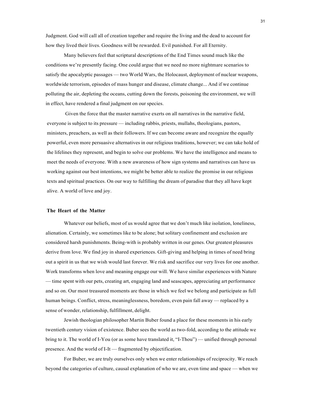Judgment. God will call all of creation together and require the living and the dead to account for how they lived their lives. Goodness will be rewarded. Evil punished. For all Eternity.

Many believers feel that scriptural descriptions of the End Times sound much like the conditions we're presently facing. One could argue that we need no more nightmare scenarios to satisfy the apocalyptic passages — two World Wars, the Holocaust, deployment of nuclear weapons, worldwide terrorism, episodes of mass hunger and disease, climate change... And if we continue polluting the air, depleting the oceans, cutting down the forests, poisoning the environment, we will in effect, have rendered a final judgment on our species.

Given the force that the master narrative exerts on all narratives in the narrative field, everyone is subject to its pressure — including rabbis, priests, mullahs, theologians, pastors, ministers, preachers, as well as their followers. If we can become aware and recognize the equally powerful, even more persuasive alternatives in our religious traditions, however; we can take hold of the lifelines they represent, and begin to solve our problems. We have the intelligence and means to meet the needs of everyone. With a new awareness of how sign systems and narratives can have us working against our best intentions, we might be better able to realize the promise in our religious texts and spiritual practices. On our way to fulfilling the dream of paradise that they all have kept alive. A world of love and joy.

#### **The Heart of the Matter**

Whatever our beliefs, most of us would agree that we don't much like isolation, loneliness, alienation. Certainly, we sometimes like to be alone; but solitary confinement and exclusion are considered harsh punishments. Being-with is probably written in our genes. Our greatest pleasures derive from love. We find joy in shared experiences. Gift-giving and helping in times of need bring out a spirit in us that we wish would last forever. We risk and sacrifice our very lives for one another. Work transforms when love and meaning engage our will. We have similar experiences with Nature — time spent with our pets, creating art, engaging land and seascapes, appreciating art performance and so on. Our most treasured moments are those in which we feel we belong and participate as full human beings. Conflict, stress, meaninglessness, boredom, even pain fall away — replaced by a sense of wonder, relationship, fulfillment, delight.

Jewish theologian philosopher Martin Buber found a place for these moments in his early twentieth century vision of existence. Buber sees the world as two-fold, according to the attitude we bring to it. The world of I-You (or as some have translated it, "I-Thou") — unified through personal presence. And the world of I-It — fragmented by objectification.

For Buber, we are truly ourselves only when we enter relationships of reciprocity. We reach beyond the categories of culture, causal explanation of who we are, even time and space — when we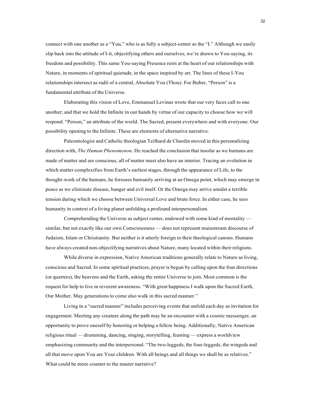connect with one another as a "You," who is as fully a subject-center as the "I." Although we easily slip back into the attitude of I-it, objectifying others and ourselves, we're drawn to You-saying, its freedom and possibility. This same You-saying Presence rests at the heart of our relationships with Nature, in moments of spiritual quietude, in the space inspired by art. The lines of these I-You relationships intersect as radii of a central, Absolute You (Thou). For Buber, "Person" is a fundamental attribute of the Universe.

Elaborating this vision of Love, Emmanuel Levinas wrote that our very faces call to one another; and that we hold the Infinite in our hands by virtue of our capacity to choose how we will respond. "Person," an attribute of the world. The Sacred, present everywhere and with everyone. Our possibility opening to the Infinite. These are elements of alternative narrative.

Paleontologist and Catholic theologian Teilhard de Chardin moved in this personalizing direction with, *The Human Phenomenon*. He reached the conclusion that insofar as we humans are made of matter and are conscious, all of matter must also have an interior. Tracing an evolution in which matter complexifies from Earth's earliest stages, through the appearance of Life, to the thought-work of the humans, he foresees humanity arriving at an Omega point, which may emerge in peace as we eliminate disease, hunger and evil itself. Or the Omega may arrive amidst a terrible tension during which we choose between Universal Love and brute force. In either case, he sees humanity in context of a living planet unfolding a profound interpersonalism.

Comprehending the Universe as subject center, endowed with some kind of mentality similar, but not exactly like our own Consciousness — does not represent mainstream discourse of Judaism, Islam or Christianity. But neither is it utterly foreign to their theological canons. Humans have always created non-objectifying narratives about Nature, many located within their religions.

While diverse in expression, Native American traditions generally relate to Nature as living, conscious and Sacred. In some spiritual practices, prayer is begun by calling upon the four directions (or quarters), the heavens and the Earth, asking the entire Universe to join. Most common is the request for help to live in reverent awareness. "With great happiness I walk upon the Sacred Earth, Our Mother. May generations to come also walk in this sacred manner."

Living in a "sacred manner" includes perceiving events that unfold each day as invitation for engagement. Meeting any creature along the path may be an encounter with a cosmic messenger, an opportunity to prove oneself by honoring or helping a fellow being. Additionally, Native American religious ritual — drumming, dancing, singing, storytelling, feasting — express a worldview emphasizing community and the interpersonal. "The two-leggeds, the four-leggeds, the wingeds and all that move upon You are Your children. With all beings and all things we shall be as relatives." What could be more counter to the master narrative?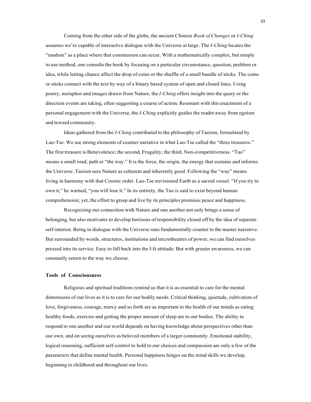Coming from the other side of the globe, the ancient Chinese *Book of Changes* or *I-Ching* assumes we're capable of interactive dialogue with the Universe at large. The *I-Ching* locates the "random" as a place where that communion can occur. With a mathematically complex, but simple to use method, one consults the book by focusing on a particular circumstance, question, problem or idea, while letting chance affect the drop of coins or the shuffle of a small bundle of sticks. The coins or sticks connect with the text by way of a binary based system of open and closed lines. Using poetry, metaphor and images drawn from Nature, the *I-Ching* offers insight into the query or the direction events are taking, often suggesting a course of action. Resonant with this enactment of a personal engagement with the Universe, the *I-Ching* explicitly guides the reader away from egoism and toward community.

Ideas gathered from the *I-Ching* contributed to the philosophy of Taoism, formulated by Lao-Tse. We see strong elements of counter narrative in what Lao-Tse called the "three treasures." The first treasure is Benevolence; the second, Frugality; the third, Non-competitiveness. "Tao" means a small road, path or "the way." It is the force, the origin, the energy that sustains and informs the Universe. Taoism sees Nature as coherent and inherently good. Following the "way" means living in harmony with that Cosmic order. Lao-Tse envisioned Earth as a sacred vessel. "If you try to own it," he warned, "you will lose it." In its entirety, the Tao is said to exist beyond human comprehension; yet, the effort to grasp and live by its principles promises peace and happiness.

Recognizing our connection with Nature and one another not only brings a sense of belonging, but also motivates to develop horizons of responsibility closed off by the idea of separate self-interest. Being in dialogue with the Universe runs fundamentally counter to the master narrative. But surrounded by words, structures, institutions and microtheatres of power, we can find ourselves pressed into its service. Easy to fall back into the I-It attitude. But with greater awareness, we can constantly return to the way we choose.

#### **Tools of Consciousness**

Religious and spiritual traditions remind us that it is as essential to care for the mental dimensions of our lives as it is to care for our bodily needs. Critical thinking, quietude, cultivation of love, forgiveness, courage, mercy and so forth are as important to the health of our minds as eating healthy foods, exercise and getting the proper amount of sleep are to our bodies. The ability to respond to one another and our world depends on having knowledge about perspectives other than our own, and on seeing ourselves as beloved members of a larger community. Emotional stability, logical reasoning, sufficient self-control to hold to our choices and compassion are only a few of the parameters that define mental health. Personal happiness hinges on the mind skills we develop, beginning in childhood and throughout our lives.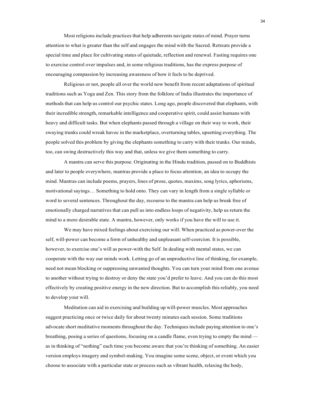Most religions include practices that help adherents navigate states of mind. Prayer turns attention to what is greater than the self and engages the mind with the Sacred. Retreats provide a special time and place for cultivating states of quietude, reflection and renewal. Fasting requires one to exercise control over impulses and, in some religious traditions, has the express purpose of encouraging compassion by increasing awareness of how it feels to be deprived.

Religious or not, people all over the world now benefit from recent adaptations of spiritual traditions such as Yoga and Zen. This story from the folklore of India illustrates the importance of methods that can help us control our psychic states. Long ago, people discovered that elephants, with their incredible strength, remarkable intelligence and cooperative spirit, could assist humans with heavy and difficult tasks. But when elephants passed through a village on their way to work, their swaying trunks could wreak havoc in the marketplace, overturning tables, upsetting everything. The people solved this problem by giving the elephants something to carry with their trunks. Our minds, too, can swing destructively this way and that, unless we give them something to carry.

A mantra can serve this purpose. Originating in the Hindu tradition, passed on to Buddhists and later to people everywhere, mantras provide a place to focus attention, an idea to occupy the mind. Mantras can include poems, prayers, lines of prose, quotes, maxims, song lyrics, aphorisms, motivational sayings… Something to hold onto. They can vary in length from a single syllable or word to several sentences. Throughout the day, recourse to the mantra can help us break free of emotionally charged narratives that can pull us into endless loops of negativity, help us return the mind to a more desirable state. A mantra, however, only works if you have the will to use it.

We may have mixed feelings about exercising our will. When practiced as power-over the self, will-power can become a form of unhealthy and unpleasant self-coercion. It is possible, however, to exercise one's will as power-with the Self. In dealing with mental states, we can cooperate with the way our minds work. Letting go of an unproductive line of thinking, for example, need not mean blocking or suppressing unwanted thoughts. You can turn your mind from one avenue to another without trying to destroy or deny the state you'd prefer to leave. And you can do this most effectively by creating positive energy in the new direction. But to accomplish this reliably, you need to develop your will.

Meditation can aid in exercising and building up will-power muscles. Most approaches suggest practicing once or twice daily for about twenty minutes each session. Some traditions advocate short meditative moments throughout the day. Techniques include paying attention to one's breathing, posing a series of questions, focusing on a candle flame, even trying to empty the mind as in thinking of "nothing" each time you become aware that you're thinking of something. An easier version employs imagery and symbol-making. You imagine some scene, object, or event which you choose to associate with a particular state or process such as vibrant health, relaxing the body,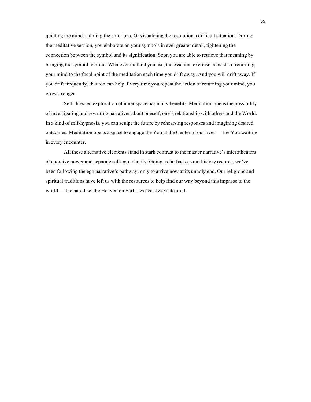quieting the mind, calming the emotions. Or visualizing the resolution a difficult situation. During the meditative session, you elaborate on your symbols in ever greater detail, tightening the connection between the symbol and its signification. Soon you are able to retrieve that meaning by bringing the symbol to mind. Whatever method you use, the essential exercise consists of returning your mind to the focal point of the meditation each time you drift away. And you will drift away. If you drift frequently, that too can help. Every time you repeat the action of returning your mind, you grow stronger.

Self-directed exploration of inner space has many benefits. Meditation opens the possibility of investigating and rewriting narratives about oneself, one's relationship with others and the World. In a kind of self-hypnosis, you can sculpt the future by rehearsing responses and imagining desired outcomes. Meditation opens a space to engage the You at the Center of our lives — the You waiting in every encounter.

All these alternative elements stand in stark contrast to the master narrative's microtheaters of coercive power and separate self/ego identity. Going as far back as our history records, we've been following the ego narrative's pathway, only to arrive now at its unholy end. Our religions and spiritual traditions have left us with the resources to help find our way beyond this impasse to the world — the paradise, the Heaven on Earth, we've always desired.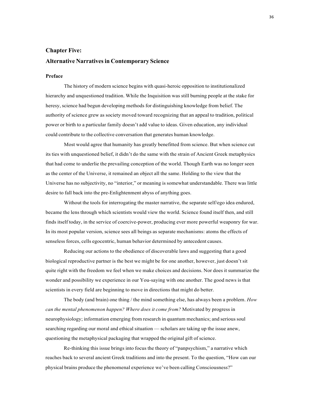# **Chapter Five:**

## **Alternative Narrativesin Contemporary Science**

## **Preface**

The history of modern science begins with quasi-heroic opposition to institutionalized hierarchy and unquestioned tradition. While the Inquisition was still burning people at the stake for heresy, science had begun developing methods for distinguishing knowledge from belief. The authority of science grew as society moved toward recognizing that an appeal to tradition, political power or birth to a particular family doesn't add value to ideas. Given education, any individual could contribute to the collective conversation that generates human knowledge.

Most would agree that humanity has greatly benefitted from science. But when science cut its ties with unquestioned belief, it didn't do the same with the strain of Ancient Greek metaphysics that had come to underlie the prevailing conception of the world. Though Earth was no longer seen as the center of the Universe, it remained an object all the same. Holding to the view that the Universe has no subjectivity, no "interior," or meaning is somewhat understandable. There was little desire to fall back into the pre-Enlightenment abyss of anything goes.

Without the tools for interrogating the master narrative, the separate self/ego idea endured, became the lens through which scientists would view the world. Science found itself then, and still finds itself today, in the service of coercive-power, producing ever more powerful weaponry for war. In its most popular version, science sees all beings as separate mechanisms: atoms the effects of senseless forces, cells egocentric, human behavior determined by antecedent causes.

Reducing our actions to the obedience of discoverable laws and suggesting that a good biological reproductive partner is the best we might be for one another, however, just doesn't sit quite right with the freedom we feel when we make choices and decisions. Nor does it summarize the wonder and possibility we experience in our You-saying with one another. The good news is that scientists in every field are beginning to move in directions that might do better.

The body (and brain) one thing / the mind something else, has always been a problem. *How can the mental phenomenon happen? Where does it come from?* Motivated by progress in neurophysiology; information emerging from research in quantum mechanics; and serious soul searching regarding our moral and ethical situation — scholars are taking up the issue anew, questioning the metaphysical packaging that wrapped the original gift of science.

Re-thinking this issue brings into focus the theory of "panpsychism," a narrative which reaches back to several ancient Greek traditions and into the present. To the question, "How can our physical brains produce the phenomenal experience we've been calling Consciousness?"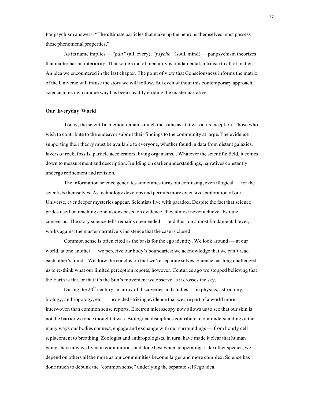Panpsychism answers: "The ultimate particles that make up the neurons themselves must possess these phenomenal properties."

As its name implies —*"pan"* (all, every); *"psyche"* (soul, mind) — panpsychism theorizes that matter has an interiority. That some kind of mentality is fundamental, intrinsic to all of matter. An idea we encountered in the last chapter. The point of view that Consciousness informs the matrix of the Universe will infuse the story we will follow. But even without this contemporary approach, science in its own unique way has been steadily eroding the master narrative.

### **Our Everyday World**

Today, the scientific method remains much the same as at it was at its inception. Those who wish to contribute to the endeavor submit their findings to the community at large. The evidence supporting their theory must be available to everyone, whether found in data from distant galaxies, layers of rock, fossils, particle accelerators, living organisms... Whatever the scientific field, it comes down to measurement and description. Building on earlier understandings, narratives constantly undergo refinement and revision.

The information science generates sometimes turns out confusing, even illogical — for the scientists themselves. As technology develops and permits more extensive exploration of our Universe, ever deeper mysteries appear. Scientists live with paradox. Despite the fact that science prides itself on reaching conclusions based on evidence, they almost never achieve absolute consensus. The story science tells remains open ended — and thus, on a most fundamental level, works against the master narrative's insistence that the case is closed.

Common sense is often cited as the basis for the ego identity. We look around — at our world, at one another — we perceive our body's boundaries; we acknowledge that we can't read each other's minds. We draw the conclusion that we're separate selves. Science has long challenged us to re-think what our limited perception reports, however. Centuries ago we stopped believing that the Earth is flat, or that it's the Sun's movement we observe as it crosses the sky.

During the 20<sup>th</sup> century, an array of discoveries and studies — in physics, astronomy, biology, anthropology, etc. — provided striking evidence that we are part of a world more interwoven than common sense reports. Electron microscopy now allows us to see that our skin is not the barrier we once thought it was. Biological disciplines contribute to our understanding of the many ways our bodies connect, engage and exchange with our surroundings — from hourly cell replacement to breathing. Zoologist and anthropologists, in turn, have made it clear that human beings have always lived in communities and done best when cooperating. Like other species, we depend on others all the more as our communities become larger and more complex. Science has done much to debunk the "common sense" underlying the separate self/ego idea.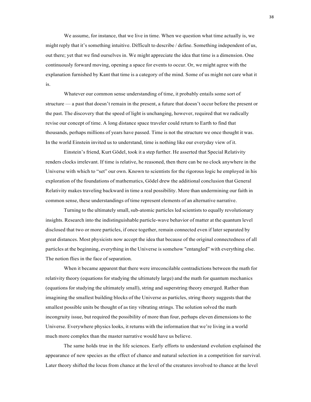We assume, for instance, that we live in time. When we question what time actually is, we might reply that it's something intuitive. Difficult to describe / define. Something independent of us, out there; yet that we find ourselves in. We might appreciate the idea that time is a dimension. One continuously forward moving, opening a space for events to occur. Or, we might agree with the explanation furnished by Kant that time is a category of the mind. Some of us might not care what it is.

Whatever our common sense understanding of time, it probably entails some sort of structure — a past that doesn't remain in the present, a future that doesn't occur before the present or the past. The discovery that the speed of light is unchanging, however, required that we radically revise our concept of time. A long distance space traveler could return to Earth to find that thousands, perhaps millions of years have passed. Time is not the structure we once thought it was. In the world Einstein invited us to understand, time is nothing like our everyday view of it.

Einstein's friend, Kurt Gödel, took it a step further. He asserted that Special Relativity renders clocks irrelevant. If time is relative, he reasoned, then there can be no clock anywhere in the Universe with which to "set" our own. Known to scientists for the rigorous logic he employed in his exploration of the foundations of mathematics, Gödel drew the additional conclusion that General Relativity makes traveling backward in time a real possibility. More than undermining our faith in common sense, these understandings of time represent elements of an alternative narrative.

Turning to the ultimately small, sub-atomic particles led scientists to equally revolutionary insights. Research into the indistinguishable particle-wave behavior of matter at the quantum level disclosed that two or more particles, if once together, remain connected even if later separated by great distances. Most physicists now accept the idea that because of the original connectedness of all particles at the beginning, everything in the Universe is somehow "entangled" with everything else. The notion flies in the face of separation.

When it became apparent that there were irreconcilable contradictions between the math for relativity theory (equations for studying the ultimately large) and the math for quantum mechanics (equations for studying the ultimately small), string and superstring theory emerged. Rather than imagining the smallest building blocks of the Universe as particles, string theory suggests that the smallest possible units be thought of as tiny vibrating strings. The solution solved the math incongruity issue, but required the possibility of more than four, perhaps eleven dimensions to the Universe. Everywhere physics looks, it returns with the information that we're living in a world much more complex than the master narrative would have us believe.

The same holds true in the life sciences. Early efforts to understand evolution explained the appearance of new species as the effect of chance and natural selection in a competition for survival. Later theory shifted the locus from chance at the level of the creatures involved to chance at the level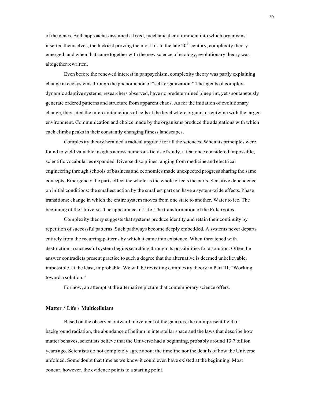of the genes. Both approaches assumed a fixed, mechanical environment into which organisms inserted themselves, the luckiest proving the most fit. In the late  $20<sup>th</sup>$  century, complexity theory emerged; and when that came together with the new science of ecology, evolutionary theory was altogetherrewritten.

Even before the renewed interest in panpsychism, complexity theory was partly explaining change in ecosystems through the phenomenon of "self-organization." The agents of complex dynamic adaptive systems, researchers observed, have no predetermined blueprint, yetspontaneously generate ordered patterns and structure from apparent chaos. As for the initiation of evolutionary change, they sited the micro-interactions of cells at the level where organisms entwine with the larger environment. Communication and choice made by the organisms produce the adaptations with which each climbs peaks in their constantly changing fitness landscapes.

Complexity theory heralded a radical upgrade for all the sciences. When its principles were found to yield valuable insights across numerous fields of study, a feat once considered impossible, scientific vocabularies expanded. Diverse disciplinesranging from medicine and electrical engineering through schools of business and economics made unexpected progress sharing the same concepts. Emergence: the parts effect the whole as the whole effects the parts. Sensitive dependence on initial conditions: the smallest action by the smallest part can have a system-wide effects. Phase transitions: change in which the entire system moves from one state to another. Water to ice. The beginning of the Universe. The appearance of Life. The transformation of the Eukaryotes.

Complexity theory suggests that systems produce identity and retain their continuity by repetition of successful patterns. Such pathways become deeply embedded. A systems never departs entirely from the recurring patterns by which it came into existence. When threatened with destruction, a successful system begins searching through its possibilities for a solution. Often the answer contradicts present practice to such a degree that the alternative is deemed unbelievable, impossible, at the least, improbable. We will be revisiting complexity theory in Part III, "Working toward a solution."

For now, an attempt at the alternative picture that contemporary science offers.

### **Matter / Life / Multicellulars**

Based on the observed outward movement of the galaxies, the omnipresent field of background radiation, the abundance of helium in interstellar space and the laws that describe how matter behaves, scientists believe that the Universe had a beginning, probably around 13.7 billion years ago. Scientists do not completely agree about the timeline nor the details of how the Universe unfolded. Some doubt that time as we know it could even have existed at the beginning. Most concur, however, the evidence points to a starting point.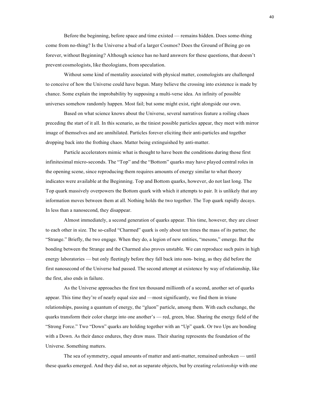Before the beginning, before space and time existed — remains hidden. Does some-thing come from no-thing? Is the Universe a bud of a larger Cosmos? Does the Ground of Being go on forever, without Beginning? Although science has no hard answers for these questions, that doesn't prevent cosmologists, like theologians, from speculation.

Without some kind of mentality associated with physical matter, cosmologists are challenged to conceive of how the Universe could have begun. Many believe the crossing into existence is made by chance. Some explain the improbability by supposing a multi-verse idea. An infinity of possible universes somehow randomly happen. Most fail; but some might exist, right alongside our own.

Based on what science knows about the Universe, several narratives feature a roiling chaos preceding the start of it all. In this scenario, as the tiniest possible particles appear, they meet with mirror image of themselves and are annihilated. Particles forever eliciting their anti-particles and together dropping back into the frothing chaos. Matter being extinguished by anti-matter.

Particle accelerators mimic what is thought to have been the conditions during those first infinitesimal micro-seconds. The "Top" and the "Bottom" quarks may have played central roles in the opening scene, since reproducing them requires amounts of energy similar to what theory indicates were available at the Beginning. Top and Bottom quarks, however, do not last long. The Top quark massively overpowers the Bottom quark with which it attempts to pair. It is unlikely that any information moves between them at all. Nothing holds the two together. The Top quark rapidly decays. In less than a nanosecond, they disappear.

Almost immediately, a second generation of quarks appear. This time, however, they are closer to each other in size. The so-called "Charmed" quark is only about ten times the mass of its partner, the "Strange." Briefly, the two engage. When they do, a legion of new entities, "mesons," emerge. But the bonding between the Strange and the Charmed also proves unstable. We can reproduce such pairs in high energy laboratories — but only fleetingly before they fall back into non- being, as they did before the first nanosecond of the Universe had passed. The second attempt at existence by way of relationship, like the first, also ends in failure.

As the Universe approaches the first ten thousand millionth of a second, another set of quarks appear. This time they're of nearly equal size and —most significantly, we find them in triune relationships, passing a quantum of energy, the "gluon" particle, among them. With each exchange, the quarks transform their color charge into one another's — red, green, blue. Sharing the energy field of the "Strong Force." Two "Down" quarks are holding together with an "Up" quark. Or two Ups are bonding with a Down. As their dance endures, they draw mass. Their sharing represents the foundation of the Universe. Something matters.

The sea of symmetry, equal amounts of matter and anti-matter, remained unbroken — until these quarks emerged. And they did so, not as separate objects, but by creating *relationship* with one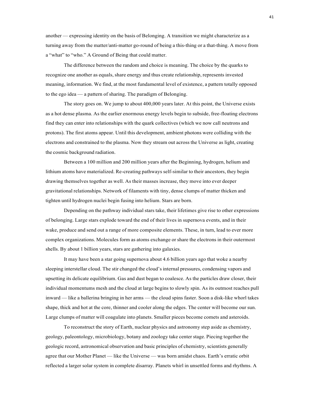another — expressing identity on the basis of Belonging. A transition we might characterize as a turning away from the matter/anti-matter go-round of being a this-thing or a that-thing. A move from a "what" to "who." A Ground of Being that could matter.

The difference between the random and choice is meaning. The choice by the quarks to recognize one another as equals, share energy and thus create relationship, represents invested meaning, information. We find, at the most fundamental level of existence, a pattern totally opposed to the ego idea — a pattern of sharing. The paradigm of Belonging.

The story goes on. We jump to about 400,000 years later. At this point, the Universe exists as a hot dense plasma. As the earlier enormous energy levels begin to subside, free-floating electrons find they can enter into relationships with the quark collectives (which we now call neutrons and protons). The first atoms appear. Until this development, ambient photons were colliding with the electrons and constrained to the plasma. Now they stream out across the Universe as light, creating the cosmic background radiation.

Between a 100 million and 200 million years after the Beginning, hydrogen, helium and lithium atoms have materialized. Re-creating pathways self-similar to their ancestors, they begin drawing themselves together as well. As their masses increase, they move into ever deeper gravitational relationships. Network of filaments with tiny, dense clumps of matter thicken and tighten until hydrogen nuclei begin fusing into helium. Stars are born.

Depending on the pathway individual stars take, their lifetimes give rise to other expressions of belonging. Large stars explode toward the end of their lives in supernova events, and in their wake, produce and send out a range of more composite elements. These, in turn, lead to ever more complex organizations. Molecules form as atoms exchange or share the electrons in their outermost shells. By about 1 billion years, stars are gathering into galaxies.

It may have been a star going supernova about 4.6 billion years ago that woke a nearby sleeping interstellar cloud. The stir changed the cloud's internal pressures, condensing vapors and upsetting its delicate equilibrium. Gas and dust began to coalesce. As the particles draw closer, their individual momentums mesh and the cloud at large begins to slowly spin. As its outmost reaches pull inward — like a ballerina bringing in her arms — the cloud spins faster. Soon a disk-like whorl takes shape, thick and hot at the core, thinner and cooler along the edges. The center will become our sun. Large clumps of matter will coagulate into planets. Smaller pieces become comets and asteroids.

To reconstruct the story of Earth, nuclear physics and astronomy step aside as chemistry, geology, paleontology, microbiology, botany and zoology take center stage. Piecing together the geologic record, astronomical observation and basic principles of chemistry, scientists generally agree that our Mother Planet — like the Universe — was born amidst chaos. Earth's erratic orbit reflected a larger solar system in complete disarray. Planets whirl in unsettled forms and rhythms. A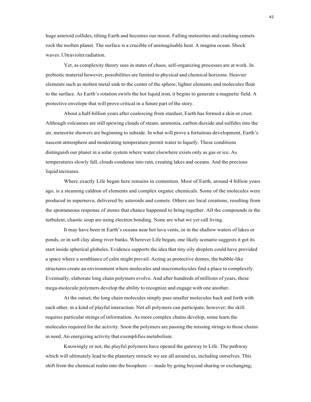huge asteroid collides, tilting Earth and becomes our moon. Falling meteorites and crashing comets rock the molten planet. The surface is a crucible of unimaginable heat. A magma ocean. Shock waves. Ultraviolet radiation.

Yet, as complexity theory sees in states of chaos, self-organizing processes are at work. In prebiotic material however, possibilities are limited to physical and chemical horizons. Heavier elements such as molten metal sink to the center of the sphere; lighter elements and molecules float to the surface. As Earth's rotation swirls the hot liquid iron, it begins to generate a magnetic field. A protective envelope that will prove critical in a future part of the story.

About a half-billion years after coalescing from stardust, Earth has formed a skin or crust. Although volcanoes are still spewing clouds of steam, ammonia, carbon dioxide and sulfides into the air, meteorite showers are beginning to subside. In what will prove a fortuitous development, Earth's nascent atmosphere and moderating temperature permit water to liquefy. These conditions distinguish our planet in a solar system where water elsewhere exists only as gas or ice. As temperatures slowly fall, clouds condense into rain, creating lakes and oceans. And the precious liquid increases.

Where exactly Life began here remains in contention. Most of Earth, around 4 billion years ago, is a steaming caldron of elements and complex organic chemicals. Some of the molecules were produced in supernova, delivered by asteroids and comets. Others are local creations, resulting from the spontaneous response of atoms that chance happened to bring together. All the compounds in the turbulent, chaotic soup are using electron bonding. None are what we yet call living.

It may have been in Earth's oceans near hot lava vents, or in the shallow waters of lakes or ponds, or in soft clay along river banks. Wherever Life began, one likely scenario suggests it got its start inside spherical globules. Evidence supports the idea that tiny oily droplets could have provided a space where a semblance of calm might prevail. Acting as protective domes, the bubble-like structures create an environment where molecules and macromolecules find a place to complexify. Eventually, elaborate long chain polymers evolve. And after hundreds of millions of years, these mega-molecule polymers develop the ability to recognize and engage with one another.

At the outset, the long chain molecules simply pass smaller molecules back and forth with each other, in a kind of playful interaction. Not all polymers can participate, however; the skill requires particular strings of information. As more complex chains develop, some learn the molecules required for the activity. Soon the polymers are passing the missing strings to those chains in need. An energizing activity that exemplifies metabolism.

Knowingly or not, the playful polymers have opened the gateway to Life. The pathway which will ultimately lead to the planetary miracle we see all around us, including ourselves. This shift from the chemical realm into the biosphere — made by going beyond sharing or exchanging;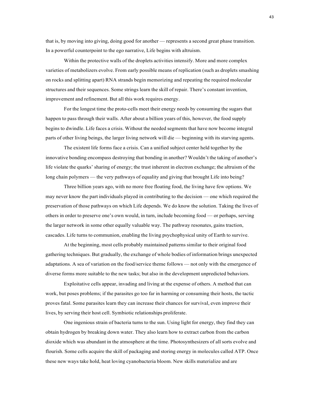that is, by moving into giving, doing good for another — represents a second great phase transition. In a powerful counterpoint to the ego narrative, Life begins with altruism.

Within the protective walls of the droplets activities intensify. More and more complex varieties of metabolizers evolve. From early possible means of replication (such as droplets smashing on rocks and splitting apart) RNA strands begin memorizing and repeating the required molecular structures and their sequences. Some strings learn the skill of repair. There's constant invention, improvement and refinement. But all this work requires energy.

For the longest time the proto-cells meet their energy needs by consuming the sugars that happen to pass through their walls. After about a billion years of this, however, the food supply begins to dwindle. Life faces a crisis. Without the needed segments that have now become integral parts of other living beings, the larger living network will die — beginning with its starving agents.

The existent life forms face a crisis. Can a unified subject center held together by the innovative bonding encompass destroying that bonding in another? Wouldn't the taking of another's life violate the quarks' sharing of energy; the trust inherent in electron exchange; the altruism of the long chain polymers — the very pathways of equality and giving that brought Life into being?

Three billion years ago, with no more free floating food, the living have few options. We may never know the part individuals played in contributing to the decision — one which required the preservation of those pathways on which Life depends. We do know the solution. Taking the lives of others in order to preserve one's own would, in turn, include becoming food — or perhaps, serving the larger network in some other equally valuable way. The pathway resonates, gains traction, cascades. Life turns to communion, enabling the living psychophysical unity of Earth to survive.

At the beginning, most cells probably maintained patterns similar to their original food gathering techniques. But gradually, the exchange of whole bodies of information brings unexpected adaptations. A sea of variation on the food/service theme follows — not only with the emergence of diverse forms more suitable to the new tasks; but also in the development unpredicted behaviors.

Exploitative cells appear, invading and living at the expense of others. A method that can work, but poses problems; if the parasites go too far in harming or consuming their hosts, the tactic proves fatal. Some parasites learn they can increase their chances for survival, even improve their lives, by serving their host cell. Symbiotic relationships proliferate.

One ingenious strain of bacteria turns to the sun. Using light for energy, they find they can obtain hydrogen by breaking down water. They also learn how to extract carbon from the carbon dioxide which was abundant in the atmosphere at the time. Photosynthesizers of all sorts evolve and flourish. Some cells acquire the skill of packaging and storing energy in molecules called ATP. Once these new ways take hold, heat loving cyanobacteria bloom. New skills materialize and are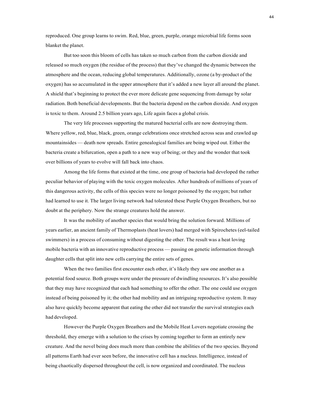reproduced. One group learns to swim. Red, blue, green, purple, orange microbial life forms soon blanket the planet.

But too soon this bloom of cells has taken so much carbon from the carbon dioxide and released so much oxygen (the residue of the process) that they've changed the dynamic between the atmosphere and the ocean, reducing global temperatures. Additionally, ozone (a by-product of the oxygen) has so accumulated in the upper atmosphere that it's added a new layer all around the planet. A shield that's beginning to protect the ever more delicate gene sequencing from damage by solar radiation. Both beneficial developments. But the bacteria depend on the carbon dioxide. And oxygen is toxic to them. Around 2.5 billion years ago, Life again faces a global crisis.

The very life processes supporting the matured bacterial cells are now destroying them. Where yellow, red, blue, black, green, orange celebrations once stretched across seas and crawled up mountainsides — death now spreads. Entire genealogical families are being wiped out. Either the bacteria create a bifurcation, open a path to a new way of being; or they and the wonder that took over billions of years to evolve will fall back into chaos.

Among the life forms that existed at the time, one group of bacteria had developed the rather peculiar behavior of playing with the toxic oxygen molecules. After hundreds of millions of years of this dangerous activity, the cells of this species were no longer poisoned by the oxygen; but rather had learned to use it. The larger living network had tolerated these Purple Oxygen Breathers, but no doubt at the periphery. Now the strange creatures hold the answer.

It was the mobility of another species that would bring the solution forward. Millions of years earlier, an ancient family of Thermoplasts (heat lovers) had merged with Spirochetes (eel-tailed swimmers) in a process of consuming without digesting the other. The result was a heat loving mobile bacteria with an innovative reproductive process — passing on genetic information through daughter cells that split into new cells carrying the entire sets of genes.

When the two families first encounter each other, it's likely they saw one another as a potential food source. Both groups were under the pressure of dwindling resources. It's also possible that they may have recognized that each had something to offer the other. The one could use oxygen instead of being poisoned by it; the other had mobility and an intriguing reproductive system. It may also have quickly become apparent that eating the other did not transfer the survival strategies each had developed.

However the Purple Oxygen Breathers and the Mobile Heat Lovers negotiate crossing the threshold, they emerge with a solution to the crises by coming together to form an entirely new creature. And the novel being does much more than combine the abilities of the two species. Beyond all patterns Earth had ever seen before, the innovative cell has a nucleus. Intelligence, instead of being chaotically dispersed throughout the cell, is now organized and coordinated. The nucleus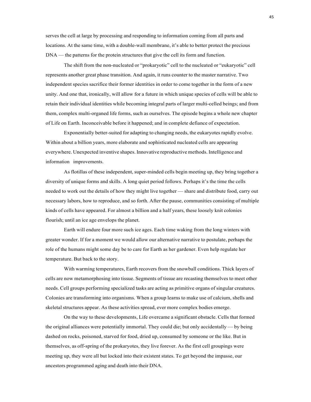serves the cell at large by processing and responding to information coming from all parts and locations. At the same time, with a double-wall membrane, it's able to better protect the precious DNA — the patterns for the protein structures that give the cell its form and function.

The shift from the non-nucleated or "prokaryotic" cell to the nucleated or "eukaryotic" cell represents another great phase transition. And again, it runs counter to the master narrative. Two independent species sacrifice their former identities in order to come together in the form of a new unity. And one that, ironically, will allow for a future in which unique species of cells will be able to retain their individual identities while becoming integral parts of larger multi-celled beings; and from them, complex multi-organed life forms, such as ourselves. The episode begins a whole new chapter of Life on Earth. Inconceivable before it happened; and in complete defiance of expectation.

Exponentially better-suited for adapting to changing needs, the eukaryotes rapidly evolve. Within about a billion years, more elaborate and sophisticated nucleated cells are appearing everywhere. Unexpected inventive shapes. Innovative reproductive methods. Intelligence and information improvements.

As flotillas of these independent, super-minded cells begin meeting up, they bring together a diversity of unique forms and skills. A long quiet period follows. Perhaps it's the time the cells needed to work out the details of how they might live together — share and distribute food, carry out necessary labors, how to reproduce, and so forth. After the pause, communities consisting of multiple kinds of cells have appeared. For almost a billion and a half years, these loosely knit colonies flourish; until an ice age envelops the planet.

Earth will endure four more such ice ages. Each time waking from the long winters with greater wonder. If for a moment we would allow our alternative narrative to postulate, perhaps the role of the humans might some day be to care for Earth as her gardener. Even help regulate her temperature. But back to the story.

With warming temperatures, Earth recovers from the snowball conditions. Thick layers of cells are now metamorphosing into tissue. Segments of tissue are recasting themselves to meet other needs. Cell groups performing specialized tasks are acting as primitive organs of singular creatures. Colonies are transforming into organisms. When a group learns to make use of calcium, shells and skeletal structures appear. As these activities spread, ever more complex bodies emerge.

On the way to these developments, Life overcame a significant obstacle. Cells that formed the original alliances were potentially immortal. They could die; but only accidentally — by being dashed on rocks, poisoned, starved for food, dried up, consumed by someone or the like. But in themselves, as off-spring of the prokaryotes, they live forever. As the first cell groupings were meeting up, they were all but locked into their existent states. To get beyond the impasse, our ancestors programmed aging and death into their DNA.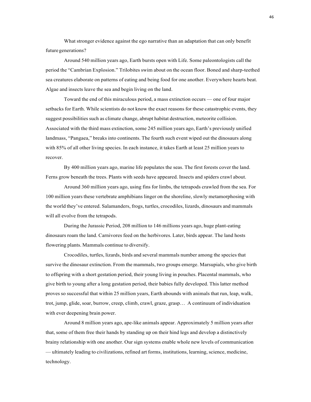What stronger evidence against the ego narrative than an adaptation that can only benefit future generations?

Around 540 million years ago, Earth bursts open with Life. Some paleontologists call the period the "Cambrian Explosion." Trilobites swim about on the ocean floor. Boned and sharp-teethed sea creatures elaborate on patterns of eating and being food for one another. Everywhere hearts beat. Algae and insects leave the sea and begin living on the land.

Toward the end of this miraculous period, a mass extinction occurs — one of four major setbacks for Earth. While scientists do not know the exact reasons for these catastrophic events, they suggest possibilities such as climate change, abrupt habitat destruction, meteorite collision. Associated with the third mass extinction, some 245 million years ago, Earth's previously unified landmass, "Pangaea," breaks into continents. The fourth such event wiped out the dinosaurs along with 85% of all other living species. In each instance, it takes Earth at least 25 million years to recover.

By 400 million years ago, marine life populates the seas. The first forests cover the land. Ferns grow beneath the trees. Plants with seeds have appeared. Insects and spiders crawl about.

Around 360 million years ago, using fins for limbs, the tetrapods crawled from the sea. For 100 million years these vertebrate amphibians linger on the shoreline, slowly metamorphosing with the world they've entered. Salamanders, frogs, turtles, crocodiles, lizards, dinosaurs and mammals will all evolve from the tetrapods.

During the Jurassic Period, 208 million to 146 millions years ago, huge plant-eating dinosaurs roam the land. Carnivores feed on the herbivores. Later, birds appear. The land hosts flowering plants. Mammals continue to diversify.

Crocodiles, turtles, lizards, birds and several mammals number among the species that survive the dinosaur extinction. From the mammals, two groups emerge. Marsupials, who give birth to offspring with a short gestation period, their young living in pouches. Placental mammals, who give birth to young after a long gestation period, their babies fully developed. This latter method proves so successful that within 25 million years, Earth abounds with animals that run, leap, walk, trot, jump, glide, soar, burrow, creep, climb, crawl, graze, grasp… A continuum of individuation with ever deepening brain power.

Around 8 million years ago, ape-like animals appear. Approximately 5 million years after that, some of them free their hands by standing up on their hind legs and develop a distinctively brainy relationship with one another. Our sign systems enable whole new levels of communication — ultimately leading to civilizations, refined art forms, institutions, learning, science, medicine, technology.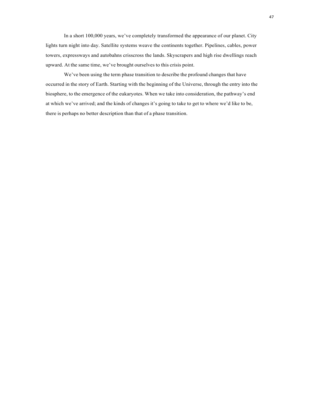In a short 100,000 years, we've completely transformed the appearance of our planet. City lights turn night into day. Satellite systems weave the continents together. Pipelines, cables, power towers, expressways and autobahns crisscross the lands. Skyscrapers and high rise dwellings reach upward. At the same time, we've brought ourselves to this crisis point.

We've been using the term phase transition to describe the profound changes that have occurred in the story of Earth. Starting with the beginning of the Universe, through the entry into the biosphere, to the emergence of the eukaryotes. When we take into consideration, the pathway's end at which we've arrived; and the kinds of changes it's going to take to get to where we'd like to be, there is perhaps no better description than that of a phase transition.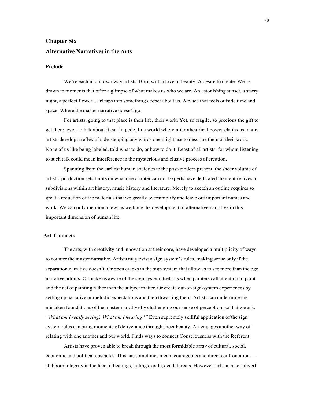# **Chapter Six Alternative Narrativesin the Arts**

## **Prelude**

We're each in our own way artists. Born with a love of beauty. A desire to create. We're drawn to moments that offer a glimpse of what makes us who we are. An astonishing sunset, a starry night, a perfect flower... art taps into something deeper about us. A place that feels outside time and space. Where the master narrative doesn't go.

For artists, going to that place is their life, their work. Yet, so fragile, so precious the gift to get there, even to talk about it can impede. In a world where microtheatrical power chains us, many artists develop a reflex of side-stepping any words one might use to describe them or their work. None of us like being labeled, told what to do, or how to do it. Least of all artists, for whom listening to such talk could mean interference in the mysterious and elusive process of creation.

Spanning from the earliest human societies to the post-modern present, the sheer volume of artistic production sets limits on what one chapter can do. Experts have dedicated their entire lives to subdivisions within art history, music history and literature. Merely to sketch an outline requires so great a reduction of the materials that we greatly oversimplify and leave out important names and work. We can only mention a few, as we trace the development of alternative narrative in this important dimension of human life.

## **Art Connects**

The arts, with creativity and innovation at their core, have developed a multiplicity of ways to counter the master narrative. Artists may twist a sign system's rules, making sense only if the separation narrative doesn't. Or open cracks in the sign system that allow us to see more than the ego narrative admits. Or make us aware of the sign system itself, as when painters call attention to paint and the act of painting rather than the subject matter. Or create out-of-sign-system experiences by setting up narrative or melodic expectations and then thwarting them. Artists can undermine the mistaken foundations of the master narrative by challenging our sense of perception, so that we ask, *"What am I really seeing? What am I hearing?"* Even supremely skillful application of the sign system rules can bring moments of deliverance through sheer beauty. Art engages another way of relating with one another and our world. Finds ways to connect Consciousness with the Referent.

Artists have proven able to break through the most formidable array of cultural, social, economic and political obstacles. This has sometimes meant courageous and direct confrontation stubborn integrity in the face of beatings, jailings, exile, death threats. However, art can also subvert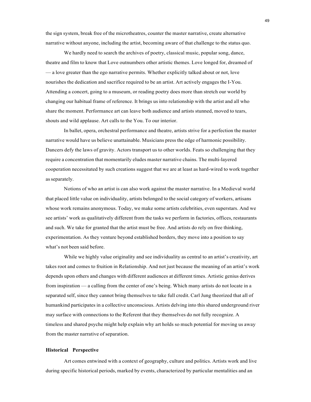the sign system, break free of the microtheatres, counter the master narrative, create alternative narrative without anyone, including the artist, becoming aware of that challenge to the status quo.

We hardly need to search the archives of poetry, classical music, popular song, dance, theatre and film to know that Love outnumbers other artistic themes. Love longed for, dreamed of — a love greater than the ego narrative permits. Whether explicitly talked about or not, love nourishes the dedication and sacrifice required to be an artist. Art actively engages the I-You. Attending a concert, going to a museum, or reading poetry does more than stretch our world by changing our habitual frame of reference. It brings us into relationship with the artist and all who share the moment. Performance art can leave both audience and artists stunned, moved to tears, shouts and wild applause. Art calls to the You. To our interior.

In ballet, opera, orchestral performance and theatre, artists strive for a perfection the master narrative would have us believe unattainable. Musicians press the edge of harmonic possibility. Dancers defy the laws of gravity. Actors transport us to other worlds. Feats so challenging that they require a concentration that momentarily eludes master narrative chains. The multi-layered cooperation necessitated by such creations suggest that we are at least as hard-wired to work together as separately.

Notions of who an artist is can also work against the master narrative. In a Medieval world that placed little value on individuality, artists belonged to the social category of workers, artisans whose work remains anonymous. Today, we make some artists celebrities, even superstars. And we see artists' work as qualitatively different from the tasks we perform in factories, offices, restaurants and such. We take for granted that the artist must be free. And artists do rely on free thinking, experimentation. As they venture beyond established borders, they move into a position to say what's not been said before.

While we highly value originality and see individuality as central to an artist's creativity, art takes root and comes to fruition in Relationship. And not just because the meaning of an artist's work depends upon others and changes with different audiences at different times. Artistic genius derives from inspiration — a calling from the center of one's being. Which many artists do not locate in a separated self, since they cannot bring themselves to take full credit. Carl Jung theorized that all of humankind participates in a collective unconscious. Artists delving into this shared underground river may surface with connections to the Referent that they themselves do not fully recognize. A timeless and shared psyche might help explain why art holds so much potential for moving us away from the master narrative of separation.

#### **Historical Perspective**

Art comes entwined with a context of geography, culture and politics. Artists work and live during specific historical periods, marked by events, characterized by particular mentalities and an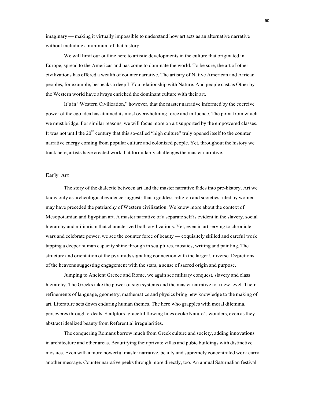imaginary — making it virtually impossible to understand how art acts as an alternative narrative without including a minimum of that history.

We will limit our outline here to artistic developments in the culture that originated in Europe, spread to the Americas and has come to dominate the world. To be sure, the art of other civilizations has offered a wealth of counter narrative. The artistry of Native American and African peoples, for example, bespeaks a deep I-You relationship with Nature. And people cast as Other by the Western world have always enriched the dominant culture with their art.

It's in "Western Civilization," however, that the master narrative informed by the coercive power of the ego idea has attained its most overwhelming force and influence. The point from which we must bridge. For similar reasons, we will focus more on art supported by the empowered classes. It was not until the  $20<sup>th</sup>$  century that this so-called "high culture" truly opened itself to the counter narrative energy coming from popular culture and colonized people. Yet, throughout the history we track here, artists have created work that formidably challenges the master narrative.

## **Early Art**

The story of the dialectic between art and the master narrative fades into pre-history. Art we know only as archeological evidence suggests that a goddess religion and societies ruled by women may have preceded the patriarchy of Western civilization. We know more about the context of Mesopotamian and Egyptian art. A master narrative of a separate self is evident in the slavery, social hierarchy and militarism that characterized both civilizations. Yet, even in art serving to chronicle wars and celebrate power, we see the counter force of beauty — exquisitely skilled and careful work tapping a deeper human capacity shine through in sculptures, mosaics, writing and painting. The structure and orientation of the pyramids signaling connection with the larger Universe. Depictions of the heavens suggesting engagement with the stars, a sense of sacred origin and purpose.

Jumping to Ancient Greece and Rome, we again see military conquest, slavery and class hierarchy. The Greeks take the power of sign systems and the master narrative to a new level. Their refinements of language, geometry, mathematics and physics bring new knowledge to the making of art. Literature sets down enduring human themes. The hero who grapples with moral dilemma, perseveres through ordeals. Sculptors' graceful flowing lines evoke Nature's wonders, even as they abstract idealized beauty from Referential irregularities.

The conquering Romans borrow much from Greek culture and society, adding innovations in architecture and other areas. Beautifying their private villas and pubic buildings with distinctive mosaics. Even with a more powerful master narrative, beauty and supremely concentrated work carry another message. Counter narrative peeks through more directly, too. An annual Saturnalian festival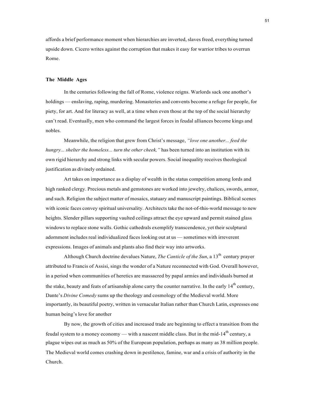affords a brief performance moment when hierarchies are inverted, slaves freed, everything turned upside down. Cicero writes against the corruption that makes it easy for warrior tribes to overrun Rome.

### **The Middle Ages**

In the centuries following the fall of Rome, violence reigns. Warlords sack one another's holdings — enslaving, raping, murdering. Monasteries and convents become a refuge for people, for piety, for art. And for literacy as well, at a time when even those at the top of the social hierarchy can't read. Eventually, men who command the largest forces in feudal alliances become kings and nobles.

Meanwhile, the religion that grew from Christ's message, *"love one another... feed the hungry... shelter the homeless... turn the other cheek,"* has been turned into an institution with its own rigid hierarchy and strong links with secular powers. Social inequality receives theological justification as divinely ordained.

Art takes on importance as a display of wealth in the status competition among lords and high ranked clergy. Precious metals and gemstones are worked into jewelry, chalices, swords, armor, and such. Religion the subject matter of mosaics, statuary and manuscript paintings. Biblical scenes with iconic faces convey spiritual universality. Architects take the not-of-this-world message to new heights. Slender pillars supporting vaulted ceilings attract the eye upward and permit stained glass windows to replace stone walls. Gothic cathedrals exemplify transcendence, yet their sculptural adornment includes real individualized faces looking out at us — sometimes with irreverent expressions. Images of animals and plants also find their way into artworks.

Although Church doctrine devalues Nature, *The Canticle of the Sun*, a 13<sup>th</sup> century prayer attributed to Francis of Assisi, sings the wonder of a Nature reconnected with God. Overall however, in a period when communities of heretics are massacred by papal armies and individuals burned at the stake, beauty and feats of artisanship alone carry the counter narrative. In the early  $14<sup>th</sup>$  century, Dante's *Divine Comedy* sums up the theology and cosmology of the Medieval world. More importantly, its beautiful poetry, written in vernacular Italian rather than Church Latin, expresses one human being's love for another

By now, the growth of cities and increased trade are beginning to effect a transition from the feudal system to a money economy — with a nascent middle class. But in the mid-14<sup>th</sup> century, a plague wipes out as much as 50% of the European population, perhaps as many as 38 million people. The Medieval world comes crashing down in pestilence, famine, war and a crisis of authority in the Church.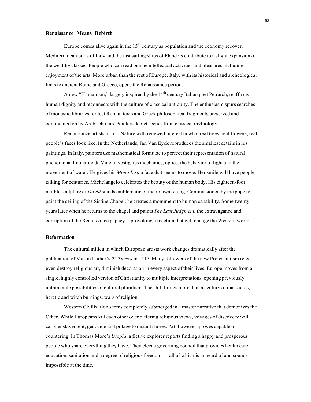## **Renaissance Means Rebirth**

Europe comes alive again in the  $15<sup>th</sup>$  century as population and the economy recover. Mediterranean ports of Italy and the fast sailing ships of Flanders contribute to a slight expansion of the wealthy classes. People who can read pursue intellectual activities and pleasures including enjoyment of the arts. More urban than the rest of Europe, Italy, with its historical and archeological links to ancient Rome and Greece, opens the Renaissance period.

A new "Humanism," largely inspired by the  $14<sup>th</sup>$  century Italian poet Petrarch, reaffirms human dignity and reconnects with the culture of classical antiquity. The enthusiasm spurs searches of monastic libraries for lost Roman texts and Greek philosophical fragments preserved and commented on by Arab scholars. Painters depict scenes from classical mythology.

Renaissance artists turn to Nature with renewed interest in what real trees, real flowers, real people's faces look like. In the Netherlands, Jan Van Eyck reproduces the smallest details in his paintings. In Italy, painters use mathematical formulae to perfect their representation of natural phenomena. Leonardo da Vinci investigates mechanics, optics, the behavior of light and the movement of water. He gives his *Mona Lisa* a face that seems to move. Her smile will have people talking for centuries. Michelangelo celebrates the beauty of the human body. His eighteen-foot marble sculpture of *David* stands emblematic of the re-awakening. Commissioned by the pope to paint the ceiling of the Sistine Chapel, he creates a monument to human capability. Some twenty years later when he returns to the chapel and paints *The Last Judgment,* the extravagance and corruption of the Renaissance papacy is provoking a reaction that will change the Western world.

## **Reformation**

The cultural milieu in which European artists work changes dramatically after the publication of Martin Luther's *95 Theses* in 1517. Many followers of the new Protestantism reject even destroy religious art, diminish decoration in every aspect of their lives. Europe moves from a single, highly controlled version of Christianity to multiple interpretations, opening previously unthinkable possibilities of cultural pluralism. The shift brings more than a century of massacres, heretic and witch burnings, wars of religion.

Western Civilization seems completely submerged in a master narrative that demonizes the Other. While Europeans kill each other over differing religious views, voyages of discovery will carry enslavement, genocide and pillage to distant shores. Art, however, proves capable of countering. In Thomas More's *Utopia*, a fictive explorer reports finding a happy and prosperous people who share everything they have. They elect a governing council that provides health care, education, sanitation and a degree of religious freedom — all of which is unheard of and sounds impossible at the time.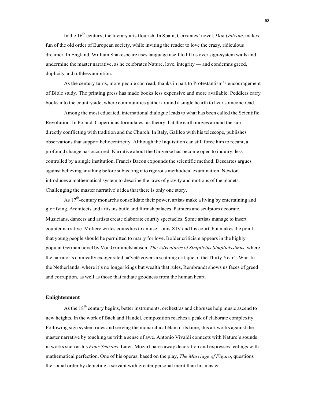In the 16th century, the literary arts flourish. In Spain, Cervantes' novel, *Don Quixote,* makes fun of the old order of European society, while inviting the reader to love the crazy, ridiculous dreamer. In England, William Shakespeare uses language itself to lift us over sign-system walls and undermine the master narrative, as he celebrates Nature, love, integrity — and condemns greed, duplicity and ruthless ambition.

As the century turns, more people can read, thanks in part to Protestantism's encouragement of Bible study. The printing press has made books less expensive and more available. Peddlers carry books into the countryside, where communities gather around a single hearth to hear someone read.

Among the most educated, international dialogue leads to what has been called the Scientific Revolution. In Poland, Copernicus formulates his theory that the earth moves around the sun directly conflicting with tradition and the Church. In Italy, Galileo with his telescope, publishes observations that support heliocentricity. Although the Inquisition can still force him to recant, a profound change has occurred. Narrative about the Universe has become open to inquiry, less controlled by a single institution. Francis Bacon expounds the scientific method. Descartes argues against believing anything before subjecting it to rigorous methodical examination. Newton introduces a mathematical system to describe the laws of gravity and motions of the planets. Challenging the master narrative's idea that there is only one story.

As  $17<sup>th</sup>$ -century monarchs consolidate their power, artists make a living by entertaining and glorifying. Architects and artisans build and furnish palaces. Painters and sculptors decorate. Musicians, dancers and artists create elaborate courtly spectacles. Some artists manage to insert counter narrative. Molière writes comedies to amuse Louis XIV and his court, but makes the point that young people should be permitted to marry for love. Bolder criticism appears in the highly popular German novel by Von Grimmelshausen, *The Adventures of Simplicius Simplicissimus,* where the narrator's comically exaggerated naïveté covers a scathing critique of the Thirty Year's War. In the Netherlands, where it's no longer kings but wealth that rules, Rembrandt shows us faces of greed and corruption, as well as those that radiate goodness from the human heart.

#### **Enlightenment**

As the  $18<sup>th</sup>$  century begins, better instruments, orchestras and choruses help music ascend to new heights. In the work of Bach and Handel, composition reaches a peak of elaborate complexity. Following sign system rules and serving the monarchical élan of its time, this art works against the master narrative by touching us with a sense of awe. Antonio Vivaldi connects with Nature's sounds in works such as his *Four Seasons.* Later, Mozart pares away decoration and expresses feelings with mathematical perfection. One of his operas, based on the play, *The Marriage of Figaro*, questions the social order by depicting a servant with greater personal merit than his master.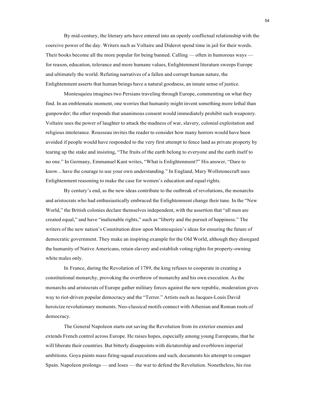By mid-century, the literary arts have entered into an openly conflictual relationship with the coercive power of the day. Writers such as Voltaire and Diderot spend time in jail for their words. Their books become all the more popular for being banned. Calling — often in humorous ways for reason, education, tolerance and more humane values, Enlightenment literature sweeps Europe and ultimately the world. Refuting narratives of a fallen and corrupt human nature, the Enlightenment asserts that human beings have a natural goodness, an innate sense of justice.

Montesquieu imagines two Persians traveling through Europe, commenting on what they find. In an emblematic moment, one worries that humanity might invent something more lethal than gunpowder; the other responds that unanimous consent would immediately prohibit such weaponry. Voltaire uses the power of laughter to attack the madness of war, slavery, colonial exploitation and religious intolerance. Rousseau invites the reader to consider how many horrors would have been avoided if people would have responded to the very first attempt to fence land as private property by tearing up the stake and insisting, "The fruits of the earth belong to everyone and the earth itself to no one." In Germany, Emmanuel Kant writes, "What is Enlightenment?" His answer, "Dare to know... have the courage to use your own understanding." In England, Mary Wollstonecraft uses Enlightenment reasoning to make the case for women's education and equal rights.

By century's end, as the new ideas contribute to the outbreak of revolutions, the monarchs and aristocrats who had enthusiastically embraced the Enlightenment change their tune. In the "New World," the British colonies declare themselves independent, with the assertion that "all men are created equal," and have "inalienable rights," such as "liberty and the pursuit of happiness." The writers of the new nation's Constitution draw upon Montesquieu's ideas for ensuring the future of democratic government. They make an inspiring example for the Old World, although they disregard the humanity of Native Americans, retain slavery and establish voting rights for property-owning white males only.

In France, during the Revolution of 1789, the king refuses to cooperate in creating a constitutional monarchy, provoking the overthrow of monarchy and his own execution. As the monarchs and aristocrats of Europe gather military forces against the new republic, moderation gives way to riot-driven popular democracy and the "Terror." Artists such as Jacques-Louis David heroicize revolutionary moments. Neo-classical motifs connect with Athenian and Roman roots of democracy.

The General Napoleon starts out saving the Revolution from its exterior enemies and extends French control across Europe. He raises hopes, especially among young Europeans, that he will liberate their countries. But bitterly disappoints with dictatorship and overblown imperial ambitions. Goya paints mass firing-squad executions and such, documents his attempt to conquer Spain. Napoleon prolongs — and loses — the war to defend the Revolution. Nonetheless, his rise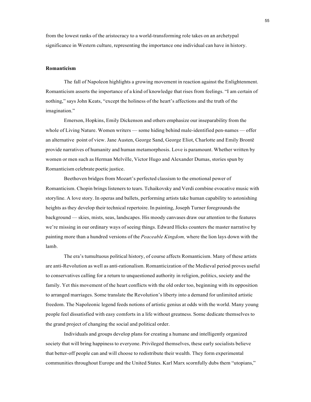from the lowest ranks of the aristocracy to a world-transforming role takes on an archetypal significance in Western culture, representing the importance one individual can have in history.

#### **Romanticism**

The fall of Napoleon highlights a growing movement in reaction against the Enlightenment. Romanticism asserts the importance of a kind of knowledge that rises from feelings. "I am certain of nothing," says John Keats, "except the holiness of the heart's affections and the truth of the imagination."

Emerson, Hopkins, Emily Dickenson and others emphasize our inseparability from the whole of Living Nature. Women writers — some hiding behind male-identified pen-names — offer an alternative point of view. Jane Austen, George Sand, George Eliot, Charlotte and Emily Brontë provide narratives of humanity and human metamorphosis. Love is paramount. Whether written by women or men such as Herman Melville, Victor Hugo and Alexander Dumas, stories spun by Romanticism celebrate poetic justice.

Beethoven bridges from Mozart's perfected classism to the emotional power of Romanticism. Chopin brings listeners to tears. Tchaikovsky and Verdi combine evocative music with storyline. A love story. In operas and ballets, performing artists take human capability to astonishing heights as they develop their technical repertoire. In painting, Joseph Turner foregrounds the background — skies, mists, seas, landscapes. His moody canvases draw our attention to the features we're missing in our ordinary ways of seeing things. Edward Hicks counters the master narrative by painting more than a hundred versions of the *Peaceable Kingdom,* where the lion lays down with the lamb.

The era's tumultuous political history, of course affects Romanticism. Many of these artists are anti-Revolution as well as anti-rationalism. Romanticization of the Medieval period proves useful to conservatives calling for a return to unquestioned authority in religion, politics, society and the family. Yet this movement of the heart conflicts with the old order too, beginning with its opposition to arranged marriages. Some translate the Revolution's liberty into a demand for unlimited artistic freedom. The Napoleonic legend feeds notions of artistic genius at odds with the world. Many young people feel dissatisfied with easy comforts in a life without greatness. Some dedicate themselves to the grand project of changing the social and political order.

Individuals and groups develop plans for creating a humane and intelligently organized society that will bring happiness to everyone. Privileged themselves, these early socialists believe that better-off people can and will choose to redistribute their wealth. They form experimental communities throughout Europe and the United States. Karl Marx scornfully dubs them "utopians,"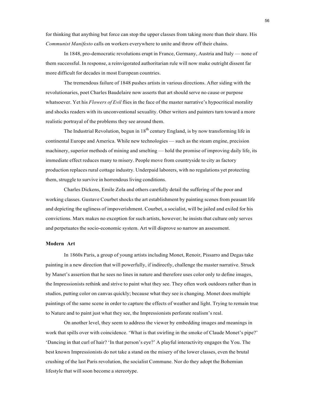for thinking that anything but force can stop the upper classes from taking more than their share. His *Communist Manifesto* calls on workers everywhere to unite and throw off their chains.

In 1848, pro-democratic revolutions erupt in France, Germany, Austria and Italy — none of them successful. In response, a reinvigorated authoritarian rule will now make outright dissent far more difficult for decades in most European countries.

The tremendous failure of 1848 pushes artists in various directions. After siding with the revolutionaries, poet Charles Baudelaire now asserts that art should serve no cause or purpose whatsoever. Yet his *Flowers of Evil* flies in the face of the master narrative's hypocritical morality and shocks readers with its unconventional sexuality. Other writers and painters turn toward a more realistic portrayal of the problems they see around them.

The Industrial Revolution, begun in  $18<sup>th</sup>$  century England, is by now transforming life in continental Europe and America. While new technologies — such as the steam engine, precision machinery, superior methods of mining and smelting — hold the promise of improving daily life, its immediate effect reduces many to misery. People move from countryside to city as factory production replaces rural cottage industry. Underpaid laborers, with no regulations yet protecting them, struggle to survive in horrendous living conditions.

Charles Dickens, Emile Zola and others carefully detail the suffering of the poor and working classes. Gustave Courbet shocks the art establishment by painting scenes from peasant life and depicting the ugliness of impoverishment. Courbet, a socialist, will be jailed and exiled for his convictions. Marx makes no exception for such artists, however; he insists that culture only serves and perpetuates the socio-economic system. Art will disprove so narrow an assessment.

#### **Modern Art**

In 1860s Paris, a group of young artists including Monet, Renoir, Pissarro and Degas take painting in a new direction that will powerfully, if indirectly, challenge the master narrative. Struck by Manet's assertion that he sees no lines in nature and therefore uses color only to define images, the Impressionists rethink and strive to paint what they see. They often work outdoors rather than in studios, putting color on canvas quickly; because what they see is changing. Monet does multiple paintings of the same scene in order to capture the effects of weather and light. Trying to remain true to Nature and to paint just what they see, the Impressionists perforate realism's real.

On another level, they seem to address the viewer by embedding images and meanings in work that spills over with coincidence. 'What is that swirling in the smoke of Claude Monet's pipe?' 'Dancing in that curl of hair? 'In that person's eye?' A playful interactivity engages the You. The best known Impressionists do not take a stand on the misery of the lower classes, even the brutal crushing of the last Paris revolution, the socialist Commune. Nor do they adopt the Bohemian lifestyle that will soon become a stereotype.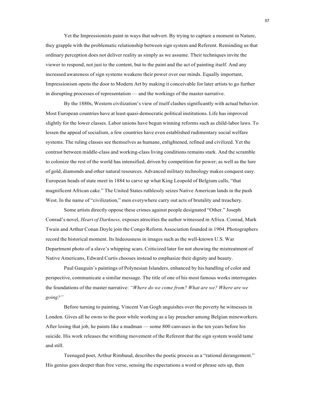Yet the Impressionists paint in ways that subvert. By trying to capture a moment in Nature, they grapple with the problematic relationship between sign system and Referent. Reminding us that ordinary perception does not deliver reality as simply as we assume. Their techniques invite the viewer to respond, not just to the content, but to the paint and the act of painting itself. And any increased awareness of sign systems weakens their power over our minds. Equally important, Impressionism opens the door to Modern Art by making it conceivable for later artists to go further in disrupting processes of representation — and the workings of the master narrative.

By the 1880s, Western civilization's view of itself clashes significantly with actual behavior. Most European countries have at least quasi-democratic political institutions. Life has improved slightly for the lower classes. Labor unions have begun winning reforms such as child-labor laws. To lessen the appeal of socialism, a few countries have even established rudimentary social welfare systems. The ruling classes see themselves as humane, enlightened, refined and civilized. Yet the contrast between middle-class and working-class living conditions remains stark. And the scramble to colonize the rest of the world has intensified, driven by competition for power; as well as the lure of gold, diamonds and other natural resources. Advanced military technology makes conquest easy. European heads of state meet in 1884 to carve up what King Leopold of Belgium calls, "that magnificent African cake." The United States ruthlessly seizes Native American lands in the push West. In the name of "civilization," men everywhere carry out acts of brutality and treachery.

Some artists directly oppose these crimes against people designated "Other." Joseph Conrad's novel, *Heart of Darkness,* exposes atrocities the author witnessed in Africa. Conrad, Mark Twain and Arthur Conan Doyle join the Congo Reform Association founded in 1904. Photographers record the historical moment. Its hideousness in images such as the well-known U.S. War Department photo of a slave's whipping scars. Criticized later for not showing the mistreatment of Native Americans, Edward Curtis chooses instead to emphasize their dignity and beauty.

Paul Gauguin's paintings of Polynesian Islanders, enhanced by his handling of color and perspective, communicate a similar message. The title of one of his most famous works interrogates the foundations of the master narrative: *"Where do we come from? What are we? Where are we going?"*

Before turning to painting, Vincent Van Gogh anguishes over the poverty he witnesses in London. Gives all he owns to the poor while working as a lay preacher among Belgian mineworkers. After losing that job, he paints like a madman — some 800 canvases in the ten years before his suicide. His work releases the writhing movement of the Referent that the sign system would tame and still.

Teenaged poet, Arthur Rimbaud, describes the poetic process as a "rational derangement." His genius goes deeper than free verse, sensing the expectations a word or phrase sets up, then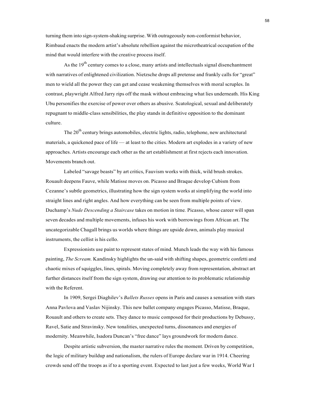turning them into sign-system-shaking surprise. With outrageously non-conformist behavior, Rimbaud enacts the modern artist's absolute rebellion against the microtheatrical occupation of the mind that would interfere with the creative process itself.

As the 19<sup>th</sup> century comes to a close, many artists and intellectuals signal disenchantment with narratives of enlightened civilization. Nietzsche drops all pretense and frankly calls for "great" men to wield all the power they can get and cease weakening themselves with moral scruples. In contrast, playwright Alfred Jarry rips off the mask without embracing what lies underneath. His King Ubu personifies the exercise of power over others as abusive. Scatological, sexual and deliberately repugnant to middle-class sensibilities, the play stands in definitive opposition to the dominant culture.

The  $20<sup>th</sup>$  century brings automobiles, electric lights, radio, telephone, new architectural materials, a quickened pace of life — at least to the cities. Modern art explodes in a variety of new approaches. Artists encourage each other as the art establishment at first rejects each innovation. Movements branch out.

Labeled "savage beasts" by art critics, Fauvism works with thick, wild brush strokes. Rouault deepens Fauve, while Matisse moves on. Picasso and Braque develop Cubism from Cezanne's subtle geometrics, illustrating how the sign system works at simplifying the world into straight lines and right angles. And how everything can be seen from multiple points of view. Duchamp's *Nude Descending a Staircase* takes on motion in time*.* Picasso, whose career will span seven decades and multiple movements, infuses his work with borrowings from African art. The uncategorizable Chagall brings us worlds where things are upside down, animals play musical instruments, the cellist is his cello.

Expressionists use paint to represent states of mind. Munch leads the way with his famous painting, *The Scream.* Kandinsky highlights the un-said with shifting shapes, geometric confetti and chaotic mixes of squiggles, lines, spirals. Moving completely away from representation, abstract art further distances itself from the sign system, drawing our attention to its problematic relationship with the Referent.

In 1909, Sergei Diaghilev's *Ballets Russes* opens in Paris and causes a sensation with stars Anna Pavlova and Vaslav Nijinsky. This new ballet company engages Picasso, Matisse, Braque, Rouault and others to create sets. They dance to music composed for their productions by Debussy, Ravel, Satie and Stravinsky. New tonalities, unexpected turns, dissonances and energies of modernity. Meanwhile, Isadora Duncan's "free dance" lays groundwork for modern dance.

Despite artistic subversion, the master narrative rules the moment. Driven by competition, the logic of military buildup and nationalism, the rulers of Europe declare war in 1914. Cheering crowds send off the troops as if to a sporting event. Expected to last just a few weeks, World War I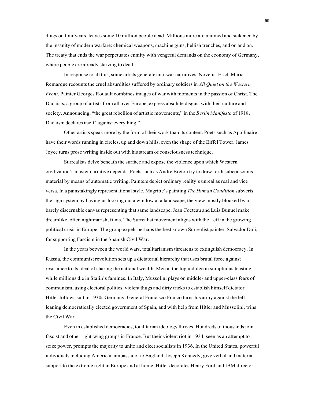drags on four years, leaves some 10 million people dead. Millions more are maimed and sickened by the insanity of modern warfare: chemical weapons, machine guns, hellish trenches, and on and on. The treaty that ends the war perpetuates enmity with vengeful demands on the economy of Germany, where people are already starving to death.

In response to all this, some artists generate anti-war narratives. Novelist Erich Maria Remarque recounts the cruel absurdities suffered by ordinary soldiers in *All Quiet on the Western Front*. Painter Georges Rouault combines images of war with moments in the passion of Christ. The Dadaists, a group of artists from all over Europe, express absolute disgust with their culture and society. Announcing, "the great rebellion of artistic movements," in the *Berlin Manifesto* of 1918, Dadaism declares itself "against everything."

Other artists speak more by the form of their work than its content. Poets such as Apollinaire have their words running in circles, up and down hills, even the shape of the Eiffel Tower. James Joyce turns prose writing inside out with his stream of consciousness technique.

Surrealists delve beneath the surface and expose the violence upon which Western civilization's master narrative depends. Poets such as André Breton try to draw forth subconscious material by means of automatic writing. Painters depict ordinary reality's unreal as real and vice versa. In a painstakingly representationalstyle, Magritte's painting *The Human Condition* subverts the sign system by having us looking out a window at a landscape, the view mostly blocked by a barely discernable canvas representing that same landscape. Jean Cocteau and Luis Bunuel make dreamlike, often nightmarish, films. The Surrealist movement aligns with the Left in the growing political crisis in Europe. The group expels perhaps the best known Surrealist painter, Salvador Dali, for supporting Fascism in the Spanish Civil War.

In the years between the world wars, totalitarianism threatens to extinguish democracy. In Russia, the communist revolution sets up a dictatorial hierarchy that uses brutal force against resistance to its ideal of sharing the national wealth. Men at the top indulge in sumptuous feasting while millions die in Stalin's famines. In Italy, Mussolini plays on middle- and upper-class fears of communism, using electoral politics, violent thugs and dirty tricks to establish himself dictator. Hitler follows suit in 1930s Germany. General Francisco Franco turns his army against the leftleaning democratically elected government of Spain, and with help from Hitler and Mussolini, wins the Civil War.

Even in established democracies, totalitarian ideology thrives. Hundreds of thousands join fascist and other right-wing groups in France. But their violent riot in 1934, seen as an attempt to seize power, prompts the majority to unite and elect socialists in 1936. In the United States, powerful individuals including American ambassador to England, Joseph Kennedy, give verbal and material support to the extreme right in Europe and at home. Hitler decorates Henry Ford and IBM director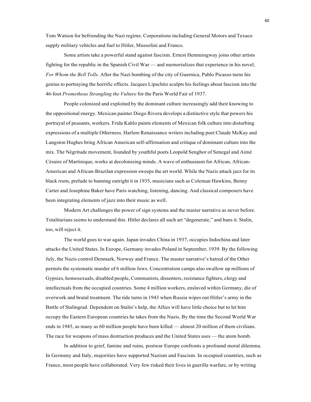Tom Watson for befriending the Nazi regime. Corporations including General Motors and Texaco supply military vehicles and fuel to Hitler, Mussolini and Franco.

Some artists take a powerful stand against fascism. Ernest Hemmingway joins other artists fighting for the republic in the Spanish Civil War — and memorializes that experience in his novel, *For Whom the Bell Tolls.* After the Nazi bombing of the city of Guernica, Pablo Picasso turns his genius to portraying the horrific effects. Jacques Lipschitz sculpts his feelings about fascism into the 46-foot *Prometheus Strangling the Vulture* for the Paris World Fair of 1937.

People colonized and exploited by the dominant culture increasingly add their knowing to the oppositional energy. Mexican painter Diego Rivera develops a distinctive style that powers his portrayal of peasants, workers. Frida Kahlo paints elements of Mexican folk culture into disturbing expressions of a multiple Otherness. Harlem Renaissance writers including poet Claude McKay and Langston Hughes bring African American self-affirmation and critique of dominant culture into the mix. The Négritude movement, founded by youthful poets Leopold Senghor of Senegal and Aimé Césaire of Martinique, works at decolonizing minds. A wave of enthusiasm for African, African-American and African-Brazilan expression sweeps the art world. While the Nazis attack jazz for its black roots, prelude to banning outright it in 1935, musicians such as Coleman Hawkins, Benny Carter and Josephine Baker have Paris watching, listening, dancing. And classical composers have been integrating elements of jazz into their music as well.

Modern Art challenges the power of sign systems and the master narrative as never before. Totalitarians seems to understand this. Hitler declares all such art "degenerate," and bans it. Stalin, too, will reject it.

The world goes to war again. Japan invades China in 1937, occupies Indochina and later attacks the United States. In Europe, Germany invades Poland in September, 1939. By the following July, the Nazis control Denmark, Norway and France. The master narrative's hatred of the Other permits the systematic murder of 6 million Jews. Concentration camps also swallow up millions of Gypsies, homosexuals, disabled people, Communists, dissenters, resistance fighters, clergy and intellectuals from the occupied countries. Some 4 million workers, enslaved within Germany, die of overwork and brutal treatment. The tide turns in 1943 when Russia wipes out Hitler's army in the Battle of Stalingrad. Dependent on Stalin's help, the Allies will have little choice but to let him occupy the Eastern European countries he takes from the Nazis. By the time the Second World War ends in 1945, as many as 60 million people have been killed — almost 20 million of them civilians. The race for weapons of mass destruction produces and the United States uses — the atom bomb.

In addition to grief, famine and ruins, postwar Europe confronts a profound moral dilemma. In Germany and Italy, majorities have supported Nazism and Fascism. In occupied countries, such as France, most people have collaborated. Very few risked their lives in guerilla warfare, or by writing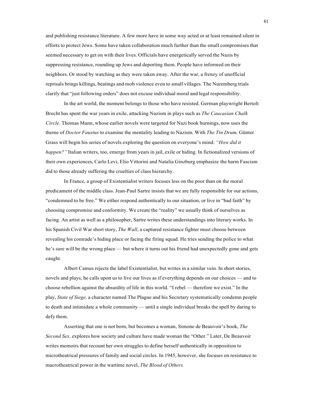and publishing resistance literature. A few more have in some way acted or at least remained silent in efforts to protect Jews. Some have taken collaboration much further than the small compromises that seemed necessary to get on with their lives. Officials have energetically served the Nazis by suppressing resistance, rounding up Jews and deporting them. People have informed on their neighbors. Or stood by watching as they were taken away. After the war, a frenzy of unofficial reprisals brings killings, beatings and mob violence even to small villages. The Nuremberg trials clarify that "just following orders" does not excuse individual moral and legal responsibility.

In the art world, the moment belongs to those who have resisted. German playwright Bertolt Brecht has spent the war years in exile, attacking Nazism in plays such as *The Caucasian Chalk Circle.* Thomas Mann, whose earlier novels were targeted for Nazi book burnings, now uses the theme of *Doctor Faustus* to examine the mentality leading to Nazism. With *The Tin Drum,* Günter Grass will begin his series of novels exploring the question on everyone's mind: *"How did it happen?"* Italian writers, too, emerge from years in jail, exile or hiding. In fictionalized versions of their own experiences, Carlo Levi, Elio Vittorini and Natalia Ginzburg emphasize the harm Fascism did to those already suffering the cruelties of class hierarchy.

In France, a group of Existentialist writers focuses less on the poor than on the moral predicament of the middle class. Jean-Paul Sartre insists that we are fully responsible for our actions, "condemned to be free." We either respond authentically to our situation, or live in "bad faith" by choosing compromise and conformity. We create the "reality" we usually think of ourselves as facing. An artist as well as a philosopher, Sartre writes these understandings into literary works. In his Spanish Civil War short story, *The Wall*, a captured resistance fighter must choose between revealing his comrade's hiding place or facing the firing squad. He tries sending the police to what he's sure will be the wrong place — but where it turns out his friend had unexpectedly gone and gets caught*.*

Albert Camus rejects the label Existentialist, but writes in a similar vein. In short stories, novels and plays, he calls upon us to live our lives as if everything depends on our choices — and to choose rebellion against the absurdity of life in this world. "I rebel — therefore we exist." In the play, *State of Siege,* a character named The Plague and his Secretary systematically condemn people to death and intimidate a whole community — until a single individual breaks the spell by daring to defy them.

Asserting that one is not born, but becomes a woman, Simone de Beauvoir's book, *The Second Sex,* explores how society and culture have made woman the "Other." Later, De Beauvoir writes memoirs that recount her own struggles to define herself authentically in opposition to microtheatrical pressures of family and social circles. In 1945, however, she focuses on resistance to macrotheatrical power in the wartime novel, *The Blood of Others.*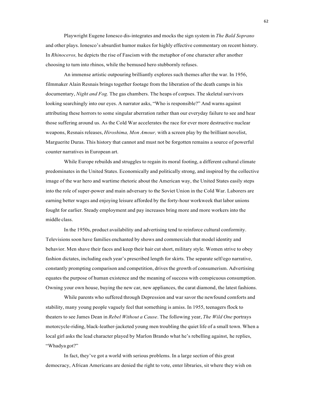Playwright Eugene Ionesco dis-integrates and mocks the sign system in *The Bald Soprano* and other plays. Ionesco's absurdist humor makes for highly effective commentary on recent history. In *Rhinoceros,* he depicts the rise of Fascism with the metaphor of one character after another choosing to turn into rhinos, while the bemused hero stubbornly refuses.

An immense artistic outpouring brilliantly explores such themes after the war. In 1956, filmmaker Alain Resnais brings together footage from the liberation of the death camps in his documentary, *Night and Fog.* The gas chambers. The heaps of corpses. The skeletal survivors looking searchingly into our eyes. A narrator asks, "Who is responsible?" And warns against attributing these horrors to some singular aberration rather than our everyday failure to see and hear those suffering around us. As the Cold War accelerates the race for ever more destructive nuclear weapons, Resnais releases, *Hiroshima, Mon Amour,* with a screen play by the brilliant novelist, Marguerite Duras. This history that cannot and must not be forgotten remains a source of powerful counter narratives in European art.

While Europe rebuilds and struggles to regain its moral footing, a different cultural climate predominates in the United States. Economically and politically strong, and inspired by the collective image of the war hero and wartime rhetoric about the American way, the United States easily steps into the role of super-power and main adversary to the Soviet Union in the Cold War. Laborers are earning better wages and enjoying leisure afforded by the forty-hour workweek that labor unions fought for earlier. Steady employment and pay increases bring more and more workers into the middle class.

In the 1950s, product availability and advertising tend to reinforce cultural conformity. Televisions soon have families enchanted by shows and commercials that model identity and behavior. Men shave their faces and keep their hair cut short, military style. Women strive to obey fashion dictates, including each year's prescribed length for skirts. The separate self/ego narrative, constantly prompting comparison and competition, drivesthe growth of consumerism. Advertising equates the purpose of human existence and the meaning of success with conspicuous consumption. Owning your own house, buying the new car, new appliances, the carat diamond, the latest fashions.

While parents who suffered through Depression and war savor the newfound comforts and stability, many young people vaguely feel that something is amiss. In 1955, teenagers flock to theaters to see James Dean in *Rebel Without a Cause*. The following year, *The Wild One* portrays motorcycle-riding, black-leather-jacketed young men troubling the quiet life of a small town. When a local girl asks the lead character played by Marlon Brando what he's rebelling against, he replies, "Whadya got?"

In fact, they've got a world with serious problems. In a large section of this great democracy, African Americans are denied the right to vote, enter libraries, sit where they wish on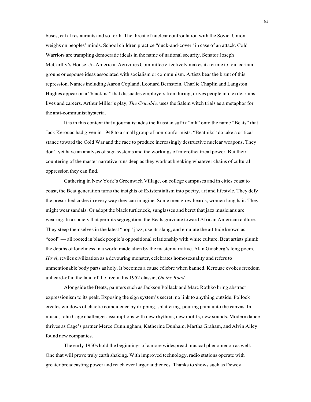buses, eat at restaurants and so forth. The threat of nuclear confrontation with the Soviet Union weighs on peoples' minds. School children practice "duck-and-cover" in case of an attack. Cold Warriors are trampling democratic ideals in the name of national security. Senator Joseph McCarthy's House Un-American Activities Committee effectively makes it a crime to join certain groups or espouse ideas associated with socialism or communism. Artists bear the brunt of this repression. Names including Aaron Copland, Leonard Bernstein, Charlie Chaplin and Langston Hughes appear on a "blacklist" that dissuades employers from hiring, drives people into exile, ruins lives and careers. Arthur Miller's play, *The Crucible,* uses the Salem witch trials as a metaphor for the anti-communist hysteria.

It is in this context that a journalist adds the Russian suffix "nik" onto the name "Beats" that Jack Kerouac had given in 1948 to a small group of non-conformists. "Beatniks" do take a critical stance toward the Cold War and the race to produce increasingly destructive nuclear weapons. They don't yet have an analysis of sign systems and the workings of microtheatrical power. But their countering of the master narrative runs deep as they work at breaking whatever chains of cultural oppression they can find.

Gathering in New York's Greenwich Village, on college campuses and in cities coast to coast, the Beat generation turns the insights of Existentialism into poetry, art and lifestyle. They defy the prescribed codes in every way they can imagine. Some men grow beards, women long hair. They might wear sandals. Or adopt the black turtleneck, sunglasses and beret that jazz musicians are wearing. In a society that permits segregation, the Beats gravitate toward African American culture. They steep themselves in the latest "bop" jazz, use its slang, and emulate the attitude known as "cool" — all rooted in black people's oppositional relationship with white culture. Beat artists plumb the depths of loneliness in a world made alien by the master narrative. Alan Ginsberg's long poem, *Howl*, reviles civilization as a devouring monster, celebrates homosexuality and refers to unmentionable body parts as holy. It becomes a cause célèbre when banned. Kerouac evokes freedom unheard-of in the land of the free in his 1952 classic, *On the Road.*

Alongside the Beats, painters such as Jackson Pollack and Marc Rothko bring abstract expressionism to its peak. Exposing the sign system's secret: no link to anything outside. Pollock creates windows of chaotic coincidence by dripping, splattering, pouring paint unto the canvas. In music, John Cage challenges assumptions with new rhythms, new motifs, new sounds. Modern dance thrives as Cage's partner Merce Cunningham, Katherine Dunham, Martha Graham, and Alvin Ailey found new companies.

The early 1950s hold the beginnings of a more widespread musical phenomenon as well. One that will prove truly earth shaking. With improved technology, radio stations operate with greater broadcasting power and reach ever larger audiences. Thanks to shows such as Dewey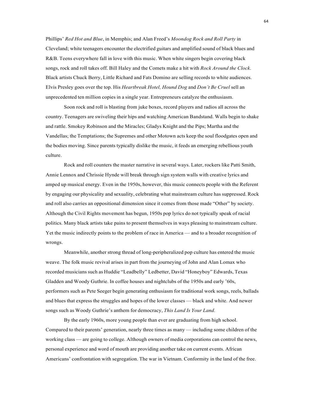Phillips' *Red Hot and Blue*, in Memphis; and Alan Freed's *Moondog Rock and Roll Party* in Cleveland; white teenagers encounter the electrified guitars and amplified sound of black blues and R&B. Teens everywhere fall in love with this music. When white singers begin covering black songs, rock and roll takes off. Bill Haley and the Comets make a hit with *Rock Around the Clock*. Black artists Chuck Berry, Little Richard and Fats Domino are selling records to white audiences. Elvis Presley goes over the top. His *Heartbreak Hotel, Hound Dog* and *Don't Be Cruel* sell an unprecedented ten million copies in a single year. Entrepreneurs catalyze the enthusiasm.

Soon rock and roll is blasting from juke boxes, record players and radios all across the country. Teenagers are swiveling their hips and watching American Bandstand. Walls begin to shake and rattle. Smokey Robinson and the Miracles; Gladys Knight and the Pips; Martha and the Vandellas; the Temptations; the Supremes and other Motown acts keep the soul floodgates open and the bodies moving. Since parents typically dislike the music, it feeds an emerging rebellious youth culture.

Rock and roll counters the master narrative in several ways. Later, rockers like Patti Smith, Annie Lennox and Chrissie Hynde will break through sign system walls with creative lyrics and amped up musical energy. Even in the 1950s, however, this music connects people with the Referent by engaging our physicality and sexuality, celebrating what mainstream culture has suppressed. Rock and roll also carries an oppositional dimension since it comes from those made "Other" by society. Although the Civil Rights movement has begun, 1950s pop lyrics do not typically speak of racial politics. Many black artists take pains to present themselves in ways pleasing to mainstream culture. Yet the music indirectly points to the problem of race in America — and to a broader recognition of wrongs.

Meanwhile, another strong thread of long-peripheralized pop culture has entered the music weave. The folk music revival arises in part from the journeying of John and Alan Lomax who recorded musicians such as Huddie "Leadbelly" Ledbetter, David "Honeyboy" Edwards, Texas Gladden and Woody Guthrie. In coffee houses and nightclubs of the 1950s and early '60s, performers such as Pete Seeger begin generating enthusiasm for traditional work songs, reels, ballads and blues that express the struggles and hopes of the lower classes — black and white. And newer songs such as Woody Guthrie's anthem for democracy, *This Land Is Your Land.*

By the early 1960s, more young people than ever are graduating from high school. Compared to their parents' generation, nearly three times as many — including some children of the working class — are going to college. Although owners of media corporations can control the news, personal experience and word of mouth are providing another take on current events. African Americans' confrontation with segregation. The war in Vietnam. Conformity in the land of the free.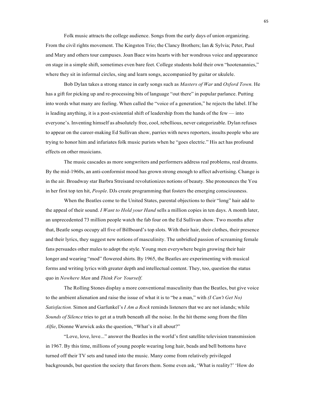Folk music attracts the college audience. Songs from the early days of union organizing. From the civil rights movement. The Kingston Trio; the Clancy Brothers; Ian & Sylvia; Peter, Paul and Mary and others tour campuses. Joan Baez wins hearts with her wondrous voice and appearance on stage in a simple shift, sometimes even bare feet. College students hold their own "hootenannies," where they sit in informal circles, sing and learn songs, accompanied by guitar or ukulele.

Bob Dylan takes a strong stance in early songs such as *Masters of War* and *Oxford Town.* He has a gift for picking up and re-processing bits of language "out there" in popular parlance. Putting into words what many are feeling. When called the "voice of a generation," he rejects the label. If he is leading anything, it is a post-existential shift of leadership from the hands of the few — into everyone's. Inventing himself as absolutely free, cool, rebellious, never categorizable. Dylan refuses to appear on the career-making Ed Sullivan show, parries with news reporters, insults people who are trying to honor him and infuriates folk music purists when he "goes electric." His act has profound effects on other musicians.

The music cascades as more songwriters and performers address real problems, real dreams. By the mid-1960s, an anti-conformist mood has grown strong enough to affect advertising. Change is in the air. Broadway star Barbra Streisand revolutionizes notions of beauty. She pronounces the You in her first top ten hit, *People*. DJs create programming that fosters the emerging consciousness.

When the Beatles come to the United States, parental objections to their "long" hair add to the appeal of their sound. *I Want to Hold your Hand* sells a million copies in ten days. A month later, an unprecedented 73 million people watch the fab four on the Ed Sullivan show. Two months after that, Beatle songs occupy all five of Billboard's top slots. With their hair, their clothes, their presence and their lyrics, they suggest new notions of masculinity. The unbridled passion of screaming female fans persuades other males to adopt the style. Young men everywhere begin growing their hair longer and wearing "mod" flowered shirts. By 1965, the Beatles are experimenting with musical forms and writing lyrics with greater depth and intellectual content. They, too, question the status quo in *Nowhere Man* and *Think For Yourself.*

The Rolling Stones display a more conventional masculinity than the Beatles, but give voice to the ambient alienation and raise the issue of what it is to "be a man," with *(I Can't Get No) Satisfaction.* Simon and Garfunkel's *I Am a Rock* reminds listeners that we are not islands; while *Sounds of Silence* tries to get at a truth beneath all the noise. In the hit theme song from the film *Alfie*, Dionne Warwick asks the question, "What's it all about?"

"Love, love, love..." answer the Beatles in the world's first satellite television transmission in 1967. By this time, millions of young people wearing long hair, beads and bell bottoms have turned off their TV sets and tuned into the music. Many come from relatively privileged backgrounds, but question the society that favors them. Some even ask, 'What is reality?' 'How do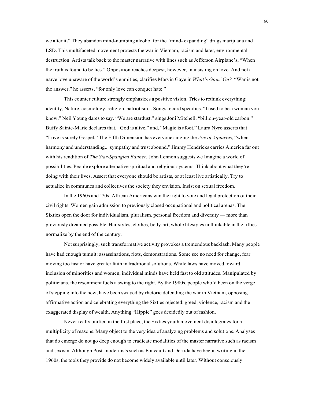we alter it?' They abandon mind-numbing alcohol for the "mind- expanding" drugs marijuana and LSD. This multifaceted movement protests the war in Vietnam, racism and later, environmental destruction. Artists talk back to the master narrative with lines such as Jefferson Airplane's, "When the truth is found to be lies." Opposition reaches deepest, however, in insisting on love. And not a naïve love unaware of the world's enmities, clarifies Marvin Gaye in *What's Goin' On?* "War is not the answer," he asserts, "for only love can conquer hate."

This counter culture strongly emphasizes a positive vision. Tries to rethink everything: identity, Nature, cosmology, religion, patriotism... Songs record specifics. "I used to be a woman you know," Neil Young dares to say. "We are stardust," sings Joni Mitchell, "billion-year-old carbon." Buffy Sainte-Marie declares that, "God is alive," and, "Magic is afoot." Laura Nyro asserts that "Love is surely Gospel." The Fifth Dimension has everyone singing the *Age of Aquarius,* "when harmony and understanding... sympathy and trust abound." Jimmy Hendricks carries America far out with his rendition of *The Star-Spangled Banner.* John Lennon suggests we Imagine a world of possibilities. People explore alternative spiritual and religioussystems. Think about what they're doing with their lives. Assert that everyone should be artists, or at least live artistically. Try to actualize in communes and collectives the society they envision. Insist on sexual freedom.

In the 1960s and '70s, African Americans win the right to vote and legal protection of their civil rights. Women gain admission to previously closed occupational and political arenas. The Sixties open the door for individualism, pluralism, personal freedom and diversity — more than previously dreamed possible. Hairstyles, clothes, body-art, whole lifestyles unthinkable in the fifties normalize by the end of the century.

Notsurprisingly, such transformative activity provokes a tremendous backlash. Many people have had enough tumult: assassinations, riots, demonstrations. Some see no need for change, fear moving too fast or have greater faith in traditional solutions. While laws have moved toward inclusion of minorities and women, individual minds have held fast to old attitudes. Manipulated by politicians, the resentment fuels a swing to the right. By the 1980s, people who'd been on the verge of stepping into the new, have been swayed by rhetoric defending the war in Vietnam, opposing affirmative action and celebrating everything the Sixties rejected: greed, violence, racism and the exaggerated display of wealth. Anything "Hippie" goes decidedly out of fashion.

Never really unified in the first place, the Sixties youth movement disintegrates for a multiplicity of reasons. Many object to the very idea of analyzing problems and solutions. Analyses that do emerge do not go deep enough to eradicate modalities of the master narrative such as racism and sexism. Although Post-modernists such as Foucault and Derrida have begun writing in the 1960s, the tools they provide do not become widely available until later. Without consciously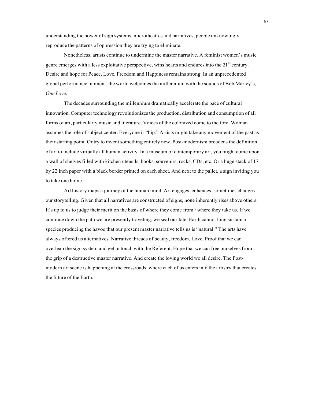understanding the power of sign systems, microtheatres and narratives, people unknowingly reproduce the patterns of oppression they are trying to eliminate.

Nonetheless, artists continue to undermine the master narrative. A feminist women's music genre emerges with a less exploitative perspective, wins hearts and endures into the  $21<sup>st</sup>$  century. Desire and hope for Peace, Love, Freedom and Happiness remains strong. In an unprecedented global performance moment, the world welcomes the millennium with the sounds of Bob Marley's, *One Love.*

The decades surrounding the millennium dramatically accelerate the pace of cultural innovation. Computer technology revolutionizesthe production, distribution and consumption of all forms of art, particularly music and literature. Voices of the colonized come to the fore. Woman assumes the role of subject center. Everyone is "hip." Artists might take any movement of the past as their starting point. Or try to invent something entirely new. Post-modernism broadens the definition of art to include virtually all human activity. In a museum of contemporary art, you might come upon a wall of shelves filled with kitchen utensils, books, souvenirs, rocks, CDs, etc. Or a huge stack of 17 by 22 inch paper with a black border printed on each sheet. And next to the pallet, a sign inviting you to take one home.

Art history maps a journey of the human mind. Art engages, enhances, sometimes changes our storytelling. Given that all narratives are constructed of signs, none inherently rises above others. It's up to us to judge their merit on the basis of where they come from / where they take us. If we continue down the path we are presently traveling, we seal our fate. Earth cannot long sustain a species producing the havoc that our present master narrative tells us is "natural." The arts have always offered us alternatives. Narrative threads of beauty, freedom, Love. Proof that we can overleap the sign system and get in touch with the Referent. Hope that we can free ourselves from the grip of a destructive master narrative. And create the loving world we all desire. The Postmodern art scene is happening at the crossroads, where each of us enters into the artistry that creates the future of the Earth.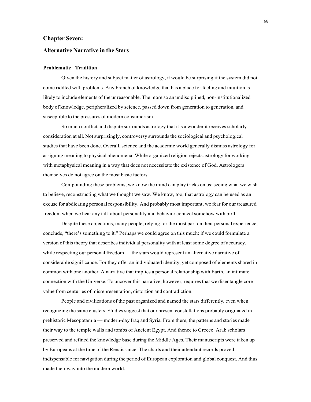## **Chapter Seven:**

## **Alternative Narrative in the Stars**

## **Problematic Tradition**

Given the history and subject matter of astrology, it would be surprising if the system did not come riddled with problems. Any branch of knowledge that has a place for feeling and intuition is likely to include elements of the unreasonable. The more so an undisciplined, non-institutionalized body of knowledge, peripheralized by science, passed down from generation to generation, and susceptible to the pressures of modern consumerism.

So much conflict and dispute surrounds astrology that it's a wonder it receives scholarly consideration at all. Not surprisingly, controversy surrounds the sociological and psychological studies that have been done. Overall, science and the academic world generally dismiss astrology for assigning meaning to physical phenomena. While organized religion rejects astrology for working with metaphysical meaning in a way that does not necessitate the existence of God. Astrologers themselves do not agree on the most basic factors.

Compounding these problems, we know the mind can play tricks on us: seeing what we wish to believe, reconstructing what we thought we saw. We know, too, that astrology can be used as an excuse for abdicating personal responsibility. And probably most important, we fear for our treasured freedom when we hear any talk about personality and behavior connect somehow with birth.

Despite these objections, many people, relying for the most part on their personal experience, conclude, "there's something to it." Perhaps we could agree on this much: if we could formulate a version of this theory that describes individual personality with at least some degree of accuracy, while respecting our personal freedom — the stars would represent an alternative narrative of considerable significance. For they offer an individuated identity, yet composed of elements shared in common with one another. A narrative that implies a personal relationship with Earth, an intimate connection with the Universe. To uncover this narrative, however, requires that we disentangle core value from centuries of misrepresentation, distortion and contradiction.

People and civilizations of the past organized and named the stars differently, even when recognizing the same clusters. Studies suggest that our present constellations probably originated in prehistoric Mesopotamia — modern-day Iraq and Syria. From there, the patterns and stories made their way to the temple walls and tombs of Ancient Egypt. And thence to Greece. Arab scholars preserved and refined the knowledge base during the Middle Ages. Their manuscripts were taken up by Europeans at the time of the Renaissance. The charts and their attendant records proved indispensable for navigation during the period of European exploration and global conquest. And thus made their way into the modern world.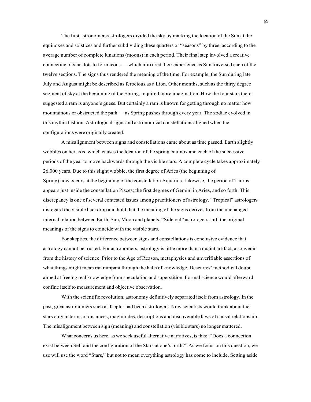The first astronomers/astrologers divided the sky by marking the location of the Sun at the equinoxes and solstices and further subdividing these quarters or "seasons" by three, according to the average number of complete lunations (moons) in each period. Their final step involved a creative connecting of star-dots to form icons — which mirrored their experience as Sun traversed each of the twelve sections. The signs thus rendered the meaning of the time. For example, the Sun during late July and August might be described as ferocious as a Lion. Other months, such as the thirty degree segment of sky at the beginning of the Spring, required more imagination. How the four stars there suggested a ram is anyone's guess. But certainly a ram is known for getting through no matter how mountainous or obstructed the path — as Spring pushes through every year. The zodiac evolved in this mythic fashion. Astrological signs and astronomical constellations aligned when the configurations were originally created.

A misalignment between signs and constellations came about as time passed. Earth slightly wobbles on her axis, which causes the location of the spring equinox and each of the successive periods of the year to move backwards through the visible stars. A complete cycle takes approximately 26,000 years. Due to this slight wobble, the first degree of Aries (the beginning of Spring) now occurs at the beginning of the constellation Aquarius. Likewise, the period of Taurus appears just inside the constellation Pisces; the first degrees of Gemini in Aries, and so forth. This discrepancy is one of several contested issues among practitioners of astrology. "Tropical" astrologers disregard the visible backdrop and hold that the meaning of the signs derives from the unchanged internal relation between Earth, Sun, Moon and planets. "Sidereal" astrologers shift the original meanings of the signs to coincide with the visible stars.

For skeptics, the difference between signs and constellations is conclusive evidence that astrology cannot be trusted. For astronomers, astrology is little more than a quaint artifact, a souvenir from the history of science. Prior to the Age of Reason, metaphysics and unverifiable assertions of what things might mean ran rampant through the halls of knowledge. Descartes' methodical doubt aimed at freeing real knowledge from speculation and superstition. Formal science would afterward confine itself to measurement and objective observation.

With the scientific revolution, astronomy definitively separated itself from astrology. In the past, great astronomers such as Kepler had been astrologers. Now scientists would think about the stars only in terms of distances, magnitudes, descriptions and discoverable laws of causal relationship. The misalignment between sign (meaning) and constellation (visible stars) no longer mattered.

What concerns us here, as we seek useful alternative narratives, is this:: "Does a connection exist between Self and the configuration of the Stars at one's birth?" As we focus on this question, we use will use the word "Stars," but not to mean everything astrology has come to include. Setting aside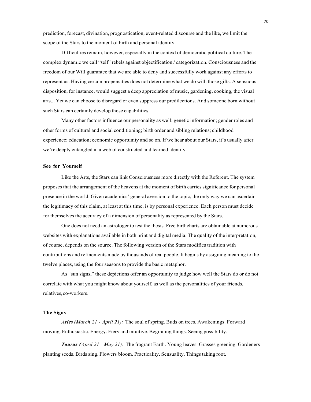prediction, forecast, divination, prognostication, event-related discourse and the like, we limit the scope of the Stars to the moment of birth and personal identity.

Difficulties remain, however, especially in the context of democratic political culture. The complex dynamic we call "self" rebels against objectification / categorization. Consciousness and the freedom of our Will guarantee that we are able to deny and successfully work against any efforts to represent us. Having certain propensities does not determine what we do with those gifts. A sensuous disposition, for instance, would suggest a deep appreciation of music, gardening, cooking, the visual arts... Yet we can choose to disregard or even suppress our predilections. And someone born without such Stars can certainly develop those capabilities.

Many other factors influence our personality as well: genetic information; gender roles and other forms of cultural and social conditioning; birth order and sibling relations; childhood experience; education; economic opportunity and so on. If we hear about our Stars, it's usually after we're deeply entangled in a web of constructed and learned identity.

# **See for Yourself**

Like the Arts, the Stars can link Consciousness more directly with the Referent. The system proposes that the arrangement of the heavens at the moment of birth carries significance for personal presence in the world. Given academics' general aversion to the topic, the only way we can ascertain the legitimacy of this claim, at least at this time, is by personal experience. Each person must decide for themselves the accuracy of a dimension of personality as represented by the Stars.

One does not need an astrologer to test the thesis. Free birthcharts are obtainable at numerous websites with explanations available in both print and digital media. The quality of the interpretation, of course, depends on the source. The following version of the Stars modifies tradition with contributions and refinements made by thousands of real people. It begins by assigning meaning to the twelve places, using the four seasons to provide the basic metaphor.

As "sun signs," these depictions offer an opportunity to judge how well the Stars do or do not correlate with what you might know about yourself, as well as the personalities of your friends, relatives,co-workers.

# **The Signs**

*Aries (March 21 - April 21):* The soul of spring. Buds on trees. Awakenings. Forward moving. Enthusiastic. Energy. Fiery and intuitive. Beginning things. Seeing possibility.

*Taurus (April 21 - May 21):* The fragrant Earth. Young leaves. Grasses greening. Gardeners planting seeds. Birds sing. Flowers bloom. Practicality. Sensuality. Things taking root.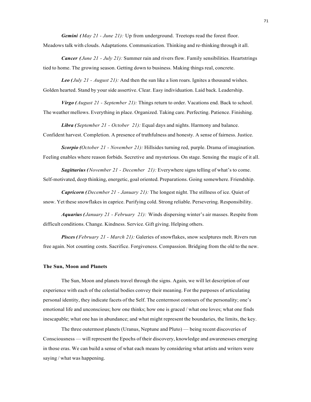*Gemini (May 21 - June 21):* Up from underground. Treetops read the forest floor.

Meadows talk with clouds. Adaptations. Communication. Thinking and re-thinking through it all.

*Cancer ( June 21 - July 21):* Summer rain and rivers flow. Family sensibilities. Heartstrings tied to home. The growing season. Getting down to business. Making things real, concrete.

*Leo ( July 21 - August 21):* And then the sun like a lion roars. Ignites a thousand wishes. Golden hearted. Stand by your side assertive. Clear. Easy individuation. Laid back. Leadership.

*Virgo ( August 21 - September 21):* Things return to order. Vacations end. Back to school. The weather mellows. Everything in place. Organized. Taking care. Perfecting. Patience. Finishing.

*Libra ( September 21 - October 21):* Equal days and nights. Harmony and balance. Confident harvest. Completion. A presence of truthfulness and honesty. A sense of fairness. Justice.

*Scorpio (October 21 - November 21):* Hillsides turning red, purple. Drama of imagination. Feeling enables where reason forbids. Secretive and mysterious. On stage. Sensing the magic of it all.

*Sagittarius ( November 21 - December 21):* Everywhere signs telling of what's to come. Self-motivated, deep thinking, energetic, goal oriented. Preparations. Going somewhere. Friendship.

*Capricorn (December 21 - January 21):* The longest night. The stillness of ice. Quiet of snow. Yet these snowflakes in caprice. Purifying cold. Strong reliable. Persevering. Responsibility.

*Aquarius ( January 21 - February 21):* Winds dispersing winter's air masses. Respite from difficult conditions. Change. Kindness. Service. Gift giving. Helping others.

*Pisces ( February 21 - March 21):* Galeries of snowflakes, snow sculptures melt. Rivers run free again. Not counting costs. Sacrifice. Forgiveness. Compassion. Bridging from the old to the new.

#### **The Sun, Moon and Planets**

The Sun, Moon and planets travel through the signs. Again, we will let description of our experience with each of the celestial bodies convey their meaning. For the purposes of articulating personal identity, they indicate facets of the Self. The centermost contours of the personality; one's emotional life and unconscious; how one thinks; how one is graced / what one loves; what one finds inescapable; what one has in abundance; and what might represent the boundaries, the limits, the key.

The three outermost planets (Uranus, Neptune and Pluto) — being recent discoveries of Consciousness — will represent the Epochs of their discovery, knowledge and awarenesses emerging in those eras. We can build a sense of what each means by considering what artists and writers were saying / what was happening.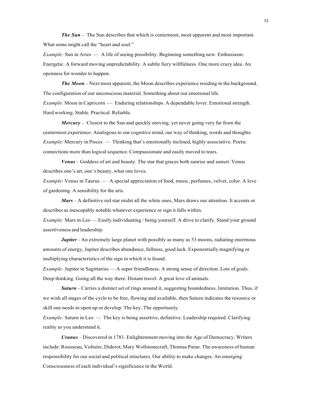*The Sun -* The Sun describes that which is centermost, most apparent and most important. What some might call the "heart and soul."

*Example:* Sun in Aries — A life of seeing possibility. Beginning something new. Enthusiasm. Energetic. A forward moving unpredictability. A subtle fiery willfulness. One more crazy idea. An openness for wonder to happen.

*The Moon -* Next most apparent, the Moon describes experience residing in the background. The configuration of our unconscious material. Something about our emotional life. *Example*: Moon in Capricorn — Enduring relationships. A dependable lover. Emotional strength. Hard working. Stable. Practical. Reliable.

*Mercury -* Closest to the Sun and quickly moving, yet never going very far from the centermost experience. Analogous to our cognitive mind, our way of thinking, words and thoughts. *Example*: Mercury in Pisces — Thinking that's emotionally inclined, highly associative. Poetic connections more than logical sequence. Compassionate and easily moved to tears.

*Venus -* Goddess of art and beauty. The star that graces both sunrise and sunset. Venus describes one's art, one's beauty, what one loves.

*Example*: Venus in Taurus — A special appreciation of food, music, perfumes, velvet, color. A love of gardening. A sensibility for the arts.

*Mars -* A definitive red star midst all the white ones, Mars draws our attention. It accents or describes as inescapably notable whatever experience or sign it falls within.

*Example:* Mars in Leo — Easily individuating / being yourself. A drive to clarify. Stand your ground assertiveness and leadership.

*Jupiter* - An extremely large planet with possibly as many as 53 moons, radiating enormous amounts of energy, Jupiter describes abundance, fullness, good luck. Exponentially magnifying or multiplying characteristics of the sign in which it is found.

*Example:* Jupiter in Sagittarius — A super friendliness. A strong sense of direction. Lots of goals. Deep thinking. Going all the way there. Distant travel. A great love of animals.

**Saturn** - Carries a distinct set of rings around it, suggesting boundedness, limitation. Thus, if we wish all stages of the cycle to be free, flowing and available, then Saturn indicates the resource or skill one needs to open up or develop. The key. The opportunity.

*Example:* Saturn in Leo — The key is being assertive, definitive. Leadership required. Clarifying reality as you understand it.

*Uranus -* Discovered in 1781. Enlightenment moving into the Age of Democracy. Writers include: Rousseau, Voltaire, Diderot, Mary Wollstonecraft, Thomas Paine. The awareness of human responsibility for our social and political structures. Our ability to make changes. An emerging Consciousness of each individual's significance in the World.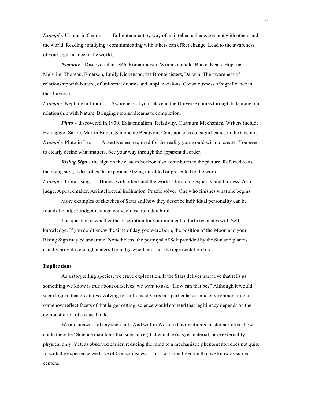*Example:* Uranus in Gemini — Enlightenment by way of an intellectual engagement with others and the world. Reading / studying / communicating with others can effect change. Lead to the awareness of your significance in the world.

*Neptune -* Discovered in 1846. Romanticism. Writers include: Blake, Keats, Hopkins, Melville, Thoreau, Emerson, Emily Dickenson, the Brontë sisters, Darwin. The awareness of relationship with Nature, of universal dreams and utopian visions. Consciousness of significance in the Universe.

*Example:* Neptune in Libra — Awareness of your place in the Universe comes through balancing our relationship with Nature. Bringing utopian dreams to completion.

*Pluto -* discovered in 1930. Existentialism, Relativity, Quantum Mechanics. Writers include Heidegger, Sartre, Martin Buber, Simone de Beauvoir. Consciousness of significance in the Cosmos. *Example:* Pluto in Leo — Assertiveness required for the reality you would wish to create. You need to clearly define what matters. See your way through the apparent disorder.

*Rising Sign* - the sign on the eastern horizon also contributes to the picture. Referred to as the rising sign, it describes the experience being unfolded or presented to the world.

*Example:* Libra rising — Honest with others and the world. Unfolding equality and fairness. As a judge. A peacemaker. An intellectual inclination. Puzzle solver. One who finishes what she begins.

More examples of sketches of Stars and how they describe individual personality can be found at > http://bridgetochange.com/somestars/index.html

The question is whether the description for your moment of birth resonates with Selfknowledge. If you don't know the time of day you were born, the position of the Moon and your Rising Sign may be uncertain. Nonetheless, the portrayal of Self provided by the Sun and planets usually provides enough material to judge whether or not the representation fits.

# **Implications**

As a storytelling species, we crave explanation. If the Stars deliver narrative that tells us something we know is true about ourselves, we want to ask, "How can that be?" Although it would seem logical that creatures evolving for billions of years in a particular cosmic environment might somehow reflect facets of that larger setting, science would contend that legitimacy depends on the demonstration of a causal link.

We are unaware of any such link. And within Western Civilization's master narrative, how could there be? Science maintains that substance (that which exists) is material, pure externality, physical only. Yet, as observed earlier, reducing the mind to a mechanistic phenomenon does not quite fit with the experience we have of Consciousness — nor with the freedom that we know as subject centers.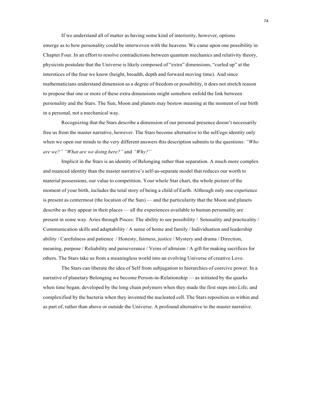If we understand all of matter as having some kind of interiority, however, options emerge as to how personality could be interwoven with the heavens. We came upon one possibility in Chapter Four. In an effort to resolve contradictions between quantum mechanics and relativity theory, physicists postulate that the Universe is likely composed of "extra" dimensions, "curled up" at the interstices of the four we know (height, breadth, depth and forward moving time). And since mathematicians understand dimension as a degree of freedom or possibility, it does not stretch reason to propose that one or more of these extra dimensions might somehow enfold the link between personality and the Stars. The Sun, Moon and planets may bestow meaning at the moment of our birth in a personal, not a mechanical way.

Recognizing that the Stars describe a dimension of our personal presence doesn't necessarily free us from the master narrative, however. The Stars become alternative to the self/ego identity only when we open our minds to the very different answers this description submits to the questions: *"Who are we?" "What are we doing here?"* and *"Why?"*

Implicit in the Stars is an identity of Belonging rather than separation. A much more complex and nuanced identity than the master narrative's self-as-separate model that reduces our worth to material possessions, our value to competition. Your whole Star chart, the whole picture of the moment of your birth, includes the total story of being a child of Earth. Although only one experience is present as centermost (the location of the Sun) — and the particularity that the Moon and planets describe as they appear in their places — all the experiences available to human personality are present in some way. Aries through Pisces: The ability to see possibility / Sensuality and practicality / Communication skills and adaptability / A sense of home and family / Individuation and leadership ability / Carefulness and patience / Honesty, fairness, justice / Mystery and drama / Direction, meaning, purpose / Reliability and perseverance / Veins of altruism / A gift for making sacrifices for others. The Stars take us from a meaningless world into an evolving Universe of creative Love.

The Stars can liberate the idea of Self from subjugation to hierarchies of coercive power. In a narrative of planetary Belonging we become Person-in-Relationship — as initiated by the quarks when time began; developed by the long chain polymers when they made the first steps into Life; and complexified by the bacteria when they invented the nucleated cell. The Stars reposition us within and as part of, rather than above or outside the Universe. A profound alternative to the master narrative.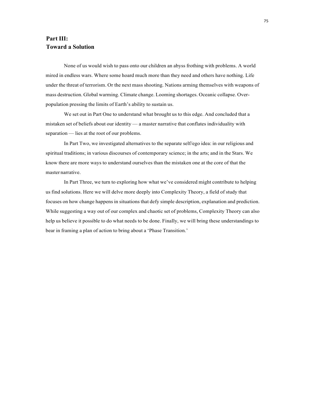# **Part III: Toward a Solution**

None of us would wish to pass onto our children an abyss frothing with problems. A world mired in endless wars. Where some hoard much more than they need and others have nothing. Life under the threat of terrorism. Or the next mass shooting. Nations arming themselves with weapons of mass destruction. Global warming. Climate change. Looming shortages. Oceanic collapse. Overpopulation pressing the limits of Earth's ability to sustain us.

We set out in Part One to understand what brought us to this edge. And concluded that a mistaken set of beliefs about our identity — a master narrative that conflates individuality with separation — lies at the root of our problems.

In Part Two, we investigated alternatives to the separate self/ego idea: in our religious and spiritual traditions; in various discourses of contemporary science; in the arts; and in the Stars. We know there are more ways to understand ourselves than the mistaken one at the core of that the master narrative.

In Part Three, we turn to exploring how what we've considered might contribute to helping us find solutions. Here we will delve more deeply into Complexity Theory, a field of study that focuses on how change happens in situations that defy simple description, explanation and prediction. While suggesting a way out of our complex and chaotic set of problems, Complexity Theory can also help us believe it possible to do what needs to be done. Finally, we will bring these understandings to bear in framing a plan of action to bring about a 'Phase Transition.'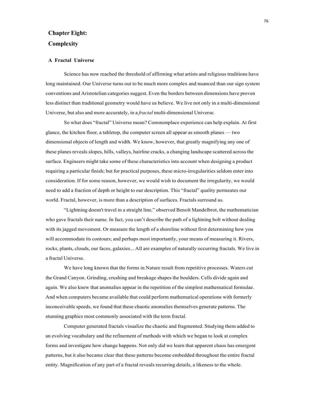# **Chapter Eight: Complexity**

#### **A Fractal Universe**

Science has now reached the threshold of affirming what artists and religious traditions have long maintained. Our Universe turns out to be much more complex and nuanced than our sign system conventions and Aristotelian categories suggest. Even the borders between dimensions have proven less distinct than traditional geometry would have us believe. We live not only in a multi-dimensional Universe, but also and more accurately, in a *fractal* multi-dimensional Universe.

So what does "fractal" Universe mean? Commonplace experience can help explain. At first glance, the kitchen floor, a tabletop, the computer screen all appear as smooth planes — two dimensional objects of length and width. We know, however, that greatly magnifying any one of these planes reveals slopes, hills, valleys, hairline cracks, a changing landscape scattered across the surface. Engineers might take some of these characteristics into account when designing a product requiring a particular finish; but for practical purposes, these micro-irregularities seldom enter into consideration. If for some reason, however, we would wish to document the irregularity, we would need to add a fraction of depth or height to our description. This "fractal" quality permeates our world. Fractal, however, is more than a description of surfaces. Fractals surround us.

"Lightning doesn't travel in a straight line," observed Benoît Mandelbrot, the mathematician who gave fractals their name. In fact, you can't describe the path of a lightning bolt without dealing with its jagged movement. Or measure the length of a shoreline without first determining how you will accommodate its contours; and perhaps most importantly, your means of measuring it. Rivers, rocks, plants, clouds, our faces, galaxies... All are examples of naturally occurring fractals. We live in a fractal Universe.

We have long known that the forms in Nature result from repetitive processes. Waters cut the Grand Canyon. Grinding, crushing and breakage shapes the boulders. Cells divide again and again. We also knew that anomalies appear in the repetition of the simplest mathematical formulae. And when computers became available that could perform mathematical operations with formerly inconceivable speeds, we found that these chaotic anomalies themselves generate patterns. The stunning graphics most commonly associated with the term fractal.

Computer generated fractals visualize the chaotic and fragmented. Studying them added to an evolving vocabulary and the refinement of methods with which we began to look at complex forms and investigate how change happens. Not only did we learn that apparent chaos has emergent patterns, but it also became clear that these patterns become embedded throughout the entire fractal entity. Magnification of any part of a fractal reveals recurring details, a likeness to the whole.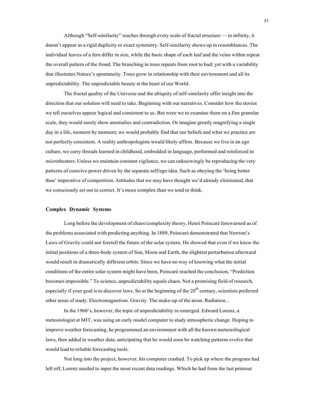Although "Self-similarity" reaches through every scale of fractal structure — to infinity, it doesn't appear as a rigid duplicity or exact symmetry. Self-similarity shows up in resemblances. The individual leaves of a fern differ in size, while the basic shape of each leaf and the veins within repeat the overall pattern of the frond. The branching in trees repeats from root to bud; yet with a variability that illustrates Nature's spontaneity. Trees grow in relationship with their environment and all its unpredictability. The unpredictable beauty at the heart of our World.

The fractal quality of the Universe and the ubiquity of self-similarity offer insight into the direction that our solution will need to take. Beginning with our narratives. Consider how the stories we tell ourselves appear logical and consistent to us. But were we to examine them on a fine granular scale, they would surely show anomalies and contradiction. Or imagine greatly magnifying a single day in a life, moment by moment; we would probably find that our beliefs and what we practice are not perfectly consistent. A reality anthropologists would likely affirm. Because we live in an ego culture, we carry threads learned in childhood, embedded in language, performed and reinforced in microtheaters. Unless we maintain constant vigilance, we can unknowingly be reproducing the very patterns of coercive power driven by the separate self/ego idea. Such as obeying the 'being better than' imperative of competition. Attitudes that we may have thought we'd already eliminated, that we consciously set out to correct. It's more complex than we tend to think.

# **Complex Dynamic Systems**

Long before the development of chaos/complexity theory, Henri Poincaré forewarned us of the problems associated with predicting anything. In 1889, Poincaré demonstrated that Newton's Laws of Gravity could not foretell the future of the solar system. He showed that even if we knew the initial positions of a three-body system of Sun, Moon and Earth, the slightest perturbation afterward would result in dramatically different orbits. Since we have no way of knowing what the initial conditions of the entire solar system might have been, Poincaré reached the conclusion, "Prediction becomes impossible." To science, unpredictability equals chaos. Not a promising field of research, especially if your goal is to discover laws. So at the beginning of the  $20<sup>th</sup>$  century, scientists preferred other areas of study. Electromagnetism. Gravity. The make-up of the atom. Radiation...

In the 1960's, however, the topic of unpredictability re-emerged. Edward Lorenz, a meteorologist at MIT, was using an early model computer to study atmospheric change. Hoping to improve weather forecasting, he programmed an environment with all the known meteorological laws, then added in weather data; anticipating that he would soon be watching patterns evolve that would lead to reliable forecasting tools.

Not long into the project, however, his computer crashed. To pick up where the program had left off, Lorenz needed to input the most recent data readings. Which he had from the last printout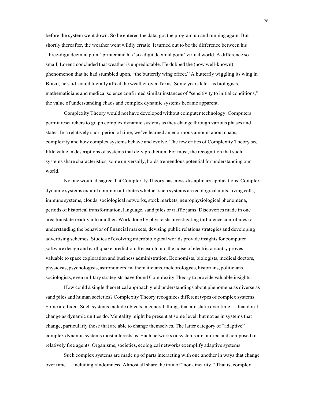before the system went down. So he entered the data, got the program up and running again. But shortly thereafter, the weather went wildly erratic. It turned out to be the difference between his 'three-digit decimal point' printer and his 'six-digit decimal point' virtual world. A difference so small, Lorenz concluded that weather is unpredictable. He dubbed the (now well-known) phenomenon that he had stumbled upon, "the butterfly wing effect." A butterfly wiggling its wing in Brazil, he said, could literally affect the weather over Texas. Some years later, as biologists, mathematicians and medical science confirmed similar instances of "sensitivity to initial conditions," the value of understanding chaos and complex dynamic systems became apparent.

Complexity Theory would not have developed without computer technology. Computers permit researchers to graph complex dynamic systems as they change through various phases and states. In a relatively short period of time, we've learned an enormous amount about chaos, complexity and how complex systems behave and evolve. The few critics of Complexity Theory see little value in descriptions of systems that defy prediction. For most, the recognition that such systems share characteristics, some universally, holds tremendous potential for understanding our world.

No one would disagree that Complexity Theory has cross-disciplinary applications. Complex dynamic systems exhibit common attributes whether such systems are ecological units, living cells, immune systems, clouds, sociological networks, stock markets, neurophysiological phenomena, periods of historical transformation, language, sand piles or traffic jams. Discoveries made in one area translate readily into another. Work done by physicists investigating turbulence contributes to understanding the behavior of financial markets, devising public relations strategies and developing advertising schemes. Studies of evolving microbiological worlds provide insights for computer software design and earthquake prediction. Research into the noise of electric circuitry proves valuable to space exploration and business administration. Economists, biologists, medical doctors, physicists, psychologists, astronomers, mathematicians, meteorologists, historians, politicians, sociologists, even military strategists have found Complexity Theory to provide valuable insights.

How could a single theoretical approach yield understandings about phenomena as diverse as sand piles and human societies? Complexity Theory recognizes different types of complex systems. Some are fixed. Such systems include objects in general, things that are static over time — that don't change as dynamic unities do. Mentality might be present at some level, but not as in systems that change, particularly those that are able to change themselves. The latter category of "adaptive" complex dynamic systems most interests us. Such networks or systems are unified and composed of relatively free agents. Organisms, societies, ecological networks exemplify adaptive systems.

Such complex systems are made up of parts interacting with one another in ways that change over time — including randomness. Almost all share the trait of "non-linearity." That is, complex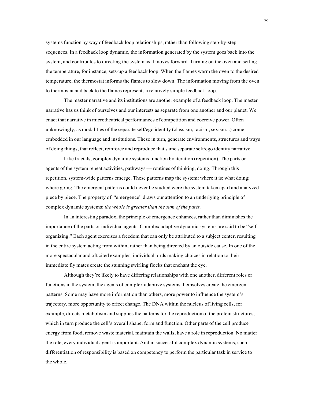systems function by way of feedback loop relationships, rather than following step-by-step sequences. In a feedback loop dynamic, the information generated by the system goes back into the system, and contributes to directing the system as it moves forward. Turning on the oven and setting the temperature, for instance, sets-up a feedback loop. When the flames warm the oven to the desired temperature, the thermostat informs the flames to slow down. The information moving from the oven to thermostat and back to the flames represents a relatively simple feedback loop.

The master narrative and its institutions are another example of a feedback loop. The master narrative has us think of ourselves and our interests as separate from one another and our planet. We enact that narrative in microtheatrical performances of competition and coercive power. Often unknowingly, as modalities of the separate self/ego identity (classism, racism, sexism...) come embedded in our language and institutions. These in turn, generate environments, structures and ways of doing things, that reflect, reinforce and reproduce that same separate self/ego identity narrative.

Like fractals, complex dynamic systems function by iteration (repetition). The parts or agents of the system repeat activities, pathways — routines of thinking, doing. Through this repetition, system-wide patterns emerge. These patterns map the system: where it is; what doing; where going. The emergent patterns could never be studied were the system taken apart and analyzed piece by piece. The property of "emergence" draws our attention to an underlying principle of complex dynamic systems: *the whole is greater than the sum of the parts.*

In an interesting paradox, the principle of emergence enhances, rather than diminishes the importance of the parts or individual agents. Complex adaptive dynamic systems are said to be "selforganizing." Each agent exercises a freedom that can only be attributed to a subject center, resulting in the entire system acting from within, rather than being directed by an outside cause. In one of the more spectacular and oft cited examples, individual birds making choices in relation to their immediate fly mates create the stunning swirling flocks that enchant the eye.

Although they're likely to have differing relationships with one another, different roles or functions in the system, the agents of complex adaptive systems themselves create the emergent patterns. Some may have more information than others, more power to influence the system's trajectory, more opportunity to effect change. The DNA within the nucleus of living cells, for example, directs metabolism and supplies the patterns for the reproduction of the protein structures, which in turn produce the cell's overall shape, form and function. Other parts of the cell produce energy from food, remove waste material, maintain the walls, have a role in reproduction. No matter the role, every individual agent is important. And in successful complex dynamic systems, such differentiation of responsibility is based on competency to perform the particular task in service to the whole.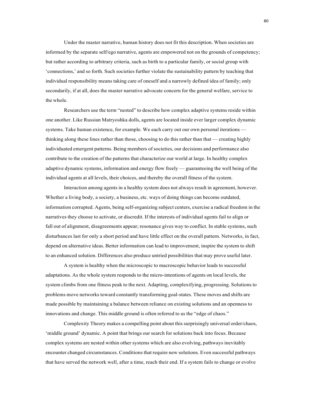Under the master narrative, human history does not fit this description. When societies are informed by the separate self/ego narrative, agents are empowered not on the grounds of competency; but rather according to arbitrary criteria, such as birth to a particular family, or social group with 'connections,' and so forth. Such societies further violate the sustainability pattern by teaching that individual responsibility means taking care of oneself and a narrowly defined idea of family; only secondarily, if at all, does the master narrative advocate concern for the general welfare, service to the whole.

Researchers use the term "nested" to describe how complex adaptive systems reside within one another. Like Russian Matryoshka dolls, agents are located inside ever larger complex dynamic systems. Take human existence, for example. We each carry out our own personal iterations thinking along these lines rather than those, choosing to do this rather than that — creating highly individuated emergent patterns. Being members of societies, our decisions and performance also contribute to the creation of the patterns that characterize our world at large. In healthy complex adaptive dynamic systems, information and energy flow freely — guaranteeing the well being of the individual agents at all levels, their choices, and thereby the overall fitness of the system.

Interaction among agents in a healthy system does not always result in agreement, however. Whether a living body, a society, a business, etc. ways of doing things can become outdated, information corrupted. Agents, being self-organizing subject centers, exercise a radical freedom in the narratives they choose to activate, or discredit. If the interests of individual agents fail to align or fall out of alignment, disagreements appear; resonance gives way to conflict. In stable systems, such disturbances last for only a short period and have little effect on the overall pattern. Networks, in fact, depend on alternative ideas. Better information can lead to improvement, inspire the system to shift to an enhanced solution. Differences also produce untried possibilities that may prove useful later.

A system is healthy when the microscopic to macroscopic behavior leads to successful adaptations. As the whole system responds to the micro-intentions of agents on local levels, the system climbs from one fitness peak to the next. Adapting, complexifying, progressing. Solutions to problems move networks toward constantly transforming goal-states. These moves and shifts are made possible by maintaining a balance between reliance on existing solutions and an openness to innovations and change. This middle ground is often referred to as the "edge of chaos."

Complexity Theory makes a compelling point about this surprisingly universal order/chaos, 'middle ground' dynamic. A point that brings our search for solutions back into focus. Because complex systems are nested within other systems which are also evolving, pathways inevitably encounter changed circumstances. Conditions that require new solutions. Even successful pathways that have served the network well, after a time, reach their end. If a system fails to change or evolve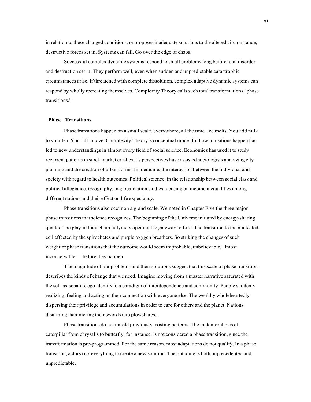in relation to these changed conditions; or proposes inadequate solutions to the altered circumstance, destructive forces set in. Systems can fail. Go over the edge of chaos.

Successful complex dynamic systems respond to small problems long before total disorder and destruction set in. They perform well, even when sudden and unpredictable catastrophic circumstances arise. If threatened with complete dissolution, complex adaptive dynamic systems can respond by wholly recreating themselves. Complexity Theory calls such total transformations "phase transitions."

## **Phase Transitions**

Phase transitions happen on a small scale, everywhere, all the time. Ice melts. You add milk to your tea. You fall in love. Complexity Theory's conceptual model for how transitions happen has led to new understandings in almost every field of social science. Economics has used it to study recurrent patterns in stock market crashes. Its perspectives have assisted sociologists analyzing city planning and the creation of urban forms. In medicine, the interaction between the individual and society with regard to health outcomes. Political science, in the relationship between social class and political allegiance. Geography, in globalization studiesfocusing on income inequalities among different nations and their effect on life expectancy.

Phase transitions also occur on a grand scale. We noted in Chapter Five the three major phase transitions that science recognizes. The beginning of the Universe initiated by energy-sharing quarks. The playful long chain polymers opening the gateway to Life. The transition to the nucleated cell effected by the spirochetes and purple oxygen breathers. So striking the changes of such weightier phase transitions that the outcome would seem improbable, unbelievable, almost inconceivable — before they happen.

The magnitude of our problems and their solutions suggest that this scale of phase transition describes the kinds of change that we need. Imagine moving from a master narrative saturated with the self-as-separate ego identity to a paradigm of interdependence and community. People suddenly realizing, feeling and acting on their connection with everyone else. The wealthy wholeheartedly dispersing their privilege and accumulations in order to care for others and the planet. Nations disarming, hammering their swords into plowshares...

Phase transitions do not unfold previously existing patterns. The metamorphosis of caterpillar from chrysalis to butterfly, for instance, is not considered a phase transition, since the transformation is pre-programmed. For the same reason, most adaptations do not qualify. In a phase transition, actors risk everything to create a new solution. The outcome is both unprecedented and unpredictable.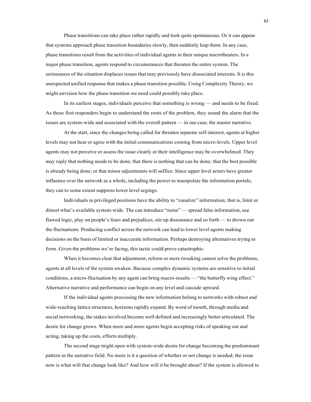Phase transitions can take place rather rapidly and look quite spontaneous. Or it can appear that systems approach phase transition boundaries slowly, then suddenly leap them. In any case, phase transitions result from the activities of individual agents in their unique microtheaters. In a major phase transition, agents respond to circumstances that threaten the entire system. The seriousness of the situation displaces issues that may previously have dissociated interests. It is this unexpected unified response that makes a phase transition possible. Using Complexity Theory, we might envision how the phase transition we need could possibly take place.

In its earliest stages, individuals perceive that something is wrong — and needs to be fixed. As these first responders begin to understand the roots of the problem, they sound the alarm that the issues are system-wide and associated with the overall pattern — in our case, the master narrative.

At the start, since the changes being called for threaten separate self-interest, agents at higher levels may not hear or agree with the initial communications coming from micro-levels. Upper level agents may not perceive or assess the issue clearly or their intelligence may be overwhelmed. They may reply that nothing needs to be done; that there is nothing that can be done; that the best possible is already being done; or that minor adjustments will suffice. Since upper level actors have greater influence over the network as a whole, including the power to manipulate the information portals, they can to some extent suppress lower level urgings.

Individuals in privileged positions have the ability to "canalize" information; that is, limit or distort what's available system-wide. The can introduce "noise" — spread false information, use flawed logic, play on people's fears and prejudices, stir up dissonance and so forth — to drown out the fluctuations. Producing conflict across the network can lead to lower level agents making decisions on the basis of limited or inaccurate information. Perhaps destroying alternatives trying to form. Given the problems we're facing, this tactic could prove catastrophic.

When it becomes clear that adjustment, reform or mere tweaking cannot solve the problems, agents at all levels of the system awaken. Because complex dynamic systems are sensitive to initial conditions, a micro-fluctuation by any agent can bring macro-results — "the butterfly wing effect." Alternative narrative and performance can begin on any level and cascade upward.

If the individual agents processing the new information belong to networks with robust and wide-reaching lattice structures, horizons rapidly expand. By word of mouth, through media and social networking, the stakes involved become well defined and increasingly better articulated. The desire for change grows. When more and more agents begin accepting risks of speaking out and acting, taking up the costs, efforts multiply.

The second stage might open with system-wide desire for change becoming the predominant pattern in the narrative field. No more is it a question of whether or not change is needed; the issue now is what will that change look like? And how will it be brought about? If the system is allowed to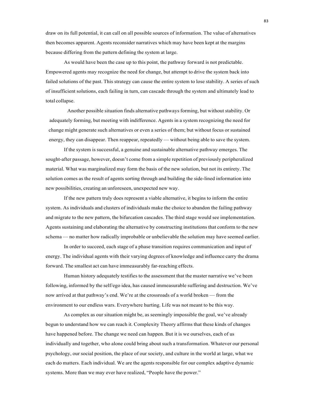draw on its full potential, it can call on all possible sources of information. The value of alternatives then becomes apparent. Agents reconsider narratives which may have been kept at the margins because differing from the pattern defining the system at large.

As would have been the case up to this point, the pathway forward is not predictable. Empowered agents may recognize the need for change, but attempt to drive the system back into failed solutions of the past. This strategy can cause the entire system to lose stability. A series of such of insufficient solutions, each failing in turn, can cascade through the system and ultimately lead to total collapse.

Another possible situation finds alternative pathways forming, but without stability. Or adequately forming, but meeting with indifference. Agents in a system recognizing the need for change might generate such alternatives or even a series of them; but without focus or sustained energy, they can disappear. Then reappear, repeatedly — without being able to save the system.

If the system is successful, a genuine and sustainable alternative pathway emerges. The sought-after passage, however, doesn't come from a simple repetition of previously peripheralized material. What was marginalized may form the basis of the new solution, but not its entirety. The solution comes as the result of agents sorting through and building the side-lined information into new possibilities, creating an unforeseen, unexpected new way.

If the new pattern truly does represent a viable alternative, it begins to inform the entire system. As individuals and clusters of individuals make the choice to abandon the failing pathway and migrate to the new pattern, the bifurcation cascades. The third stage would see implementation. Agents sustaining and elaborating the alternative by constructing institutions that conform to the new schema — no matter how radically improbable or unbelievable the solution may have seemed earlier.

In order to succeed, each stage of a phase transition requires communication and input of energy. The individual agents with their varying degrees of knowledge and influence carry the drama forward. The smallest act can have immeasurably far-reaching effects.

Human history adequately testifies to the assessment that the master narrative we've been following, informed by the self/ego idea, has caused immeasurable suffering and destruction. We've now arrived at that pathway's end. We're at the crossroads of a world broken — from the environment to our endless wars. Everywhere hurting. Life was not meant to be this way.

As complex as our situation might be, as seemingly impossible the goal, we've already begun to understand how we can reach it. Complexity Theory affirms that these kinds of changes have happened before. The change we need can happen. But it is we ourselves, each of us individually and together, who alone could bring about such a transformation. Whatever our personal psychology, our social position, the place of our society, and culture in the world at large, what we each do matters. Each individual. We are the agents responsible for our complex adaptive dynamic systems. More than we may ever have realized, "People have the power."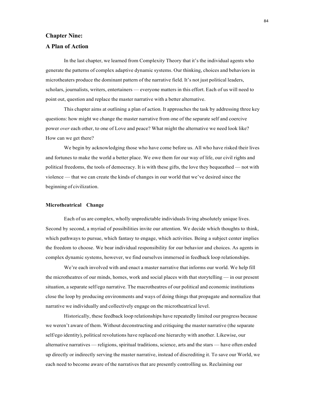# **Chapter Nine:**

# **A Plan of Action**

In the last chapter, we learned from Complexity Theory that it's the individual agents who generate the patterns of complex adaptive dynamic systems. Our thinking, choices and behaviors in microtheaters produce the dominant pattern of the narrative field. It's not just political leaders, scholars, journalists, writers, entertainers — everyone matters in this effort. Each of us will need to point out, question and replace the master narrative with a better alternative.

This chapter aims at outlining a plan of action. It approaches the task by addressing three key questions: how might we change the master narrative from one of the separate self and coercive power *over* each other, to one of Love and peace? What might the alternative we need look like? How can we get there?

We begin by acknowledging those who have come before us. All who have risked their lives and fortunes to make the world a better place. We owe them for our way of life, our civil rights and political freedoms, the tools of democracy. It is with these gifts, the love they bequeathed — not with violence — that we can create the kinds of changes in our world that we've desired since the beginning of civilization.

#### **Microtheatrical Change**

Each of us are complex, wholly unpredictable individuals living absolutely unique lives. Second by second, a myriad of possibilities invite our attention. We decide which thoughts to think, which pathways to pursue, which fantasy to engage, which activities. Being a subject center implies the freedom to choose. We bear individual responsibility for our behavior and choices. As agents in complex dynamic systems, however, we find ourselves immersed in feedback loop relationships.

We're each involved with and enact a master narrative that informs our world. We help fill the microtheatres of our minds, homes, work and social places with that storytelling — in our present situation, a separate self/ego narrative. The macrotheatres of our political and economic institutions close the loop by producing environments and ways of doing things that propagate and normalize that narrative we individually and collectively engage on the microtheatrical level.

Historically, these feedback loop relationships have repeatedly limited our progress because we weren't aware of them. Without deconstructing and critiquing the master narrative (the separate self/ego identity), political revolutions have replaced one hierarchy with another. Likewise, our alternative narratives — religions, spiritual traditions, science, arts and the stars — have often ended up directly or indirectly serving the master narrative, instead of discrediting it. To save our World, we each need to become aware of the narratives that are presently controlling us. Reclaiming our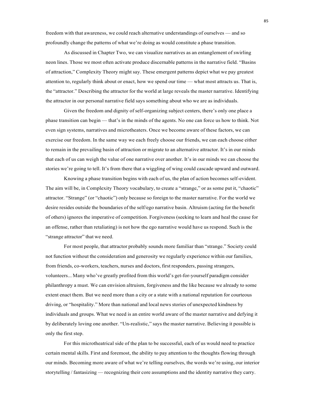freedom with that awareness, we could reach alternative understandings of ourselves — and so profoundly change the patterns of what we're doing as would constitute a phase transition.

As discussed in Chapter Two, we can visualize narratives as an entanglement of swirling neon lines. Those we most often activate produce discernable patterns in the narrative field. "Basins of attraction," Complexity Theory might say. These emergent patterns depict what we pay greatest attention to, regularly think about or enact, how we spend our time — what most attracts us. That is, the "attractor." Describing the attractor for the world at large reveals the master narrative. Identifying the attractor in our personal narrative field says something about who we are as individuals.

Given the freedom and dignity of self-organizing subject centers, there's only one place a phase transition can begin — that's in the minds of the agents. No one can force us how to think. Not even sign systems, narratives and microtheaters. Once we become aware of these factors, we can exercise our freedom. In the same way we each freely choose our friends, we can each choose either to remain in the prevailing basin of attraction or migrate to an alternative attractor. It's in our minds that each of us can weigh the value of one narrative over another. It's in our minds we can choose the stories we're going to tell. It's from there that a wiggling of wing could cascade upward and outward.

Knowing a phase transition begins with each of us, the plan of action becomes self-evident. The aim will be, in Complexity Theory vocabulary, to create a "strange," or as some put it, "chaotic" attractor. "Strange" (or "chaotic") only because so foreign to the master narrative. For the world we desire resides outside the boundaries of the self/ego narrative basin. Altruism (acting for the benefit of others) ignores the imperative of competition. Forgiveness (seeking to learn and heal the cause for an offense, rather than retaliating) is not how the ego narrative would have us respond. Such is the "strange attractor" that we need.

For most people, that attractor probably sounds more familiar than "strange." Society could not function without the consideration and generosity we regularly experience within our families, from friends, co-workers, teachers, nurses and doctors, first responders, passing strangers, volunteers... Many who've greatly profited from this world's get-for-yourself paradigm consider philanthropy a must. We can envision altruism, forgiveness and the like because we already to some extent enact them. But we need more than a city or a state with a national reputation for courteous driving, or "hospitality." More than national and local news stories of unexpected kindness by individuals and groups. What we need is an entire world aware of the master narrative and defying it by deliberately loving one another. "Un-realistic," says the master narrative. Believing it possible is only the first step.

For this microtheatrical side of the plan to be successful, each of us would need to practice certain mental skills. First and foremost, the ability to pay attention to the thoughts flowing through our minds. Becoming more aware of what we're telling ourselves, the words we're using, our interior storytelling / fantasizing — recognizing their core assumptions and the identity narrative they carry.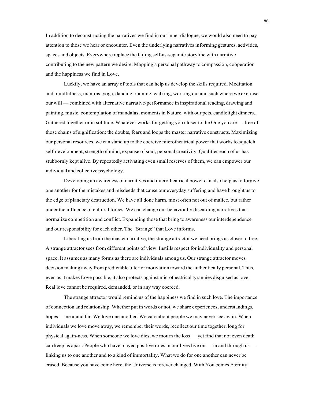In addition to deconstructing the narratives we find in our inner dialogue, we would also need to pay attention to those we hear or encounter. Even the underlying narratives informing gestures, activities, spaces and objects. Everywhere replace the failing self-as-separate storyline with narrative contributing to the new pattern we desire. Mapping a personal pathway to compassion, cooperation and the happiness we find in Love.

Luckily, we have an array of tools that can help us develop the skills required. Meditation and mindfulness, mantras, yoga, dancing, running, walking, working out and such where we exercise our will — combined with alternative narrative/performance in inspirational reading, drawing and painting, music, contemplation of mandalas, moments in Nature, with our pets, candlelight dinners... Gathered together or in solitude. Whatever works for getting you closer to the One you are — free of those chains of signification: the doubts, fears and loops the master narrative constructs. Maximizing our personal resources, we can stand up to the coercive microtheatrical power that works to squelch self-development, strength of mind, expanse of soul, personal creativity. Qualities each of us has stubbornly kept alive. By repeatedly activating even small reserves of them, we can empower our individual and collective psychology.

Developing an awareness of narratives and microtheatrical power can also help us to forgive one another for the mistakes and misdeeds that cause our everyday suffering and have brought us to the edge of planetary destruction. We have all done harm, most often not out of malice, but rather under the influence of cultural forces. We can change our behavior by discarding narratives that normalize competition and conflict. Expanding those that bring to awareness our interdependence and our responsibility for each other. The "Strange" that Love informs.

Liberating us from the master narrative, the strange attractor we need brings us closer to free. A strange attractor sees from different points of view. Instills respect for individuality and personal space. It assumes as many forms as there are individuals among us. Our strange attractor moves decision making away from predictable ulterior motivation toward the authentically personal. Thus, even as it makes Love possible, it also protects against microtheatrical tyrannies disguised as love. Real love cannot be required, demanded, or in any way coerced.

The strange attractor would remind us of the happiness we find in such love. The importance of connection and relationship. Whether put in words or not, we share experiences, understandings, hopes — near and far. We love one another. We care about people we may never see again. When individuals we love move away, we remember their words, recollect our time together, long for physical again-ness. When someone we love dies, we mourn the loss — yet find that not even death can keep us apart. People who have played positive roles in our lives live on — in and through us linking us to one another and to a kind of immortality. What we do for one another can never be erased. Because you have come here, the Universe is forever changed. With You comes Eternity.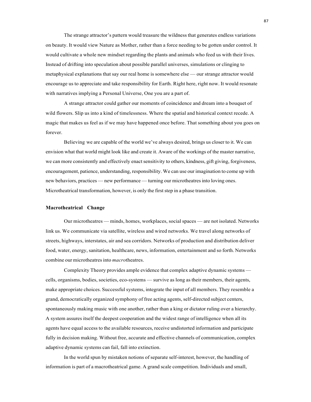The strange attractor's pattern would treasure the wildness that generates endless variations on beauty. It would view Nature as Mother, rather than a force needing to be gotten under control. It would cultivate a whole new mindset regarding the plants and animals who feed us with their lives. Instead of drifting into speculation about possible parallel universes, simulations or clinging to metaphysical explanations that say our real home is somewhere else — our strange attractor would encourage us to appreciate and take responsibility for Earth. Right here, right now. It would resonate with narratives implying a Personal Universe, One you are a part of.

A strange attractor could gather our moments of coincidence and dream into a bouquet of wild flowers. Slip us into a kind of timelessness. Where the spatial and historical context recede. A magic that makes us feel as if we may have happened once before. That something about you goes on forever.

Believing we are capable of the world we've always desired, brings us closer to it. We can envision what that world might look like and create it. Aware of the workings of the master narrative, we can more consistently and effectively enact sensitivity to others, kindness, gift giving, forgiveness, encouragement, patience, understanding, responsibility. We can use our imagination to come up with new behaviors, practices — new performance — turning our microtheatresinto loving ones. Microtheatrical transformation, however, is only the first step in a phase transition.

#### **Macrotheatrical Change**

Our microtheatres — minds, homes, workplaces, social spaces — are not isolated. Networks link us. We communicate via satellite, wireless and wired networks. We travel along networks of streets, highways, interstates, air and sea corridors. Networks of production and distribution deliver food, water, energy, sanitation, healthcare, news, information, entertainment and so forth. Networks combine our microtheatresinto *macro*theatres.

Complexity Theory provides ample evidence that complex adaptive dynamic systems cells, organisms, bodies, societies, eco-systems — survive as long as their members, their agents, make appropriate choices. Successful systems, integrate the input of all members. They resemble a grand, democratically organized symphony of free acting agents, self-directed subject centers, spontaneously making music with one another, rather than a king or dictator ruling over a hierarchy. A system assures itself the deepest cooperation and the widest range of intelligence when all its agents have equal access to the available resources, receive undistorted information and participate fully in decision making. Without free, accurate and effective channels of communication, complex adaptive dynamic systems can fail, fall into extinction.

In the world spun by mistaken notions of separate self-interest, however, the handling of information is part of a macrotheatrical game. A grand scale competition. Individuals and small,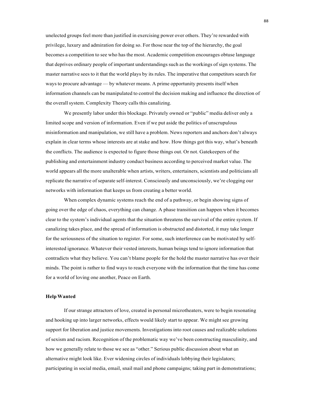unelected groups feel more than justified in exercising power over others. They're rewarded with privilege, luxury and admiration for doing so. For those near the top of the hierarchy, the goal becomes a competition to see who has the most. Academic competition encourages obtuse language that deprives ordinary people of important understandings such as the workings of sign systems. The master narrative sees to it that the world plays by its rules. The imperative that competitors search for ways to procure advantage — by whatever means. A prime opportunity presents itself when information channels can be manipulated to control the decision making and influence the direction of the overall system. Complexity Theory calls this canalizing.

We presently labor under this blockage. Privately owned or "public" media deliver only a limited scope and version of information. Even if we put aside the politics of unscrupulous misinformation and manipulation, we still have a problem. News reporters and anchors don't always explain in clear terms whose interests are at stake and how. How things got this way, what's beneath the conflicts. The audience is expected to figure those things out. Or not. Gatekeepers of the publishing and entertainment industry conduct business according to perceived market value. The world appears all the more unalterable when artists, writers, entertainers, scientists and politicians all replicate the narrative of separate self-interest. Consciously and unconsciously, we're clogging our networks with information that keeps us from creating a better world.

When complex dynamic systems reach the end of a pathway, or begin showing signs of going over the edge of chaos, everything can change. A phase transition can happen when it becomes clear to the system's individual agents that the situation threatens the survival of the entire system. If canalizing takes place, and the spread of information is obstructed and distorted, it may take longer for the seriousness of the situation to register. For some, such interference can be motivated by selfinterested ignorance. Whatever their vested interests, human beings tend to ignore information that contradicts what they believe. You can't blame people for the hold the master narrative has over their minds. The point is rather to find ways to reach everyone with the information that the time has come for a world of loving one another, Peace on Earth.

#### **HelpWanted**

If our strange attractors of love, created in personal microtheaters, were to begin resonating and hooking up into larger networks, effects would likely start to appear. We might see growing support for liberation and justice movements. Investigations into root causes and realizable solutions of sexism and racism. Recognition of the problematic way we've been constructing masculinity, and how we generally relate to those we see as "other." Serious public discussion about what an alternative might look like. Ever widening circles of individuals lobbying their legislators; participating in social media, email, snail mail and phone campaigns; taking part in demonstrations;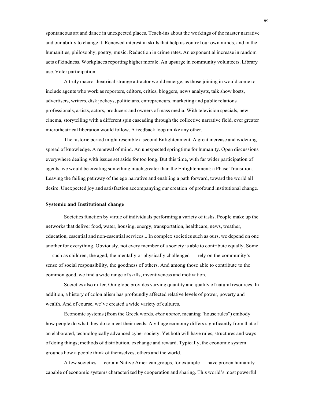spontaneous art and dance in unexpected places. Teach-ins about the workings of the master narrative and our ability to change it. Renewed interest in skills that help us control our own minds, and in the humanities, philosophy, poetry, music. Reduction in crime rates. An exponential increase in random acts of kindness. Workplaces reporting higher morale. An upsurge in community volunteers. Library use. Voter participation.

A truly macro-theatrical strange attractor would emerge, as those joining in would come to include agents who work as reporters, editors, critics, bloggers, news analysts, talk show hosts, advertisers, writers, disk jockeys, politicians, entrepreneurs, marketing and public relations professionals, artists, actors, producers and owners of mass media. With television specials, new cinema, storytelling with a different spin cascading through the collective narrative field, ever greater microtheatrical liberation would follow. A feedback loop unlike any other.

The historic period might resemble a second Enlightenment. A great increase and widening spread of knowledge. A renewal of mind. An unexpected springtime for humanity. Open discussions everywhere dealing with issues set aside for too long. But this time, with far wider participation of agents, we would be creating something much greater than the Enlightenment: a Phase Transition. Leaving the failing pathway of the ego narrative and enabling a path forward, toward the world all desire. Unexpected joy and satisfaction accompanying our creation of profound institutional change.

#### **Systemic and Institutional change**

Societies function by virtue of individuals performing a variety of tasks. People make up the networks that deliver food, water, housing, energy, transportation, healthcare, news, weather, education, essential and non-essential services... In complex societies such as ours, we depend on one another for everything. Obviously, not every member of a society is able to contribute equally. Some — such as children, the aged, the mentally or physically challenged — rely on the community's sense of social responsibility, the goodness of others. And among those able to contribute to the common good, we find a wide range of skills, inventiveness and motivation.

Societies also differ. Our globe provides varying quantity and quality of natural resources. In addition, a history of colonialism has profoundly affected relative levels of power, poverty and wealth. And of course, we've created a wide variety of cultures.

Economic systems (from the Greek words, *ekos nomos*, meaning "house rules") embody how people do what they do to meet their needs. A village economy differs significantly from that of an elaborated, technologically advanced cyber society. Yet both will have rules, structures and ways of doing things; methods of distribution, exchange and reward. Typically, the economic system grounds how a people think of themselves, others and the world.

A few societies — certain Native American groups, for example — have proven humanity capable of economic systems characterized by cooperation and sharing. This world's most powerful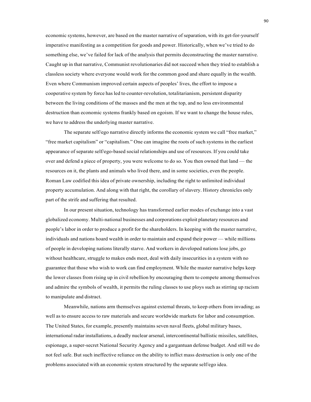economic systems, however, are based on the master narrative of separation, with its get-for-yourself imperative manifesting as a competition for goods and power. Historically, when we've tried to do something else, we've failed for lack of the analysis that permits deconstructing the master narrative. Caught up in that narrative, Communist revolutionaries did not succeed when they tried to establish a classless society where everyone would work for the common good and share equally in the wealth. Even where Communism improved certain aspects of peoples' lives, the effort to impose a cooperative system by force has led to counter-revolution, totalitarianism, persistent disparity between the living conditions of the masses and the men at the top, and no less environmental destruction than economic systems frankly based on egoism. If we want to change the house rules, we have to address the underlying master narrative.

The separate self/ego narrative directly informs the economic system we call "free market," "free market capitalism" or "capitalism." One can imagine the roots of such systems in the earliest appearance of separate self/ego-based social relationships and use of resources. If you could take over and defend a piece of property, you were welcome to do so. You then owned that land — the resources on it, the plants and animals who lived there, and in some societies, even the people. Roman Law codified this idea of private ownership, including the right to unlimited individual property accumulation. And along with that right, the corollary of slavery. History chronicles only part of the strife and suffering that resulted.

In our present situation, technology has transformed earlier modes of exchange into a vast globalized economy. Multi-national businesses and corporations exploit planetary resources and people's labor in order to produce a profit for the shareholders. In keeping with the master narrative, individuals and nations hoard wealth in order to maintain and expand their power — while millions of people in developing nations literally starve. And workers in developed nations lose jobs, go without healthcare, struggle to makes ends meet, deal with daily insecurities in a system with no guarantee that those who wish to work can find employment. While the master narrative helps keep the lower classes from rising up in civil rebellion by encouraging them to compete among themselves and admire the symbols of wealth, it permits the ruling classes to use ploys such as stirring up racism to manipulate and distract.

Meanwhile, nations arm themselves against external threats, to keep others from invading; as well as to ensure access to raw materials and secure worldwide markets for labor and consumption. The United States, for example, presently maintains seven naval fleets, global military bases, international radar installations, a deadly nuclear arsenal, intercontinental ballistic missiles, satellites, espionage, a super-secret National Security Agency and a gargantuan defense budget. And still we do not feel safe. But such ineffective reliance on the ability to inflict mass destruction is only one of the problems associated with an economic system structured by the separate self/ego idea.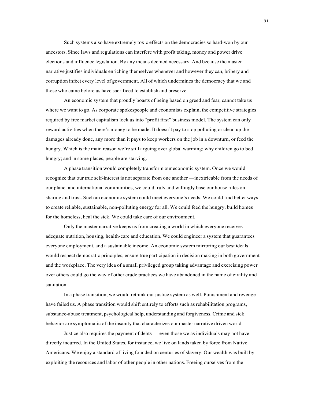Such systems also have extremely toxic effects on the democracies so hard-won by our ancestors. Since laws and regulations can interfere with profit taking, money and power drive elections and influence legislation. By any means deemed necessary. And because the master narrative justifies individuals enriching themselves whenever and however they can, bribery and corruption infect every level of government. All of which undermines the democracy that we and those who came before us have sacrificed to establish and preserve.

An economic system that proudly boasts of being based on greed and fear, cannot take us where we want to go. As corporate spokespeople and economists explain, the competitive strategies required by free market capitalism lock us into "profit first" business model. The system can only reward activities when there's money to be made. It doesn't pay to stop polluting or clean up the damages already done, any more than it pays to keep workers on the job in a downturn, or feed the hungry. Which is the main reason we're still arguing over global warming; why children go to bed hungry; and in some places, people are starving.

A phase transition would completely transform our economic system. Once we would recognize that our true self-interest is not separate from one another —inextricable from the needs of our planet and international communities, we could truly and willingly base our house rules on sharing and trust. Such an economic system could meet everyone's needs. We could find better ways to create reliable, sustainable, non-polluting energy for all. We could feed the hungry, build homes for the homeless, heal the sick. We could take care of our environment.

Only the master narrative keeps us from creating a world in which everyone receives adequate nutrition, housing, health-care and education. We could engineer a system that guarantees everyone employment, and a sustainable income. An economic system mirroring our best ideals would respect democratic principles, ensure true participation in decision making in both government and the workplace. The very idea of a small privileged group taking advantage and exercising power over others could go the way of other crude practices we have abandoned in the name of civility and sanitation.

In a phase transition, we would rethink our justice system as well. Punishment and revenge have failed us. A phase transition would shift entirely to efforts such as rehabilitation programs, substance-abuse treatment, psychological help, understanding and forgiveness. Crime and sick behavior are symptomatic of the insanity that characterizes our master narrative driven world.

Justice also requires the payment of debts — even those we as individuals may not have directly incurred. In the United States, for instance, we live on lands taken by force from Native Americans. We enjoy a standard of living founded on centuries of slavery. Our wealth was built by exploiting the resources and labor of other people in other nations. Freeing ourselves from the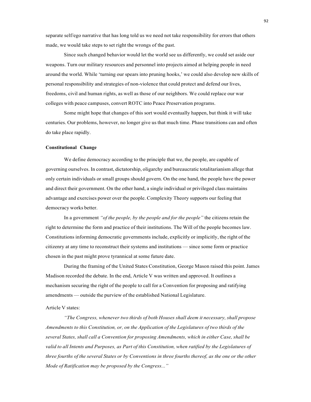separate self/ego narrative that has long told us we need not take responsibility for errors that others made, we would take steps to set right the wrongs of the past.

Since such changed behavior would let the world see us differently, we could set aside our weapons. Turn our military resources and personnel into projects aimed at helping people in need around the world. While 'turning our spears into pruning hooks,' we could also develop new skills of personal responsibility and strategies of non-violence that could protect and defend our lives, freedoms, civil and human rights, as well as those of our neighbors. We could replace our war colleges with peace campuses, convert ROTC into Peace Preservation programs.

Some might hope that changes of this sort would eventually happen, but think it will take centuries. Our problems, however, no longer give us that much time. Phase transitions can and often do take place rapidly.

#### **Constitutional Change**

We define democracy according to the principle that we, the people, are capable of governing ourselves. In contrast, dictatorship, oligarchy and bureaucratic totalitarianism allege that only certain individuals or small groups should govern. On the one hand, the people have the power and direct their government. On the other hand, a single individual or privileged class maintains advantage and exercises power over the people. Complexity Theory supports our feeling that democracy works better.

In a government *"of the people, by the people and for the people"* the citizens retain the right to determine the form and practice of their institutions. The Will of the people becomes law. Constitutions informing democratic governments include, explicitly or implicitly, the right of the citizenry at any time to reconstruct their systems and institutions — since some form or practice chosen in the past might prove tyrannical at some future date.

During the framing of the United States Constitution, George Mason raised this point. James Madison recorded the debate. In the end, Article V was written and approved. It outlines a mechanism securing the right of the people to call for a Convention for proposing and ratifying amendments — outside the purview of the established National Legislature.

#### Article V states:

*"The Congress, whenever two thirds of both Houses shall deem it necessary, shall propose Amendments to this Constitution, or, on the Application of the Legislatures of two thirds of the several States, shall call a Convention for proposing Amendments, which in either Case, shall be valid to all Intents and Purposes, as Part of this Constitution, when ratified by the Legislatures of* three fourths of the several States or by Conventions in three fourths thereof, as the one or the other *Mode of Ratification may be proposed by the Congress..."*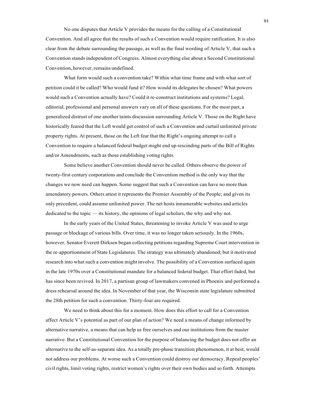No one disputes that Article V provides the means for the calling of a Constitutional Convention. And all agree that the results of such a Convention would require ratification. It is also clear from the debate surrounding the passage, as well as the final wording of Article V, that such a Convention stands independent of Congress. Almost everything else about a Second Constitutional Convention, however, remains undefined.

What form would such a convention take? Within what time frame and with what sort of petition could it be called? Who would fund it? How would its delegates be chosen? What powers would such a Convention actually have? Could it re-construct institutions and systems? Legal, editorial, professional and personal answers vary on all of these questions. For the most part, a generalized distrust of one another taints discussion surrounding Article V. Those on the Right have historically feared that the Left would get control of such a Convention and curtail unlimited private property rights. At present, those on the Left fear that the Right's ongoing attempt to call a Convention to require a balanced federal budget might end up rescinding parts of the Bill of Rights and/or Amendments, such as those establishing voting rights.

Some believe another Convention should never be called. Others observe the power of twenty-first century corporations and conclude the Convention method is the only way that the changes we now need can happen. Some suggest that such a Convention can have no more than amendatory powers. Others attest it represents the Premier Assembly of the People; and given its only precedent, could assume unlimited power. The net hosts innumerable websites and articles dedicated to the topic — its history, the opinions of legal scholars, the why and why not.

In the early years of the United States, threatening to invoke Article V was used to urge passage or blockage of various bills. Over time, it was no longer taken seriously. In the 1960s, however, Senator Everett Dirksen began collecting petitions regarding Supreme Court intervention in the re-apportionment of State Legislatures. The strategy was ultimately abandoned; but it motivated research into what such a convention might involve. The possibility of a Convention surfaced again in the late 1970s over a Constitutional mandate for a balanced federal budget. That effort faded, but has since been revived. In 2017, a partisan group of lawmakers convened in Phoenix and performed a dress rehearsal around the idea. In November of that year, the Wisconsin state legislature submitted the 28th petition for such a convention. Thirty-four are required.

We need to think about this for a moment. How does this effort to call for a Convention affect Article V's potential as part of our plan of action? We need a means of change informed by alternative narrative, a means that can help us free ourselves and our institutions from the master narrative. But a Constitutional Convention for the purpose of balancing the budget does not offer an alternative to the self-as-separate idea. As a totally pre-phase transition phenomenon, it at best, would not address our problems. At worse such a Convention could destroy our democracy. Repeal peoples' civil rights, limit voting rights, restrict women's rights over their own bodies and so forth. Attempts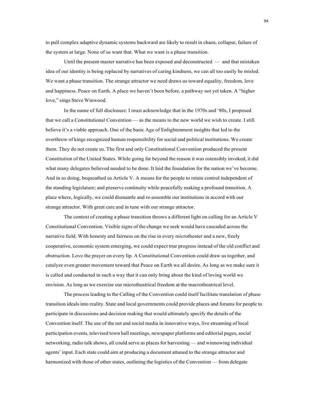to pull complex adaptive dynamic systems backward are likely to result in chaos, collapse, failure of the system at large. None of us want that. What we want is a phase transition.

Until the present master narrative has been exposed and deconstructed — and that mistaken idea of our identity is being replaced by narratives of caring kindness, we can all too easily be misled. We want a phase transition. The strange attractor we need draws us toward equality, freedom, love and happiness. Peace on Earth. A place we haven't been before, a pathway not yet taken. A "higher love," sings Steve Winwood.

In the name of full disclosure: I must acknowledge that in the 1970s and '80s, I proposed that we call a Constitutional Convention — as the means to the new world we wish to create. I still believe it's a viable approach. One of the basic Age of Enlightenment insights that led to the overthrow of kings recognized human responsibility for social and political institutions. We create them. They do not create us. The first and only Constitutional Convention produced the present Constitution of the United States. While going far beyond the reason it was ostensibly invoked, it did what many delegates believed needed to be done. It laid the foundation for the nation we've become. And in so doing, bequeathed us Article V. A means for the people to retain control independent of the standing legislature; and preserve continuity while peacefully making a profound transition. A place where, logically, we could dismantle and re-assemble our institutions in accord with our strange attractor. With great care and in tune with our strange attractor.

The context of creating a phase transition throws a different light on calling for an Article V Constitutional Convention. Visible signs of the change we seek would have cascaded across the narrative field. With honesty and fairness on the rise in every microtheater and a new, freely cooperative, economic system emerging, we could expect true progress instead of the old conflict and obstruction. Love the prayer on every lip. A Constitutional Convention could draw us together, and catalyze even greater movement toward that Peace on Earth we all desire. As long as we make sure it is called and conducted in such a way that it can only bring about the kind of loving world we envision. As long as we exercise our microtheatrical freedom at the macrotheatrical level.

The process leading to the Calling of the Convention could itself facilitate translation of phase transition ideals into reality. State and local governments could provide places and forums for people to participate in discussions and decision making that would ultimately specify the details of the Convention itself. The use of the net and social media in innovative ways, live streaming of local participation events, televised town hall meetings, newspaper platforms and editorial pages, social networking, radio talk shows, all could serve as places for harvesting — and winnowing individual agents' input. Each state could aim at producing a document attuned to the strange attractor and harmonized with those of other states, outlining the logistics of the Convention — from delegate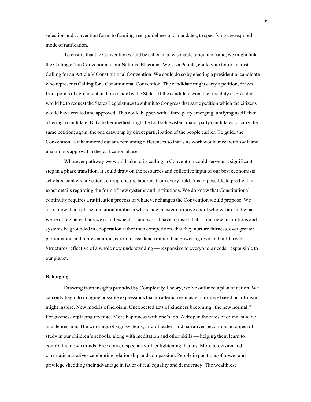selection and convention form, to framing a set guidelines and mandates, to specifying the required mode of ratification.

To ensure that the Convention would be called in a reasonable amount of time, we might link the Calling of the Convention to our National Elections. We, as a People, could vote for or against Calling for an Article V Constitutional Convention. We could do so by electing a presidential candidate who represents Calling for a Constitutional Convention. The candidate might carry a petition, drawn from points of agreement in those made by the States. If the candidate won, the first duty as president would be to request the States Legislatures to submit to Congress that same petition which the citizens would have created and approved. This could happen with a third party emerging, unifying itself, then offering a candidate. But a better method might be for both existent major party candidates to carry the same petition; again, the one drawn up by direct participation of the people earlier. To guide the Convention as it hammered out any remaining differences so that's its work would meet with swift and unanimous approval in the ratification phase.

Whatever pathway we would take to its calling, a Convention could serve as a significant step in a phase transition. It could draw on the resources and collective input of our best economists, scholars, bankers, investors, entrepreneurs, laborers from every field. It is impossible to predict the exact details regarding the form of new systems and institutions. We do know that Constitutional continuity requires a ratification process of whatever changes the Convention would propose. We also know that a phase transition implies a whole new master narrative about who we are and what we're doing here. Thus we could expect — and would have to insist that — our new institutions and systems be grounded in cooperation rather than competition, that they nurture fairness, ever greater participation and representation, care and assistance rather than powering over and militarism. Structures reflective of a whole new understanding — responsive to everyone's needs, responsible to our planet.

# **Belonging**

Drawing from insights provided by Complexity Theory, we've outlined a plan of action. We can only begin to imagine possible expressions that an alternative master narrative based on altruism might inspire. New models of heroism. Unexpected acts of kindness becoming "the new normal." Forgiveness replacing revenge. More happiness with one's job. A drop in the rates of crime, suicide and depression. The workings of sign systems, microtheaters and narratives becoming an object of study in our children's schools, along with meditation and other skills — helping them learn to control their own minds. Free concert specials with enlightening themes. More television and cinematic narratives celebrating relationship and compassion. People in positions of power and privilege shedding their advantage in favor of real equality and democracy. The wealthiest